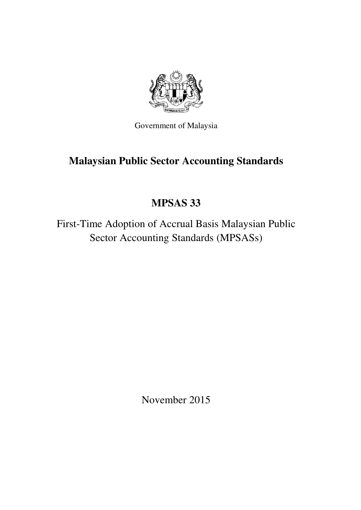

Government of Malaysia

# **Malaysian Public Sector Accounting Standards**

# **MPSAS 33**

First-Time Adoption of Accrual Basis Malaysian Public Sector Accounting Standards (MPSASs)

November 2015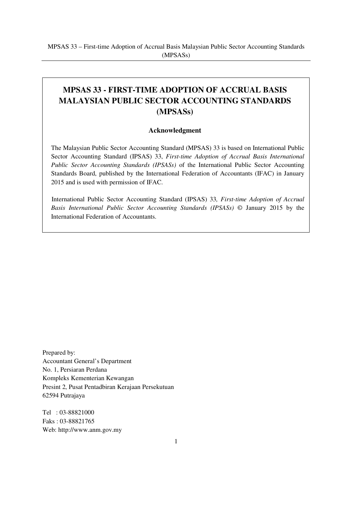# **MPSAS 33 - FIRST-TIME ADOPTION OF ACCRUAL BASIS MALAYSIAN PUBLIC SECTOR ACCOUNTING STANDARDS (MPSASs)**

#### **Acknowledgment**

The Malaysian Public Sector Accounting Standard (MPSAS) 33 is based on International Public Sector Accounting Standard (IPSAS) 33, *First-time Adoption of Accrual Basis International Public Sector Accounting Standards (IPSASs)* of the International Public Sector Accounting Standards Board, published by the International Federation of Accountants (IFAC) in January 2015 and is used with permission of IFAC.

International Public Sector Accounting Standard (IPSAS) 33*, First-time Adoption of Accrual Basis International Public Sector Accounting Standards (IPSASs)* © January 2015 by the International Federation of Accountants.

Prepared by: Accountant General's Department No. 1, Persiaran Perdana Kompleks Kementerian Kewangan Presint 2, Pusat Pentadbiran Kerajaan Persekutuan 62594 Putrajaya

Tel : 03-88821000 Faks : 03-88821765 Web: http://www.anm.gov.my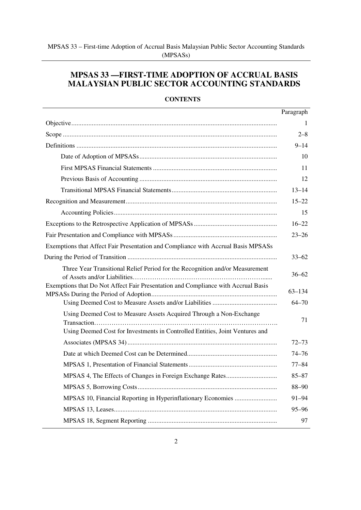# **MPSAS 33 —FIRST-TIME ADOPTION OF ACCRUAL BASIS MALAYSIAN PUBLIC SECTOR ACCOUNTING STANDARDS**

## **CONTENTS**

|                                                                                                                                                     | Paragraph  |
|-----------------------------------------------------------------------------------------------------------------------------------------------------|------------|
|                                                                                                                                                     | 1          |
|                                                                                                                                                     | $2 - 8$    |
|                                                                                                                                                     | $9 - 14$   |
|                                                                                                                                                     | 10         |
|                                                                                                                                                     | 11         |
|                                                                                                                                                     | 12         |
|                                                                                                                                                     | $13 - 14$  |
|                                                                                                                                                     | $15 - 22$  |
|                                                                                                                                                     | 15         |
|                                                                                                                                                     | $16 - 22$  |
|                                                                                                                                                     | $23 - 26$  |
| Exemptions that Affect Fair Presentation and Compliance with Accrual Basis MPSASs                                                                   |            |
|                                                                                                                                                     | $33 - 62$  |
| Three Year Transitional Relief Period for the Recognition and/or Measurement                                                                        | $36 - 62$  |
| Exemptions that Do Not Affect Fair Presentation and Compliance with Accrual Basis                                                                   | $63 - 134$ |
|                                                                                                                                                     | $64 - 70$  |
| Using Deemed Cost to Measure Assets Acquired Through a Non-Exchange<br>Using Deemed Cost for Investments in Controlled Entities, Joint Ventures and | 71         |
|                                                                                                                                                     | $72 - 73$  |
|                                                                                                                                                     | $74 - 76$  |
|                                                                                                                                                     | $77 - 84$  |
| MPSAS 4, The Effects of Changes in Foreign Exchange Rates                                                                                           | $85 - 87$  |
|                                                                                                                                                     | $88 - 90$  |
|                                                                                                                                                     | 91-94      |
|                                                                                                                                                     | $95 - 96$  |
|                                                                                                                                                     | 97         |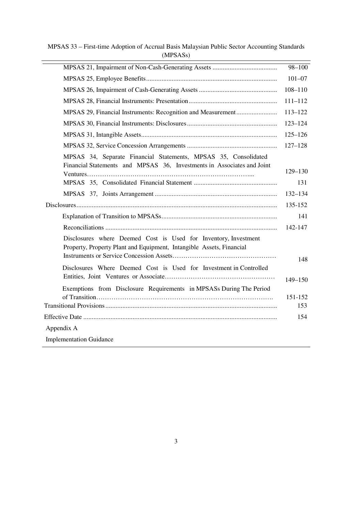MPSAS 33 – First-time Adoption of Accrual Basis Malaysian Public Sector Accounting Standards (MPSASs)

|                                                                                                                                         | $98 - 100$  |
|-----------------------------------------------------------------------------------------------------------------------------------------|-------------|
|                                                                                                                                         | $101 - 07$  |
|                                                                                                                                         | $108 - 110$ |
|                                                                                                                                         | $111 - 112$ |
| MPSAS 29, Financial Instruments: Recognition and Measurement                                                                            | $113 - 122$ |
|                                                                                                                                         | $123 - 124$ |
|                                                                                                                                         | $125 - 126$ |
|                                                                                                                                         | $127 - 128$ |
| MPSAS 34, Separate Financial Statements, MPSAS 35, Consolidated                                                                         |             |
| Financial Statements and MPSAS 36, Investments in Associates and Joint                                                                  | $129 - 130$ |
|                                                                                                                                         | 131         |
|                                                                                                                                         | $132 - 134$ |
|                                                                                                                                         | 135-152     |
|                                                                                                                                         | 141         |
|                                                                                                                                         | 142-147     |
| Disclosures where Deemed Cost is Used for Inventory, Investment<br>Property, Property Plant and Equipment, Intangible Assets, Financial |             |
|                                                                                                                                         | 148         |
| Disclosures Where Deemed Cost is Used for Investment in Controlled                                                                      |             |
| Exemptions from Disclosure Requirements in MPSASs During The Period                                                                     | $149 - 150$ |
|                                                                                                                                         | 151-152     |
|                                                                                                                                         | 153         |
|                                                                                                                                         | 154         |
| Appendix A                                                                                                                              |             |
| <b>Implementation Guidance</b>                                                                                                          |             |
|                                                                                                                                         |             |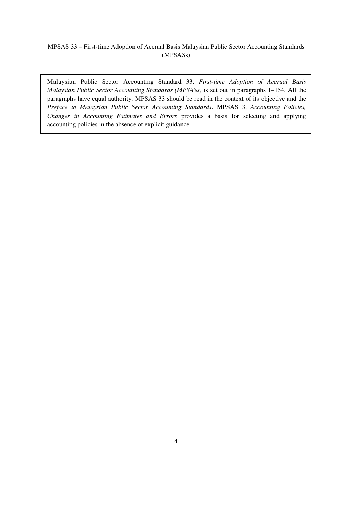## MPSAS 33 – First-time Adoption of Accrual Basis Malaysian Public Sector Accounting Standards (MPSASs)

Malaysian Public Sector Accounting Standard 33, *First-time Adoption of Accrual Basis Malaysian Public Sector Accounting Standards (MPSASs)* is set out in paragraphs 1–154. All the paragraphs have equal authority. MPSAS 33 should be read in the context of its objective and the *Preface to Malaysian Public Sector Accounting Standards*. MPSAS 3, *Accounting Policies, Changes in Accounting Estimates and Errors* provides a basis for selecting and applying accounting policies in the absence of explicit guidance.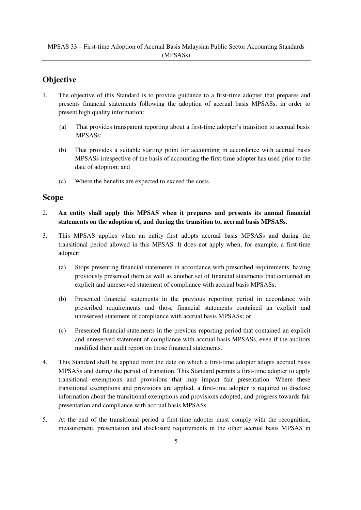# **Objective**

- 1. The objective of this Standard is to provide guidance to a first-time adopter that prepares and presents financial statements following the adoption of accrual basis MPSASs, in order to present high quality information:
	- (a) That provides transparent reporting about a first-time adopter's transition to accrual basis MPSASs;
	- (b) That provides a suitable starting point for accounting in accordance with accrual basis MPSASs irrespective of the basis of accounting the first-time adopter has used prior to the date of adoption; and
	- (c) Where the benefits are expected to exceed the costs.

# **Scope**

- 2. **An entity shall apply this MPSAS when it prepares and presents its annual financial statements on the adoption of, and during the transition to, accrual basis MPSASs.**
- 3. This MPSAS applies when an entity first adopts accrual basis MPSASs and during the transitional period allowed in this MPSAS. It does not apply when, for example, a first-time adopter:
	- (a) Stops presenting financial statements in accordance with prescribed requirements, having previously presented them as well as another set of financial statements that contained an explicit and unreserved statement of compliance with accrual basis MPSASs;
	- (b) Presented financial statements in the previous reporting period in accordance with prescribed requirements and those financial statements contained an explicit and unreserved statement of compliance with accrual basis MPSASs; or
	- (c) Presented financial statements in the previous reporting period that contained an explicit and unreserved statement of compliance with accrual basis MPSASs, even if the auditors modified their audit report on those financial statements.
- 4. This Standard shall be applied from the date on which a first-time adopter adopts accrual basis MPSASs and during the period of transition. This Standard permits a first-time adopter to apply transitional exemptions and provisions that may impact fair presentation. Where these transitional exemptions and provisions are applied, a first-time adopter is required to disclose information about the transitional exemptions and provisions adopted, and progress towards fair presentation and compliance with accrual basis MPSASs.
- 5. At the end of the transitional period a first-time adopter must comply with the recognition, measurement, presentation and disclosure requirements in the other accrual basis MPSAS in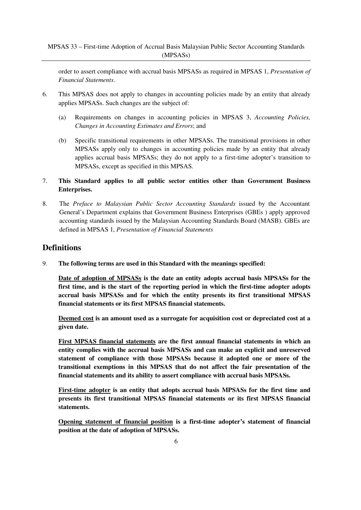order to assert compliance with accrual basis MPSASs as required in MPSAS 1, *Presentation of Financial Statements*.

- 6. This MPSAS does not apply to changes in accounting policies made by an entity that already applies MPSASs. Such changes are the subject of:
	- (a) Requirements on changes in accounting policies in MPSAS 3, *Accounting Policies, Changes in Accounting Estimates and Errors*; and
	- (b) Specific transitional requirements in other MPSASs. The transitional provisions in other MPSASs apply only to changes in accounting policies made by an entity that already applies accrual basis MPSASs; they do not apply to a first-time adopter's transition to MPSASs, except as specified in this MPSAS.
- 7. **This Standard applies to all public sector entities other than Government Business Enterprises.**
- 8. The *Preface to Malaysian Public Sector Accounting Standards* issued by the Accountant General's Department explains that Government Business Enterprises (GBEs ) apply approved accounting standards issued by the Malaysian Accounting Standards Board (MASB). GBEs are defined in MPSAS 1, *Presentation of Financial Statements*

# **Definitions**

9. **The following terms are used in this Standard with the meanings specified:** 

**Date of adoption of MPSASs is the date an entity adopts accrual basis MPSASs for the first time, and is the start of the reporting period in which the first-time adopter adopts accrual basis MPSASs and for which the entity presents its first transitional MPSAS financial statements or its first MPSAS financial statements.** 

**Deemed cost is an amount used as a surrogate for acquisition cost or depreciated cost at a given date.** 

**First MPSAS financial statements are the first annual financial statements in which an entity complies with the accrual basis MPSASs and can make an explicit and unreserved statement of compliance with those MPSASs because it adopted one or more of the transitional exemptions in this MPSAS that do not affect the fair presentation of the financial statements and its ability to assert compliance with accrual basis MPSASs.** 

**First-time adopter is an entity that adopts accrual basis MPSASs for the first time and presents its first transitional MPSAS financial statements or its first MPSAS financial statements.** 

**Opening statement of financial position is a first-time adopter's statement of financial position at the date of adoption of MPSASs.**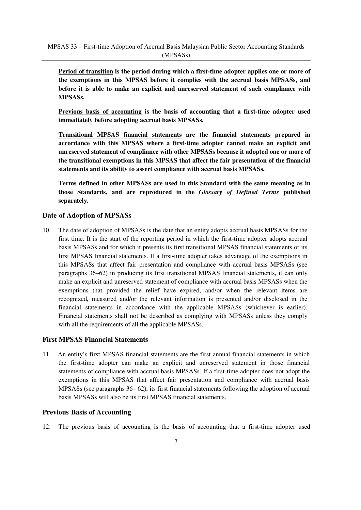**Period of transition is the period during which a first-time adopter applies one or more of the exemptions in this MPSAS before it complies with the accrual basis MPSASs, and before it is able to make an explicit and unreserved statement of such compliance with MPSASs.**

**Previous basis of accounting is the basis of accounting that a first-time adopter used immediately before adopting accrual basis MPSASs.**

**Transitional MPSAS financial statements are the financial statements prepared in accordance with this MPSAS where a first-time adopter cannot make an explicit and unreserved statement of compliance with other MPSASs because it adopted one or more of the transitional exemptions in this MPSAS that affect the fair presentation of the financial statements and its ability to assert compliance with accrual basis MPSASs.**

**Terms defined in other MPSASs are used in this Standard with the same meaning as in those Standards, and are reproduced in the** *Glossary of Defined Terms* **published separately.**

#### **Date of Adoption of MPSASs**

10. The date of adoption of MPSASs is the date that an entity adopts accrual basis MPSASs for the first time. It is the start of the reporting period in which the first-time adopter adopts accrual basis MPSASs and for which it presents its first transitional MPSAS financial statements or its first MPSAS financial statements. If a first-time adopter takes advantage of the exemptions in this MPSASs that affect fair presentation and compliance with accrual basis MPSASs (see paragraphs 36–62) in producing its first transitional MPSAS financial statements, it can only make an explicit and unreserved statement of compliance with accrual basis MPSASs when the exemptions that provided the relief have expired, and/or when the relevant items are recognized, measured and/or the relevant information is presented and/or disclosed in the financial statements in accordance with the applicable MPSASs (whichever is earlier). Financial statements shall not be described as complying with MPSASs unless they comply with all the requirements of all the applicable MPSASs.

## **First MPSAS Financial Statements**

11. An entity's first MPSAS financial statements are the first annual financial statements in which the first-time adopter can make an explicit and unreserved statement in those financial statements of compliance with accrual basis MPSASs. If a first-time adopter does not adopt the exemptions in this MPSAS that affect fair presentation and compliance with accrual basis MPSASs (see paragraphs 36– 62), its first financial statements following the adoption of accrual basis MPSASs will also be its first MPSAS financial statements.

#### **Previous Basis of Accounting**

12. The previous basis of accounting is the basis of accounting that a first-time adopter used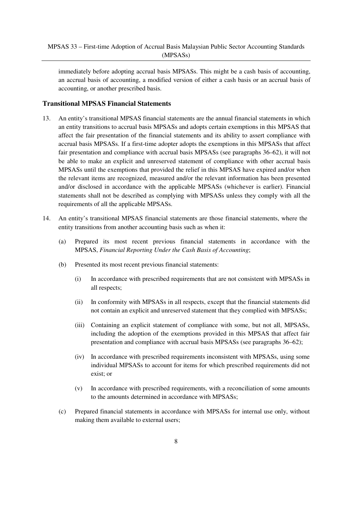immediately before adopting accrual basis MPSASs. This might be a cash basis of accounting, an accrual basis of accounting, a modified version of either a cash basis or an accrual basis of accounting, or another prescribed basis.

## **Transitional MPSAS Financial Statements**

- 13. An entity's transitional MPSAS financial statements are the annual financial statements in which an entity transitions to accrual basis MPSASs and adopts certain exemptions in this MPSAS that affect the fair presentation of the financial statements and its ability to assert compliance with accrual basis MPSASs. If a first-time adopter adopts the exemptions in this MPSASs that affect fair presentation and compliance with accrual basis MPSASs (see paragraphs 36–62), it will not be able to make an explicit and unreserved statement of compliance with other accrual basis MPSASs until the exemptions that provided the relief in this MPSAS have expired and/or when the relevant items are recognized, measured and/or the relevant information has been presented and/or disclosed in accordance with the applicable MPSASs (whichever is earlier). Financial statements shall not be described as complying with MPSASs unless they comply with all the requirements of all the applicable MPSASs.
- 14. An entity's transitional MPSAS financial statements are those financial statements, where the entity transitions from another accounting basis such as when it:
	- (a) Prepared its most recent previous financial statements in accordance with the MPSAS, *Financial Reporting Under the Cash Basis of Accounting*;
	- (b) Presented its most recent previous financial statements:
		- (i) In accordance with prescribed requirements that are not consistent with MPSASs in all respects;
		- (ii) In conformity with MPSASs in all respects, except that the financial statements did not contain an explicit and unreserved statement that they complied with MPSASs;
		- (iii) Containing an explicit statement of compliance with some, but not all, MPSASs, including the adoption of the exemptions provided in this MPSAS that affect fair presentation and compliance with accrual basis MPSASs (see paragraphs 36–62);
		- (iv) In accordance with prescribed requirements inconsistent with MPSASs, using some individual MPSASs to account for items for which prescribed requirements did not exist; or
		- (v) In accordance with prescribed requirements, with a reconciliation of some amounts to the amounts determined in accordance with MPSASs;
	- (c) Prepared financial statements in accordance with MPSASs for internal use only, without making them available to external users;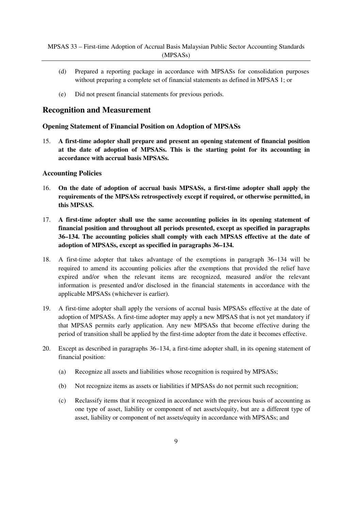- (d) Prepared a reporting package in accordance with MPSASs for consolidation purposes without preparing a complete set of financial statements as defined in MPSAS 1; or
- (e) Did not present financial statements for previous periods.

# **Recognition and Measurement**

#### **Opening Statement of Financial Position on Adoption of MPSASs**

15. **A first-time adopter shall prepare and present an opening statement of financial position at the date of adoption of MPSASs. This is the starting point for its accounting in accordance with accrual basis MPSASs.** 

#### **Accounting Policies**

- 16. **On the date of adoption of accrual basis MPSASs, a first-time adopter shall apply the requirements of the MPSASs retrospectively except if required, or otherwise permitted, in this MPSAS.**
- 17. **A first-time adopter shall use the same accounting policies in its opening statement of financial position and throughout all periods presented, except as specified in paragraphs 36–134. The accounting policies shall comply with each MPSAS effective at the date of adoption of MPSASs, except as specified in paragraphs 36–134.**
- 18. A first-time adopter that takes advantage of the exemptions in paragraph 36–134 will be required to amend its accounting policies after the exemptions that provided the relief have expired and/or when the relevant items are recognized, measured and/or the relevant information is presented and/or disclosed in the financial statements in accordance with the applicable MPSASs (whichever is earlier).
- 19. A first-time adopter shall apply the versions of accrual basis MPSASs effective at the date of adoption of MPSASs. A first-time adopter may apply a new MPSAS that is not yet mandatory if that MPSAS permits early application. Any new MPSASs that become effective during the period of transition shall be applied by the first-time adopter from the date it becomes effective.
- 20. Except as described in paragraphs 36–134, a first-time adopter shall, in its opening statement of financial position:
	- (a) Recognize all assets and liabilities whose recognition is required by MPSASs;
	- (b) Not recognize items as assets or liabilities if MPSASs do not permit such recognition;
	- (c) Reclassify items that it recognized in accordance with the previous basis of accounting as one type of asset, liability or component of net assets/equity, but are a different type of asset, liability or component of net assets/equity in accordance with MPSASs; and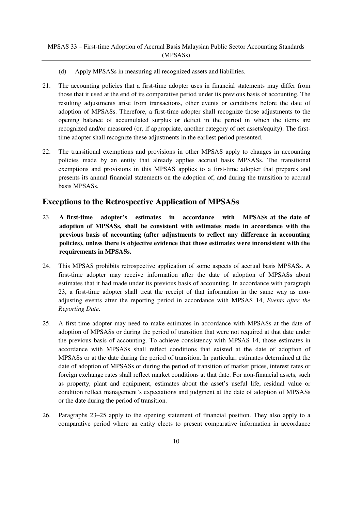- (d) Apply MPSASs in measuring all recognized assets and liabilities.
- 21. The accounting policies that a first-time adopter uses in financial statements may differ from those that it used at the end of its comparative period under its previous basis of accounting. The resulting adjustments arise from transactions, other events or conditions before the date of adoption of MPSASs. Therefore, a first-time adopter shall recognize those adjustments to the opening balance of accumulated surplus or deficit in the period in which the items are recognized and/or measured (or, if appropriate, another category of net assets/equity). The firsttime adopter shall recognize these adjustments in the earliest period presented.
- 22. The transitional exemptions and provisions in other MPSAS apply to changes in accounting policies made by an entity that already applies accrual basis MPSASs. The transitional exemptions and provisions in this MPSAS applies to a first-time adopter that prepares and presents its annual financial statements on the adoption of, and during the transition to accrual basis MPSASs.

# **Exceptions to the Retrospective Application of MPSASs**

- 23. **A first-time adopter's estimates in accordance with MPSASs at the date of adoption of MPSASs, shall be consistent with estimates made in accordance with the previous basis of accounting (after adjustments to reflect any difference in accounting policies), unless there is objective evidence that those estimates were inconsistent with the requirements in MPSASs.**
- 24. This MPSAS prohibits retrospective application of some aspects of accrual basis MPSASs. A first-time adopter may receive information after the date of adoption of MPSASs about estimates that it had made under its previous basis of accounting. In accordance with paragraph 23, a first-time adopter shall treat the receipt of that information in the same way as nonadjusting events after the reporting period in accordance with MPSAS 14, *Events after the Reporting Date*.
- 25. A first-time adopter may need to make estimates in accordance with MPSASs at the date of adoption of MPSASs or during the period of transition that were not required at that date under the previous basis of accounting. To achieve consistency with MPSAS 14, those estimates in accordance with MPSASs shall reflect conditions that existed at the date of adoption of MPSASs or at the date during the period of transition. In particular, estimates determined at the date of adoption of MPSASs or during the period of transition of market prices, interest rates or foreign exchange rates shall reflect market conditions at that date. For non-financial assets, such as property, plant and equipment, estimates about the asset's useful life, residual value or condition reflect management's expectations and judgment at the date of adoption of MPSASs or the date during the period of transition.
- 26. Paragraphs 23–25 apply to the opening statement of financial position. They also apply to a comparative period where an entity elects to present comparative information in accordance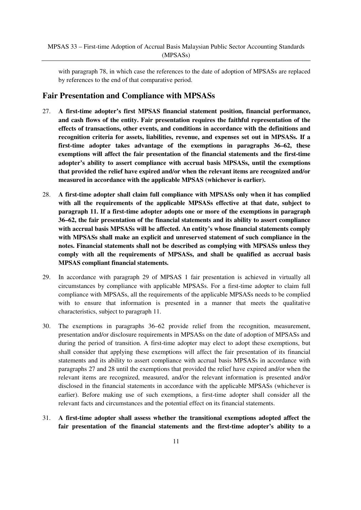with paragraph 78, in which case the references to the date of adoption of MPSASs are replaced by references to the end of that comparative period.

# **Fair Presentation and Compliance with MPSASs**

- 27. **A first-time adopter's first MPSAS financial statement position, financial performance, and cash flows of the entity. Fair presentation requires the faithful representation of the effects of transactions, other events, and conditions in accordance with the definitions and recognition criteria for assets, liabilities, revenue, and expenses set out in MPSASs. If a first-time adopter takes advantage of the exemptions in paragraphs 36–62, these exemptions will affect the fair presentation of the financial statements and the first-time adopter's ability to assert compliance with accrual basis MPSASs, until the exemptions that provided the relief have expired and/or when the relevant items are recognized and/or measured in accordance with the applicable MPSAS (whichever is earlier).**
- 28. **A first-time adopter shall claim full compliance with MPSASs only when it has complied with all the requirements of the applicable MPSASs effective at that date, subject to paragraph 11. If a first-time adopter adopts one or more of the exemptions in paragraph 36–62, the fair presentation of the financial statements and its ability to assert compliance with accrual basis MPSASs will be affected. An entity's whose financial statements comply with MPSASs shall make an explicit and unreserved statement of such compliance in the notes. Financial statements shall not be described as complying with MPSASs unless they comply with all the requirements of MPSASs, and shall be qualified as accrual basis MPSAS compliant financial statements.**
- 29. In accordance with paragraph 29 of MPSAS 1 fair presentation is achieved in virtually all circumstances by compliance with applicable MPSASs. For a first-time adopter to claim full compliance with MPSASs, all the requirements of the applicable MPSASs needs to be complied with to ensure that information is presented in a manner that meets the qualitative characteristics, subject to paragraph 11.
- 30. The exemptions in paragraphs 36–62 provide relief from the recognition, measurement, presentation and/or disclosure requirements in MPSASs on the date of adoption of MPSASs and during the period of transition. A first-time adopter may elect to adopt these exemptions, but shall consider that applying these exemptions will affect the fair presentation of its financial statements and its ability to assert compliance with accrual basis MPSASs in accordance with paragraphs 27 and 28 until the exemptions that provided the relief have expired and/or when the relevant items are recognized, measured, and/or the relevant information is presented and/or disclosed in the financial statements in accordance with the applicable MPSASs (whichever is earlier). Before making use of such exemptions, a first-time adopter shall consider all the relevant facts and circumstances and the potential effect on its financial statements.
- 31. **A first-time adopter shall assess whether the transitional exemptions adopted affect the fair presentation of the financial statements and the first-time adopter's ability to a**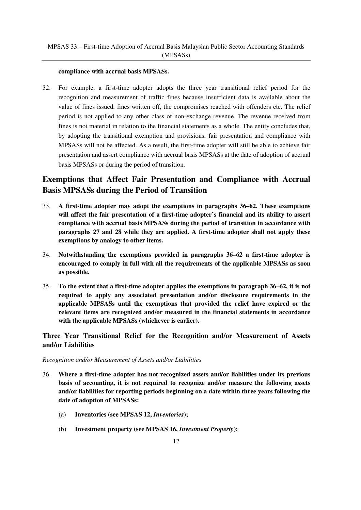#### **compliance with accrual basis MPSASs.**

32. For example, a first-time adopter adopts the three year transitional relief period for the recognition and measurement of traffic fines because insufficient data is available about the value of fines issued, fines written off, the compromises reached with offenders etc. The relief period is not applied to any other class of non-exchange revenue. The revenue received from fines is not material in relation to the financial statements as a whole. The entity concludes that, by adopting the transitional exemption and provisions, fair presentation and compliance with MPSASs will not be affected. As a result, the first-time adopter will still be able to achieve fair presentation and assert compliance with accrual basis MPSASs at the date of adoption of accrual basis MPSASs or during the period of transition.

# **Exemptions that Affect Fair Presentation and Compliance with Accrual Basis MPSASs during the Period of Transition**

- 33. **A first-time adopter may adopt the exemptions in paragraphs 36–62. These exemptions will affect the fair presentation of a first-time adopter's financial and its ability to assert compliance with accrual basis MPSASs during the period of transition in accordance with paragraphs 27 and 28 while they are applied. A first-time adopter shall not apply these exemptions by analogy to other items.**
- 34. **Notwithstanding the exemptions provided in paragraphs 36–62 a first-time adopter is encouraged to comply in full with all the requirements of the applicable MPSASs as soon as possible.**
- 35. **To the extent that a first-time adopter applies the exemptions in paragraph 36–62, it is not required to apply any associated presentation and/or disclosure requirements in the applicable MPSASs until the exemptions that provided the relief have expired or the relevant items are recognized and/or measured in the financial statements in accordance with the applicable MPSASs (whichever is earlier).**

# **Three Year Transitional Relief for the Recognition and/or Measurement of Assets and/or Liabilities**

#### *Recognition and/or Measurement of Assets and/or Liabilities*

- 36. **Where a first-time adopter has not recognized assets and/or liabilities under its previous basis of accounting, it is not required to recognize and/or measure the following assets and/or liabilities for reporting periods beginning on a date within three years following the date of adoption of MPSASs:** 
	- (a) **Inventories (see MPSAS 12,** *Inventories***);**
	- (b) **Investment property (see MPSAS 16,** *Investment Property***);**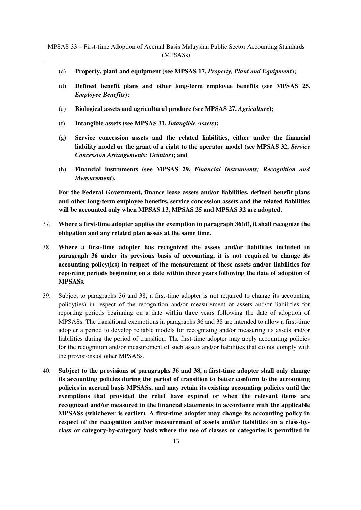- (c) **Property, plant and equipment (see MPSAS 17,** *Property, Plant and Equipment***);**
- (d) **Defined benefit plans and other long-term employee benefits (see MPSAS 25,**  *Employee Benefits***);**
- (e) **Biological assets and agricultural produce (see MPSAS 27,** *Agriculture***);**
- (f) **Intangible assets (see MPSAS 31,** *Intangible Assets***);**
- (g) **Service concession assets and the related liabilities, either under the financial liability model or the grant of a right to the operator model (see MPSAS 32,** *Service Concession Arrangements: Grantor***); and**
- (h) **Financial instruments (see MPSAS 29,** *Financial Instruments; Recognition and Measurement***).**

**For the Federal Government, finance lease assets and/or liabilities, defined benefit plans and other long-term employee benefits, service concession assets and the related liabilities will be accounted only when MPSAS 13, MPSAS 25 and MPSAS 32 are adopted.**

- 37. **Where a first-time adopter applies the exemption in paragraph 36(d), it shall recognize the obligation and any related plan assets at the same time.**
- 38. **Where a first-time adopter has recognized the assets and/or liabilities included in paragraph 36 under its previous basis of accounting, it is not required to change its accounting policy(ies) in respect of the measurement of these assets and/or liabilities for reporting periods beginning on a date within three years following the date of adoption of MPSASs.**
- 39. Subject to paragraphs 36 and 38, a first-time adopter is not required to change its accounting policy(ies) in respect of the recognition and/or measurement of assets and/or liabilities for reporting periods beginning on a date within three years following the date of adoption of MPSASs. The transitional exemptions in paragraphs 36 and 38 are intended to allow a first-time adopter a period to develop reliable models for recognizing and/or measuring its assets and/or liabilities during the period of transition. The first-time adopter may apply accounting policies for the recognition and/or measurement of such assets and/or liabilities that do not comply with the provisions of other MPSASs.
- 40. **Subject to the provisions of paragraphs 36 and 38, a first-time adopter shall only change its accounting policies during the period of transition to better conform to the accounting policies in accrual basis MPSASs, and may retain its existing accounting policies until the exemptions that provided the relief have expired or when the relevant items are recognized and/or measured in the financial statements in accordance with the applicable MPSASs (whichever is earlier). A first-time adopter may change its accounting policy in respect of the recognition and/or measurement of assets and/or liabilities on a class-byclass or category-by-category basis where the use of classes or categories is permitted in**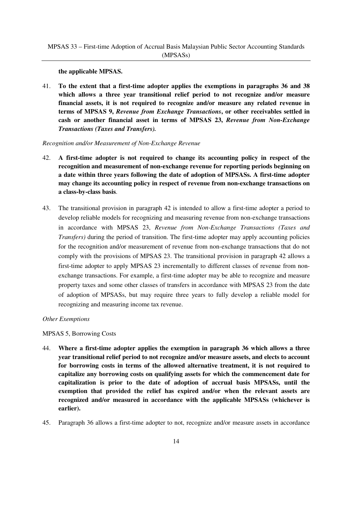**the applicable MPSAS.** 

41. **To the extent that a first-time adopter applies the exemptions in paragraphs 36 and 38 which allows a three year transitional relief period to not recognize and/or measure financial assets, it is not required to recognize and/or measure any related revenue in terms of MPSAS 9,** *Revenue from Exchange Transactions***, or other receivables settled in cash or another financial asset in terms of MPSAS 23,** *Revenue from Non-Exchange Transactions (Taxes and Transfers).* 

*Recognition and/or Measurement of Non-Exchange Revenue*

- 42. **A first-time adopter is not required to change its accounting policy in respect of the recognition and measurement of non-exchange revenue for reporting periods beginning on a date within three years following the date of adoption of MPSASs. A first-time adopter may change its accounting policy in respect of revenue from non-exchange transactions on a class-by-class basis**.
- 43. The transitional provision in paragraph 42 is intended to allow a first-time adopter a period to develop reliable models for recognizing and measuring revenue from non-exchange transactions in accordance with MPSAS 23, *Revenue from Non-Exchange Transactions (Taxes and Transfers)* during the period of transition. The first-time adopter may apply accounting policies for the recognition and/or measurement of revenue from non-exchange transactions that do not comply with the provisions of MPSAS 23. The transitional provision in paragraph 42 allows a first-time adopter to apply MPSAS 23 incrementally to different classes of revenue from nonexchange transactions. For example, a first-time adopter may be able to recognize and measure property taxes and some other classes of transfers in accordance with MPSAS 23 from the date of adoption of MPSASs, but may require three years to fully develop a reliable model for recognizing and measuring income tax revenue.

*Other Exemptions*

MPSAS 5, Borrowing Costs

- 44. **Where a first-time adopter applies the exemption in paragraph 36 which allows a three year transitional relief period to not recognize and/or measure assets, and elects to account for borrowing costs in terms of the allowed alternative treatment, it is not required to capitalize any borrowing costs on qualifying assets for which the commencement date for capitalization is prior to the date of adoption of accrual basis MPSASs, until the exemption that provided the relief has expired and/or when the relevant assets are recognized and/or measured in accordance with the applicable MPSASs (whichever is earlier).**
- 45. Paragraph 36 allows a first-time adopter to not, recognize and/or measure assets in accordance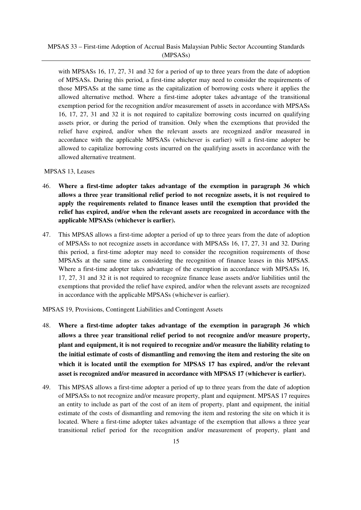with MPSASs 16, 17, 27, 31 and 32 for a period of up to three years from the date of adoption of MPSASs. During this period, a first-time adopter may need to consider the requirements of those MPSASs at the same time as the capitalization of borrowing costs where it applies the allowed alternative method. Where a first-time adopter takes advantage of the transitional exemption period for the recognition and/or measurement of assets in accordance with MPSASs 16, 17, 27, 31 and 32 it is not required to capitalize borrowing costs incurred on qualifying assets prior, or during the period of transition. Only when the exemptions that provided the relief have expired, and/or when the relevant assets are recognized and/or measured in accordance with the applicable MPSASs (whichever is earlier) will a first-time adopter be allowed to capitalize borrowing costs incurred on the qualifying assets in accordance with the allowed alternative treatment.

#### MPSAS 13, Leases

- 46. **Where a first-time adopter takes advantage of the exemption in paragraph 36 which allows a three year transitional relief period to not recognize assets, it is not required to apply the requirements related to finance leases until the exemption that provided the relief has expired, and/or when the relevant assets are recognized in accordance with the applicable MPSASs (whichever is earlier).**
- 47. This MPSAS allows a first-time adopter a period of up to three years from the date of adoption of MPSASs to not recognize assets in accordance with MPSASs 16, 17, 27, 31 and 32. During this period, a first-time adopter may need to consider the recognition requirements of those MPSASs at the same time as considering the recognition of finance leases in this MPSAS. Where a first-time adopter takes advantage of the exemption in accordance with MPSASs 16, 17, 27, 31 and 32 it is not required to recognize finance lease assets and/or liabilities until the exemptions that provided the relief have expired, and/or when the relevant assets are recognized in accordance with the applicable MPSASs (whichever is earlier).

MPSAS 19, Provisions, Contingent Liabilities and Contingent Assets

- 48. **Where a first-time adopter takes advantage of the exemption in paragraph 36 which allows a three year transitional relief period to not recognize and/or measure property, plant and equipment, it is not required to recognize and/or measure the liability relating to the initial estimate of costs of dismantling and removing the item and restoring the site on which it is located until the exemption for MPSAS 17 has expired, and/or the relevant asset is recognized and/or measured in accordance with MPSAS 17 (whichever is earlier).**
- 49. This MPSAS allows a first-time adopter a period of up to three years from the date of adoption of MPSASs to not recognize and/or measure property, plant and equipment. MPSAS 17 requires an entity to include as part of the cost of an item of property, plant and equipment, the initial estimate of the costs of dismantling and removing the item and restoring the site on which it is located. Where a first-time adopter takes advantage of the exemption that allows a three year transitional relief period for the recognition and/or measurement of property, plant and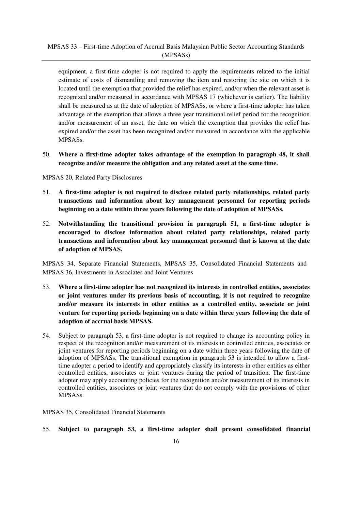equipment, a first-time adopter is not required to apply the requirements related to the initial estimate of costs of dismantling and removing the item and restoring the site on which it is located until the exemption that provided the relief has expired, and/or when the relevant asset is recognized and/or measured in accordance with MPSAS 17 (whichever is earlier). The liability shall be measured as at the date of adoption of MPSASs, or where a first-time adopter has taken advantage of the exemption that allows a three year transitional relief period for the recognition and/or measurement of an asset, the date on which the exemption that provides the relief has expired and/or the asset has been recognized and/or measured in accordance with the applicable MPSASs.

50. **Where a first-time adopter takes advantage of the exemption in paragraph 48, it shall recognize and/or measure the obligation and any related asset at the same time.** 

MPSAS 20, Related Party Disclosures

- 51. **A first-time adopter is not required to disclose related party relationships, related party transactions and information about key management personnel for reporting periods beginning on a date within three years following the date of adoption of MPSASs.**
- 52. **Notwithstanding the transitional provision in paragraph 51, a first-time adopter is encouraged to disclose information about related party relationships, related party transactions and information about key management personnel that is known at the date of adoption of MPSAS.**

MPSAS 34, Separate Financial Statements, MPSAS 35, Consolidated Financial Statements and MPSAS 36, Investments in Associates and Joint Ventures

- 53. **Where a first-time adopter has not recognized its interests in controlled entities, associates or joint ventures under its previous basis of accounting, it is not required to recognize and/or measure its interests in other entities as a controlled entity, associate or joint venture for reporting periods beginning on a date within three years following the date of adoption of accrual basis MPSAS.**
- 54. Subject to paragraph 53, a first-time adopter is not required to change its accounting policy in respect of the recognition and/or measurement of its interests in controlled entities, associates or joint ventures for reporting periods beginning on a date within three years following the date of adoption of MPSASs. The transitional exemption in paragraph 53 is intended to allow a firsttime adopter a period to identify and appropriately classify its interests in other entities as either controlled entities, associates or joint ventures during the period of transition. The first-time adopter may apply accounting policies for the recognition and/or measurement of its interests in controlled entities, associates or joint ventures that do not comply with the provisions of other MPSASs.

MPSAS 35, Consolidated Financial Statements

55. **Subject to paragraph 53, a first-time adopter shall present consolidated financial**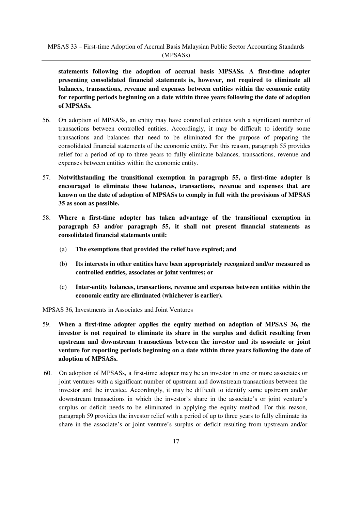**statements following the adoption of accrual basis MPSASs. A first-time adopter presenting consolidated financial statements is, however, not required to eliminate all balances, transactions, revenue and expenses between entities within the economic entity for reporting periods beginning on a date within three years following the date of adoption of MPSASs.** 

- 56. On adoption of MPSASs, an entity may have controlled entities with a significant number of transactions between controlled entities. Accordingly, it may be difficult to identify some transactions and balances that need to be eliminated for the purpose of preparing the consolidated financial statements of the economic entity. For this reason, paragraph 55 provides relief for a period of up to three years to fully eliminate balances, transactions, revenue and expenses between entities within the economic entity.
- 57. **Notwithstanding the transitional exemption in paragraph 55, a first-time adopter is encouraged to eliminate those balances, transactions, revenue and expenses that are known on the date of adoption of MPSASs to comply in full with the provisions of MPSAS 35 as soon as possible.**
- 58. **Where a first-time adopter has taken advantage of the transitional exemption in paragraph 53 and/or paragraph 55, it shall not present financial statements as consolidated financial statements until:** 
	- (a) **The exemptions that provided the relief have expired; and**
	- (b) **Its interests in other entities have been appropriately recognized and/or measured as controlled entities, associates or joint ventures; or**
	- (c) **Inter-entity balances, transactions, revenue and expenses between entities within the economic entity are eliminated (whichever is earlier).**

MPSAS 36, Investments in Associates and Joint Ventures

- 59. **When a first-time adopter applies the equity method on adoption of MPSAS 36, the investor is not required to eliminate its share in the surplus and deficit resulting from upstream and downstream transactions between the investor and its associate or joint venture for reporting periods beginning on a date within three years following the date of adoption of MPSASs.**
- 60. On adoption of MPSASs, a first-time adopter may be an investor in one or more associates or joint ventures with a significant number of upstream and downstream transactions between the investor and the investee. Accordingly, it may be difficult to identify some upstream and/or downstream transactions in which the investor's share in the associate's or joint venture's surplus or deficit needs to be eliminated in applying the equity method. For this reason, paragraph 59 provides the investor relief with a period of up to three years to fully eliminate its share in the associate's or joint venture's surplus or deficit resulting from upstream and/or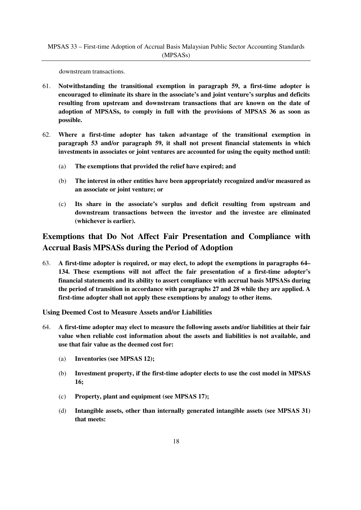downstream transactions.

- 61. **Notwithstanding the transitional exemption in paragraph 59, a first-time adopter is encouraged to eliminate its share in the associate's and joint venture's surplus and deficits resulting from upstream and downstream transactions that are known on the date of adoption of MPSASs, to comply in full with the provisions of MPSAS 36 as soon as possible.**
- 62. **Where a first-time adopter has taken advantage of the transitional exemption in paragraph 53 and/or paragraph 59, it shall not present financial statements in which investments in associates or joint ventures are accounted for using the equity method until:** 
	- (a) **The exemptions that provided the relief have expired; and**
	- (b) **The interest in other entities have been appropriately recognized and/or measured as an associate or joint venture; or**
	- (c) **Its share in the associate's surplus and deficit resulting from upstream and downstream transactions between the investor and the investee are eliminated (whichever is earlier).**

# **Exemptions that Do Not Affect Fair Presentation and Compliance with Accrual Basis MPSASs during the Period of Adoption**

63. **A first-time adopter is required, or may elect, to adopt the exemptions in paragraphs 64– 134. These exemptions will not affect the fair presentation of a first-time adopter's financial statements and its ability to assert compliance with accrual basis MPSASs during the period of transition in accordance with paragraphs 27 and 28 while they are applied. A first-time adopter shall not apply these exemptions by analogy to other items.** 

#### **Using Deemed Cost to Measure Assets and/or Liabilities**

- 64. **A first-time adopter may elect to measure the following assets and/or liabilities at their fair value when reliable cost information about the assets and liabilities is not available, and use that fair value as the deemed cost for:** 
	- (a) **Inventories (see MPSAS 12);**
	- (b) **Investment property, if the first-time adopter elects to use the cost model in MPSAS 16;**
	- (c) **Property, plant and equipment (see MPSAS 17);**
	- (d) **Intangible assets, other than internally generated intangible assets (see MPSAS 31) that meets:**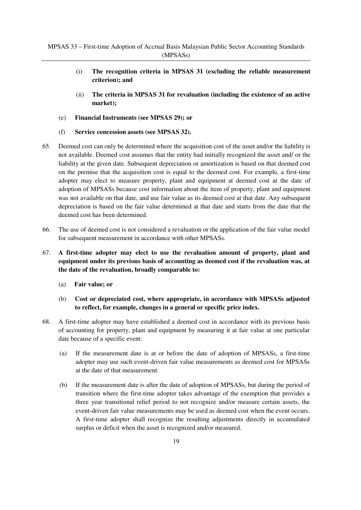- (i) **The recognition criteria in MPSAS 31 (excluding the reliable measurement criterion); and**
- (ii) **The criteria in MPSAS 31 for revaluation (including the existence of an active market);**
- (e) **Financial Instruments (see MPSAS 29); or**
- (f) **Service concession assets (see MPSAS 32).**
- 65. Deemed cost can only be determined where the acquisition cost of the asset and/or the liability is not available. Deemed cost assumes that the entity had initially recognized the asset and/ or the liability at the given date. Subsequent depreciation or amortization is based on that deemed cost on the premise that the acquisition cost is equal to the deemed cost. For example, a first-time adopter may elect to measure property, plant and equipment at deemed cost at the date of adoption of MPSASs because cost information about the item of property, plant and equipment was not available on that date, and use fair value as its deemed cost at that date. Any subsequent depreciation is based on the fair value determined at that date and starts from the date that the deemed cost has been determined.
- 66. The use of deemed cost is not considered a revaluation or the application of the fair value model for subsequent measurement in accordance with other MPSASs.
- 67. **A first-time adopter may elect to use the revaluation amount of property, plant and equipment under its previous basis of accounting as deemed cost if the revaluation was, at the date of the revaluation, broadly comparable to:**
	- (a) **Fair value; or**
	- (b) **Cost or depreciated cost, where appropriate, in accordance with MPSASs adjusted to reflect, for example, changes in a general or specific price index.**
- 68. A first-time adopter may have established a deemed cost in accordance with its previous basis of accounting for property, plant and equipment by measuring it at fair value at one particular date because of a specific event:
	- (a) If the measurement date is at or before the date of adoption of MPSASs, a first-time adopter may use such event-driven fair value measurements as deemed cost for MPSASs at the date of that measurement.
	- (b) If the measurement date is after the date of adoption of MPSASs, but during the period of transition where the first-time adopter takes advantage of the exemption that provides a three year transitional relief period to not recognize and/or measure certain assets, the event-driven fair value measurements may be used as deemed cost when the event occurs. A first-time adopter shall recognize the resulting adjustments directly in accumulated surplus or deficit when the asset is recognized and/or measured.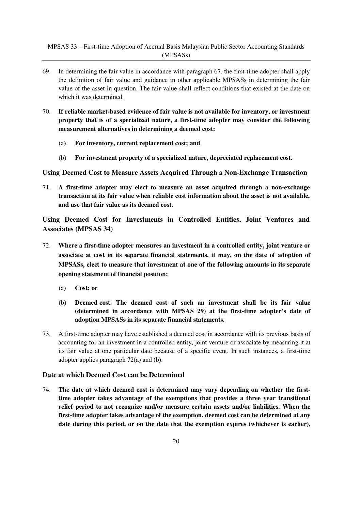MPSAS 33 – First-time Adoption of Accrual Basis Malaysian Public Sector Accounting Standards (MPSASs)

- 69. In determining the fair value in accordance with paragraph 67, the first-time adopter shall apply the definition of fair value and guidance in other applicable MPSASs in determining the fair value of the asset in question. The fair value shall reflect conditions that existed at the date on which it was determined.
- 70. **If reliable market-based evidence of fair value is not available for inventory, or investment property that is of a specialized nature, a first-time adopter may consider the following measurement alternatives in determining a deemed cost:** 
	- (a) **For inventory, current replacement cost; and**
	- (b) **For investment property of a specialized nature, depreciated replacement cost.**

**Using Deemed Cost to Measure Assets Acquired Through a Non-Exchange Transaction**

71. **A first-time adopter may elect to measure an asset acquired through a non-exchange transaction at its fair value when reliable cost information about the asset is not available, and use that fair value as its deemed cost.** 

**Using Deemed Cost for Investments in Controlled Entities, Joint Ventures and Associates (MPSAS 34)**

- 72. **Where a first-time adopter measures an investment in a controlled entity, joint venture or associate at cost in its separate financial statements, it may, on the date of adoption of MPSASs, elect to measure that investment at one of the following amounts in its separate opening statement of financial position:**
	- (a) **Cost; or**
	- (b) **Deemed cost. The deemed cost of such an investment shall be its fair value (determined in accordance with MPSAS 29) at the first-time adopter's date of adoption MPSASs in its separate financial statements.**
- 73. A first-time adopter may have established a deemed cost in accordance with its previous basis of accounting for an investment in a controlled entity, joint venture or associate by measuring it at its fair value at one particular date because of a specific event. In such instances, a first-time adopter applies paragraph 72(a) and (b).

#### **Date at which Deemed Cost can be Determined**

74. **The date at which deemed cost is determined may vary depending on whether the firsttime adopter takes advantage of the exemptions that provides a three year transitional relief period to not recognize and/or measure certain assets and/or liabilities. When the first-time adopter takes advantage of the exemption, deemed cost can be determined at any date during this period, or on the date that the exemption expires (whichever is earlier),**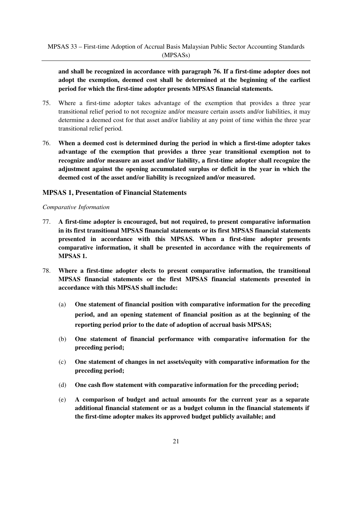**and shall be recognized in accordance with paragraph 76. If a first-time adopter does not adopt the exemption, deemed cost shall be determined at the beginning of the earliest period for which the first-time adopter presents MPSAS financial statements.** 

- 75. Where a first-time adopter takes advantage of the exemption that provides a three year transitional relief period to not recognize and/or measure certain assets and/or liabilities, it may determine a deemed cost for that asset and/or liability at any point of time within the three year transitional relief period.
- 76. **When a deemed cost is determined during the period in which a first-time adopter takes advantage of the exemption that provides a three year transitional exemption not to recognize and/or measure an asset and/or liability, a first-time adopter shall recognize the adjustment against the opening accumulated surplus or deficit in the year in which the deemed cost of the asset and/or liability is recognized and/or measured.**

#### **MPSAS 1, Presentation of Financial Statements**

#### *Comparative Information*

- 77. **A first-time adopter is encouraged, but not required, to present comparative information in its first transitional MPSAS financial statements or its first MPSAS financial statements presented in accordance with this MPSAS. When a first-time adopter presents comparative information, it shall be presented in accordance with the requirements of MPSAS 1.**
- 78. **Where a first-time adopter elects to present comparative information, the transitional MPSAS financial statements or the first MPSAS financial statements presented in accordance with this MPSAS shall include:** 
	- (a) **One statement of financial position with comparative information for the preceding period, and an opening statement of financial position as at the beginning of the reporting period prior to the date of adoption of accrual basis MPSAS;**
	- (b) **One statement of financial performance with comparative information for the preceding period;**
	- (c) **One statement of changes in net assets/equity with comparative information for the preceding period;**
	- (d) **One cash flow statement with comparative information for the preceding period;**
	- (e) **A comparison of budget and actual amounts for the current year as a separate additional financial statement or as a budget column in the financial statements if the first-time adopter makes its approved budget publicly available; and**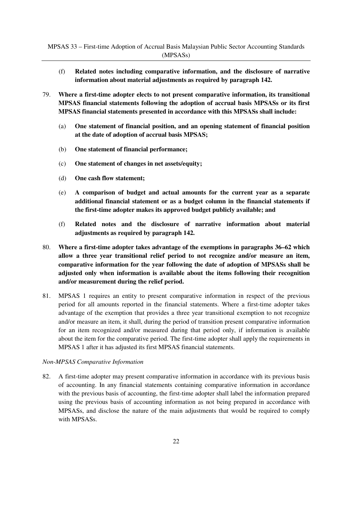- (f) **Related notes including comparative information, and the disclosure of narrative information about material adjustments as required by paragraph 142.**
- 79. **Where a first-time adopter elects to not present comparative information, its transitional MPSAS financial statements following the adoption of accrual basis MPSASs or its first MPSAS financial statements presented in accordance with this MPSASs shall include:** 
	- (a) **One statement of financial position, and an opening statement of financial position at the date of adoption of accrual basis MPSAS;**
	- (b) **One statement of financial performance;**
	- (c) **One statement of changes in net assets/equity;**
	- (d) **One cash flow statement;**
	- (e) **A comparison of budget and actual amounts for the current year as a separate additional financial statement or as a budget column in the financial statements if the first-time adopter makes its approved budget publicly available; and**
	- (f) **Related notes and the disclosure of narrative information about material adjustments as required by paragraph 142.**
- 80. **Where a first-time adopter takes advantage of the exemptions in paragraphs 36–62 which allow a three year transitional relief period to not recognize and/or measure an item, comparative information for the year following the date of adoption of MPSASs shall be adjusted only when information is available about the items following their recognition and/or measurement during the relief period.**
- 81. MPSAS 1 requires an entity to present comparative information in respect of the previous period for all amounts reported in the financial statements. Where a first-time adopter takes advantage of the exemption that provides a three year transitional exemption to not recognize and/or measure an item, it shall, during the period of transition present comparative information for an item recognized and/or measured during that period only, if information is available about the item for the comparative period. The first-time adopter shall apply the requirements in MPSAS 1 after it has adjusted its first MPSAS financial statements.

#### *Non-MPSAS Comparative Information*

82. A first-time adopter may present comparative information in accordance with its previous basis of accounting. In any financial statements containing comparative information in accordance with the previous basis of accounting, the first-time adopter shall label the information prepared using the previous basis of accounting information as not being prepared in accordance with MPSASs, and disclose the nature of the main adjustments that would be required to comply with MPSASs.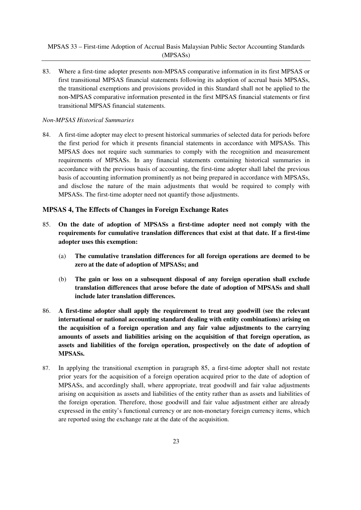83. Where a first-time adopter presents non-MPSAS comparative information in its first MPSAS or first transitional MPSAS financial statements following its adoption of accrual basis MPSASs, the transitional exemptions and provisions provided in this Standard shall not be applied to the non-MPSAS comparative information presented in the first MPSAS financial statements or first transitional MPSAS financial statements.

#### *Non-MPSAS Historical Summaries*

84. A first-time adopter may elect to present historical summaries of selected data for periods before the first period for which it presents financial statements in accordance with MPSASs. This MPSAS does not require such summaries to comply with the recognition and measurement requirements of MPSASs. In any financial statements containing historical summaries in accordance with the previous basis of accounting, the first-time adopter shall label the previous basis of accounting information prominently as not being prepared in accordance with MPSASs, and disclose the nature of the main adjustments that would be required to comply with MPSASs. The first-time adopter need not quantify those adjustments.

#### **MPSAS 4, The Effects of Changes in Foreign Exchange Rates**

- 85. **On the date of adoption of MPSASs a first-time adopter need not comply with the requirements for cumulative translation differences that exist at that date. If a first-time adopter uses this exemption:** 
	- (a) **The cumulative translation differences for all foreign operations are deemed to be zero at the date of adoption of MPSASs; and**
	- (b) **The gain or loss on a subsequent disposal of any foreign operation shall exclude translation differences that arose before the date of adoption of MPSASs and shall include later translation differences.**
- 86. **A first-time adopter shall apply the requirement to treat any goodwill (see the relevant international or national accounting standard dealing with entity combinations) arising on the acquisition of a foreign operation and any fair value adjustments to the carrying amounts of assets and liabilities arising on the acquisition of that foreign operation, as assets and liabilities of the foreign operation, prospectively on the date of adoption of MPSASs.**
- 87. In applying the transitional exemption in paragraph 85, a first-time adopter shall not restate prior years for the acquisition of a foreign operation acquired prior to the date of adoption of MPSASs, and accordingly shall, where appropriate, treat goodwill and fair value adjustments arising on acquisition as assets and liabilities of the entity rather than as assets and liabilities of the foreign operation. Therefore, those goodwill and fair value adjustment either are already expressed in the entity's functional currency or are non-monetary foreign currency items, which are reported using the exchange rate at the date of the acquisition.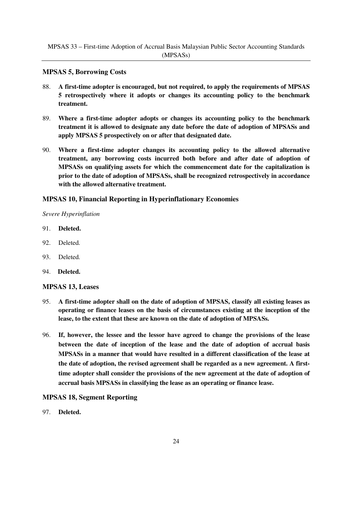#### **MPSAS 5, Borrowing Costs**

- 88. **A first-time adopter is encouraged, but not required, to apply the requirements of MPSAS 5 retrospectively where it adopts or changes its accounting policy to the benchmark treatment.**
- 89. **Where a first-time adopter adopts or changes its accounting policy to the benchmark treatment it is allowed to designate any date before the date of adoption of MPSASs and apply MPSAS 5 prospectively on or after that designated date.**
- 90. **Where a first-time adopter changes its accounting policy to the allowed alternative treatment, any borrowing costs incurred both before and after date of adoption of MPSASs on qualifying assets for which the commencement date for the capitalization is prior to the date of adoption of MPSASs, shall be recognized retrospectively in accordance with the allowed alternative treatment.**

## **MPSAS 10, Financial Reporting in Hyperinflationary Economies**

*Severe Hyperinflation*

- 91. **Deleted.**
- 92. Deleted.
- 93. Deleted.
- 94. **Deleted.**

#### **MPSAS 13, Leases**

- 95. **A first-time adopter shall on the date of adoption of MPSAS, classify all existing leases as operating or finance leases on the basis of circumstances existing at the inception of the lease, to the extent that these are known on the date of adoption of MPSASs.**
- 96. **If, however, the lessee and the lessor have agreed to change the provisions of the lease between the date of inception of the lease and the date of adoption of accrual basis MPSASs in a manner that would have resulted in a different classification of the lease at the date of adoption, the revised agreement shall be regarded as a new agreement. A firsttime adopter shall consider the provisions of the new agreement at the date of adoption of accrual basis MPSASs in classifying the lease as an operating or finance lease.**

#### **MPSAS 18, Segment Reporting**

97. **Deleted.**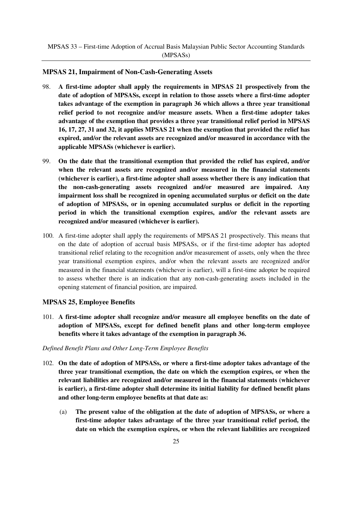#### **MPSAS 21, Impairment of Non-Cash-Generating Assets**

- 98. **A first-time adopter shall apply the requirements in MPSAS 21 prospectively from the date of adoption of MPSASs, except in relation to those assets where a first-time adopter takes advantage of the exemption in paragraph 36 which allows a three year transitional relief period to not recognize and/or measure assets. When a first-time adopter takes advantage of the exemption that provides a three year transitional relief period in MPSAS 16, 17, 27, 31 and 32, it applies MPSAS 21 when the exemption that provided the relief has expired, and/or the relevant assets are recognized and/or measured in accordance with the applicable MPSASs (whichever is earlier).**
- 99. **On the date that the transitional exemption that provided the relief has expired, and/or when the relevant assets are recognized and/or measured in the financial statements (whichever is earlier), a first-time adopter shall assess whether there is any indication that the non-cash-generating assets recognized and/or measured are impaired. Any impairment loss shall be recognized in opening accumulated surplus or deficit on the date of adoption of MPSASs, or in opening accumulated surplus or deficit in the reporting period in which the transitional exemption expires, and/or the relevant assets are recognized and/or measured (whichever is earlier).**
- 100. A first-time adopter shall apply the requirements of MPSAS 21 prospectively. This means that on the date of adoption of accrual basis MPSASs, or if the first-time adopter has adopted transitional relief relating to the recognition and/or measurement of assets, only when the three year transitional exemption expires, and/or when the relevant assets are recognized and/or measured in the financial statements (whichever is earlier), will a first-time adopter be required to assess whether there is an indication that any non-cash-generating assets included in the opening statement of financial position, are impaired.

#### **MPSAS 25, Employee Benefits**

101. **A first-time adopter shall recognize and/or measure all employee benefits on the date of adoption of MPSASs, except for defined benefit plans and other long-term employee benefits where it takes advantage of the exemption in paragraph 36.** 

#### *Defined Benefit Plans and Other Long-Term Employee Benefits*

- 102. **On the date of adoption of MPSASs, or where a first-time adopter takes advantage of the three year transitional exemption, the date on which the exemption expires, or when the relevant liabilities are recognized and/or measured in the financial statements (whichever is earlier), a first-time adopter shall determine its initial liability for defined benefit plans and other long-term employee benefits at that date as:** 
	- (a) **The present value of the obligation at the date of adoption of MPSASs, or where a first-time adopter takes advantage of the three year transitional relief period, the date on which the exemption expires, or when the relevant liabilities are recognized**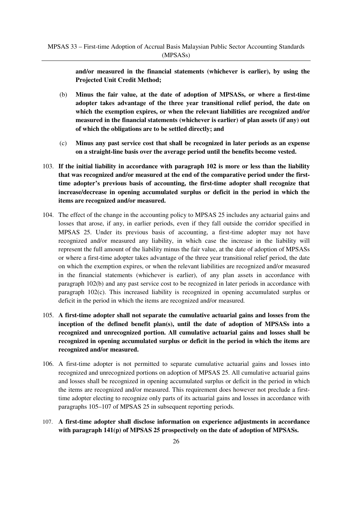**and/or measured in the financial statements (whichever is earlier), by using the Projected Unit Credit Method;** 

- (b) **Minus the fair value, at the date of adoption of MPSASs, or where a first-time adopter takes advantage of the three year transitional relief period, the date on which the exemption expires, or when the relevant liabilities are recognized and/or measured in the financial statements (whichever is earlier) of plan assets (if any) out of which the obligations are to be settled directly; and**
- (c) **Minus any past service cost that shall be recognized in later periods as an expense on a straight-line basis over the average period until the benefits become vested.**
- 103. **If the initial liability in accordance with paragraph 102 is more or less than the liability that was recognized and/or measured at the end of the comparative period under the firsttime adopter's previous basis of accounting, the first-time adopter shall recognize that increase/decrease in opening accumulated surplus or deficit in the period in which the items are recognized and/or measured.**
- 104. The effect of the change in the accounting policy to MPSAS 25 includes any actuarial gains and losses that arose, if any, in earlier periods, even if they fall outside the corridor specified in MPSAS 25. Under its previous basis of accounting, a first-time adopter may not have recognized and/or measured any liability, in which case the increase in the liability will represent the full amount of the liability minus the fair value, at the date of adoption of MPSASs or where a first-time adopter takes advantage of the three year transitional relief period, the date on which the exemption expires, or when the relevant liabilities are recognized and/or measured in the financial statements (whichever is earlier), of any plan assets in accordance with paragraph 102(b) and any past service cost to be recognized in later periods in accordance with paragraph 102(c). This increased liability is recognized in opening accumulated surplus or deficit in the period in which the items are recognized and/or measured.
- 105. **A first-time adopter shall not separate the cumulative actuarial gains and losses from the inception of the defined benefit plan(s), until the date of adoption of MPSASs into a recognized and unrecognized portion. All cumulative actuarial gains and losses shall be recognized in opening accumulated surplus or deficit in the period in which the items are recognized and/or measured.**
- 106. A first-time adopter is not permitted to separate cumulative actuarial gains and losses into recognized and unrecognized portions on adoption of MPSAS 25. All cumulative actuarial gains and losses shall be recognized in opening accumulated surplus or deficit in the period in which the items are recognized and/or measured. This requirement does however not preclude a firsttime adopter electing to recognize only parts of its actuarial gains and losses in accordance with paragraphs 105–107 of MPSAS 25 in subsequent reporting periods.
- 107. **A first-time adopter shall disclose information on experience adjustments in accordance with paragraph 141(p) of MPSAS 25 prospectively on the date of adoption of MPSASs.**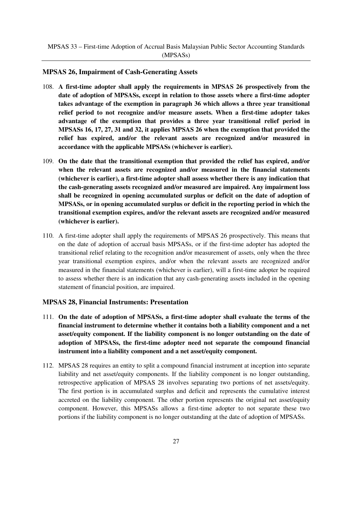#### **MPSAS 26, Impairment of Cash-Generating Assets**

- 108. **A first-time adopter shall apply the requirements in MPSAS 26 prospectively from the date of adoption of MPSASs, except in relation to those assets where a first-time adopter takes advantage of the exemption in paragraph 36 which allows a three year transitional relief period to not recognize and/or measure assets. When a first-time adopter takes advantage of the exemption that provides a three year transitional relief period in MPSASs 16, 17, 27, 31 and 32, it applies MPSAS 26 when the exemption that provided the relief has expired, and/or the relevant assets are recognized and/or measured in accordance with the applicable MPSASs (whichever is earlier).**
- 109. **On the date that the transitional exemption that provided the relief has expired, and/or when the relevant assets are recognized and/or measured in the financial statements (whichever is earlier), a first-time adopter shall assess whether there is any indication that the cash-generating assets recognized and/or measured are impaired. Any impairment loss shall be recognized in opening accumulated surplus or deficit on the date of adoption of MPSASs, or in opening accumulated surplus or deficit in the reporting period in which the transitional exemption expires, and/or the relevant assets are recognized and/or measured (whichever is earlier).**
- 110. A first-time adopter shall apply the requirements of MPSAS 26 prospectively. This means that on the date of adoption of accrual basis MPSASs, or if the first-time adopter has adopted the transitional relief relating to the recognition and/or measurement of assets, only when the three year transitional exemption expires, and/or when the relevant assets are recognized and/or measured in the financial statements (whichever is earlier), will a first-time adopter be required to assess whether there is an indication that any cash-generating assets included in the opening statement of financial position, are impaired.

#### **MPSAS 28, Financial Instruments: Presentation**

- 111. **On the date of adoption of MPSASs, a first-time adopter shall evaluate the terms of the financial instrument to determine whether it contains both a liability component and a net asset/equity component. If the liability component is no longer outstanding on the date of adoption of MPSASs, the first-time adopter need not separate the compound financial instrument into a liability component and a net asset/equity component.**
- 112. MPSAS 28 requires an entity to split a compound financial instrument at inception into separate liability and net asset/equity components. If the liability component is no longer outstanding, retrospective application of MPSAS 28 involves separating two portions of net assets/equity. The first portion is in accumulated surplus and deficit and represents the cumulative interest accreted on the liability component. The other portion represents the original net asset/equity component. However, this MPSASs allows a first-time adopter to not separate these two portions if the liability component is no longer outstanding at the date of adoption of MPSASs.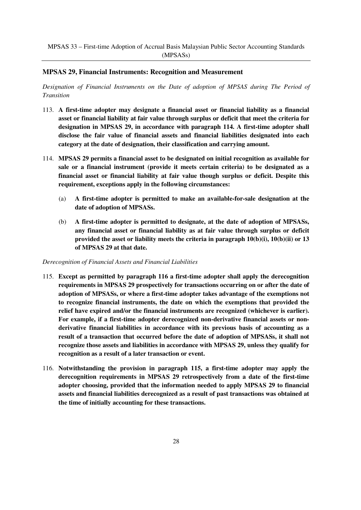#### **MPSAS 29, Financial Instruments: Recognition and Measurement**

*Designation of Financial Instruments on the Date of adoption of MPSAS during The Period of Transition*

- 113. **A first-time adopter may designate a financial asset or financial liability as a financial asset or financial liability at fair value through surplus or deficit that meet the criteria for designation in MPSAS 29, in accordance with paragraph 114. A first-time adopter shall disclose the fair value of financial assets and financial liabilities designated into each category at the date of designation, their classification and carrying amount.**
- 114. **MPSAS 29 permits a financial asset to be designated on initial recognition as available for sale or a financial instrument (provide it meets certain criteria) to be designated as a financial asset or financial liability at fair value though surplus or deficit. Despite this requirement, exceptions apply in the following circumstances:** 
	- (a) **A first-time adopter is permitted to make an available-for-sale designation at the date of adoption of MPSASs.**
	- (b) **A first-time adopter is permitted to designate, at the date of adoption of MPSASs, any financial asset or financial liability as at fair value through surplus or deficit provided the asset or liability meets the criteria in paragraph 10(b)(i), 10(b)(ii) or 13 of MPSAS 29 at that date.**

#### *Derecognition of Financial Assets and Financial Liabilities*

- 115. **Except as permitted by paragraph 116 a first-time adopter shall apply the derecognition requirements in MPSAS 29 prospectively for transactions occurring on or after the date of adoption of MPSASs, or where a first-time adopter takes advantage of the exemptions not to recognize financial instruments, the date on which the exemptions that provided the relief have expired and/or the financial instruments are recognized (whichever is earlier). For example, if a first-time adopter derecognized non-derivative financial assets or nonderivative financial liabilities in accordance with its previous basis of accounting as a result of a transaction that occurred before the date of adoption of MPSASs, it shall not recognize those assets and liabilities in accordance with MPSAS 29, unless they qualify for recognition as a result of a later transaction or event.**
- 116. **Notwithstanding the provision in paragraph 115, a first-time adopter may apply the derecognition requirements in MPSAS 29 retrospectively from a date of the first-time adopter choosing, provided that the information needed to apply MPSAS 29 to financial assets and financial liabilities derecognized as a result of past transactions was obtained at the time of initially accounting for these transactions.**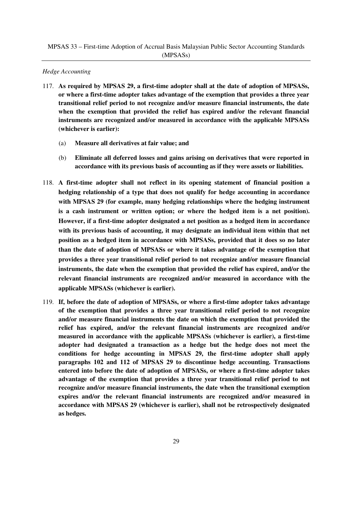#### *Hedge Accounting*

- 117. **As required by MPSAS 29, a first-time adopter shall at the date of adoption of MPSASs, or where a first-time adopter takes advantage of the exemption that provides a three year transitional relief period to not recognize and/or measure financial instruments, the date when the exemption that provided the relief has expired and/or the relevant financial instruments are recognized and/or measured in accordance with the applicable MPSASs (whichever is earlier):** 
	- (a) **Measure all derivatives at fair value; and**
	- (b) **Eliminate all deferred losses and gains arising on derivatives that were reported in accordance with its previous basis of accounting as if they were assets or liabilities.**
- 118. **A first-time adopter shall not reflect in its opening statement of financial position a hedging relationship of a type that does not qualify for hedge accounting in accordance with MPSAS 29 (for example, many hedging relationships where the hedging instrument is a cash instrument or written option; or where the hedged item is a net position). However, if a first-time adopter designated a net position as a hedged item in accordance**  with its previous basis of accounting, it may designate an individual item within that net **position as a hedged item in accordance with MPSASs, provided that it does so no later than the date of adoption of MPSASs or where it takes advantage of the exemption that provides a three year transitional relief period to not recognize and/or measure financial instruments, the date when the exemption that provided the relief has expired, and/or the relevant financial instruments are recognized and/or measured in accordance with the applicable MPSASs (whichever is earlier).**
- 119. **If, before the date of adoption of MPSASs, or where a first-time adopter takes advantage of the exemption that provides a three year transitional relief period to not recognize and/or measure financial instruments the date on which the exemption that provided the relief has expired, and/or the relevant financial instruments are recognized and/or measured in accordance with the applicable MPSASs (whichever is earlier), a first-time adopter had designated a transaction as a hedge but the hedge does not meet the conditions for hedge accounting in MPSAS 29, the first-time adopter shall apply paragraphs 102 and 112 of MPSAS 29 to discontinue hedge accounting. Transactions entered into before the date of adoption of MPSASs, or where a first-time adopter takes advantage of the exemption that provides a three year transitional relief period to not recognize and/or measure financial instruments, the date when the transitional exemption expires and/or the relevant financial instruments are recognized and/or measured in accordance with MPSAS 29 (whichever is earlier), shall not be retrospectively designated as hedges.**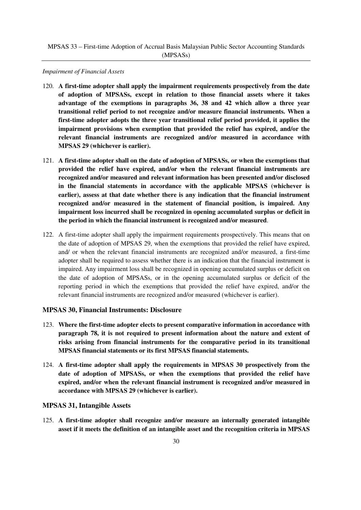#### *Impairment of Financial Assets*

- 120. **A first-time adopter shall apply the impairment requirements prospectively from the date of adoption of MPSASs, except in relation to those financial assets where it takes advantage of the exemptions in paragraphs 36, 38 and 42 which allow a three year transitional relief period to not recognize and/or measure financial instruments. When a first-time adopter adopts the three year transitional relief period provided, it applies the impairment provisions when exemption that provided the relief has expired, and/or the relevant financial instruments are recognized and/or measured in accordance with MPSAS 29 (whichever is earlier).**
- 121. **A first-time adopter shall on the date of adoption of MPSASs, or when the exemptions that provided the relief have expired, and/or when the relevant financial instruments are recognized and/or measured and relevant information has been presented and/or disclosed in the financial statements in accordance with the applicable MPSAS (whichever is earlier), assess at that date whether there is any indication that the financial instrument recognized and/or measured in the statement of financial position, is impaired. Any impairment loss incurred shall be recognized in opening accumulated surplus or deficit in the period in which the financial instrument is recognized and/or measured**.
- 122. A first-time adopter shall apply the impairment requirements prospectively. This means that on the date of adoption of MPSAS 29, when the exemptions that provided the relief have expired, and/ or when the relevant financial instruments are recognized and/or measured, a first-time adopter shall be required to assess whether there is an indication that the financial instrument is impaired. Any impairment loss shall be recognized in opening accumulated surplus or deficit on the date of adoption of MPSASs, or in the opening accumulated surplus or deficit of the reporting period in which the exemptions that provided the relief have expired, and/or the relevant financial instruments are recognized and/or measured (whichever is earlier).

#### **MPSAS 30, Financial Instruments: Disclosure**

- 123. **Where the first-time adopter elects to present comparative information in accordance with paragraph 78, it is not required to present information about the nature and extent of risks arising from financial instruments for the comparative period in its transitional MPSAS financial statements or its first MPSAS financial statements.**
- 124. **A first-time adopter shall apply the requirements in MPSAS 30 prospectively from the date of adoption of MPSASs, or when the exemptions that provided the relief have expired, and/or when the relevant financial instrument is recognized and/or measured in accordance with MPSAS 29 (whichever is earlier).**

#### **MPSAS 31, Intangible Assets**

125. **A first-time adopter shall recognize and/or measure an internally generated intangible asset if it meets the definition of an intangible asset and the recognition criteria in MPSAS**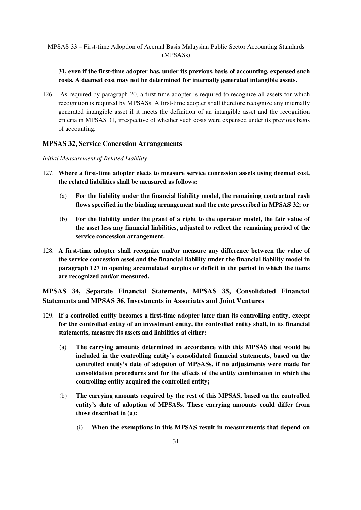#### **31, even if the first-time adopter has, under its previous basis of accounting, expensed such costs. A deemed cost may not be determined for internally generated intangible assets.**

126. As required by paragraph 20, a first-time adopter is required to recognize all assets for which recognition is required by MPSASs. A first-time adopter shall therefore recognize any internally generated intangible asset if it meets the definition of an intangible asset and the recognition criteria in MPSAS 31, irrespective of whether such costs were expensed under its previous basis of accounting.

#### **MPSAS 32, Service Concession Arrangements**

#### *Initial Measurement of Related Liability*

- 127. **Where a first-time adopter elects to measure service concession assets using deemed cost, the related liabilities shall be measured as follows:** 
	- (a) **For the liability under the financial liability model, the remaining contractual cash flows specified in the binding arrangement and the rate prescribed in MPSAS 32; or**
	- (b) **For the liability under the grant of a right to the operator model, the fair value of the asset less any financial liabilities, adjusted to reflect the remaining period of the service concession arrangement.**
- 128. **A first-time adopter shall recognize and/or measure any difference between the value of the service concession asset and the financial liability under the financial liability model in paragraph 127 in opening accumulated surplus or deficit in the period in which the items are recognized and/or measured.**

**MPSAS 34, Separate Financial Statements, MPSAS 35, Consolidated Financial Statements and MPSAS 36, Investments in Associates and Joint Ventures**

- 129. **If a controlled entity becomes a first-time adopter later than its controlling entity, except for the controlled entity of an investment entity, the controlled entity shall, in its financial statements, measure its assets and liabilities at either:** 
	- (a) **The carrying amounts determined in accordance with this MPSAS that would be included in the controlling entity's consolidated financial statements, based on the controlled entity's date of adoption of MPSASs, if no adjustments were made for consolidation procedures and for the effects of the entity combination in which the controlling entity acquired the controlled entity;**
	- (b) **The carrying amounts required by the rest of this MPSAS, based on the controlled entity's date of adoption of MPSASs. These carrying amounts could differ from those described in (a):** 
		- (i) **When the exemptions in this MPSAS result in measurements that depend on**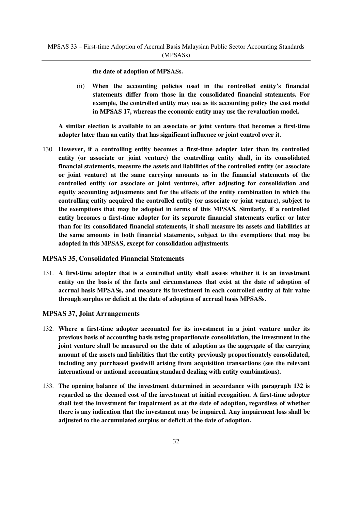**the date of adoption of MPSASs.**

(ii) **When the accounting policies used in the controlled entity's financial statements differ from those in the consolidated financial statements. For example, the controlled entity may use as its accounting policy the cost model in MPSAS 17, whereas the economic entity may use the revaluation model.** 

**A similar election is available to an associate or joint venture that becomes a first-time adopter later than an entity that has significant influence or joint control over it.**

130. **However, if a controlling entity becomes a first-time adopter later than its controlled entity (or associate or joint venture) the controlling entity shall, in its consolidated financial statements, measure the assets and liabilities of the controlled entity (or associate or joint venture) at the same carrying amounts as in the financial statements of the controlled entity (or associate or joint venture), after adjusting for consolidation and equity accounting adjustments and for the effects of the entity combination in which the controlling entity acquired the controlled entity (or associate or joint venture), subject to the exemptions that may be adopted in terms of this MPSAS. Similarly, if a controlled entity becomes a first-time adopter for its separate financial statements earlier or later than for its consolidated financial statements, it shall measure its assets and liabilities at the same amounts in both financial statements, subject to the exemptions that may be adopted in this MPSAS, except for consolidation adjustments**.

#### **MPSAS 35, Consolidated Financial Statements**

131. **A first-time adopter that is a controlled entity shall assess whether it is an investment entity on the basis of the facts and circumstances that exist at the date of adoption of accrual basis MPSASs, and measure its investment in each controlled entity at fair value through surplus or deficit at the date of adoption of accrual basis MPSASs.** 

#### **MPSAS 37, Joint Arrangements**

- 132. **Where a first-time adopter accounted for its investment in a joint venture under its previous basis of accounting basis using proportionate consolidation, the investment in the joint venture shall be measured on the date of adoption as the aggregate of the carrying amount of the assets and liabilities that the entity previously proportionately consolidated, including any purchased goodwill arising from acquisition transactions (see the relevant international or national accounting standard dealing with entity combinations).**
- 133. **The opening balance of the investment determined in accordance with paragraph 132 is regarded as the deemed cost of the investment at initial recognition. A first-time adopter shall test the investment for impairment as at the date of adoption, regardless of whether there is any indication that the investment may be impaired. Any impairment loss shall be adjusted to the accumulated surplus or deficit at the date of adoption.**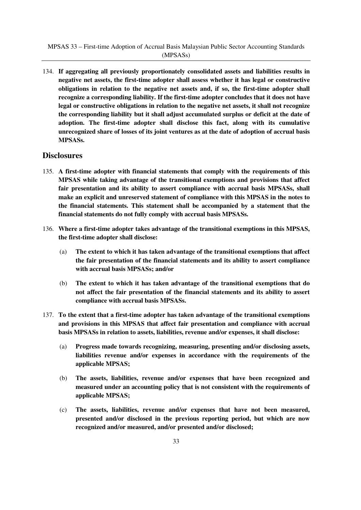134. **If aggregating all previously proportionately consolidated assets and liabilities results in negative net assets, the first-time adopter shall assess whether it has legal or constructive obligations in relation to the negative net assets and, if so, the first-time adopter shall recognize a corresponding liability. If the first-time adopter concludes that it does not have legal or constructive obligations in relation to the negative net assets, it shall not recognize the corresponding liability but it shall adjust accumulated surplus or deficit at the date of adoption. The first-time adopter shall disclose this fact, along with its cumulative unrecognized share of losses of its joint ventures as at the date of adoption of accrual basis MPSASs.** 

## **Disclosures**

- 135. **A first-time adopter with financial statements that comply with the requirements of this MPSAS while taking advantage of the transitional exemptions and provisions that affect fair presentation and its ability to assert compliance with accrual basis MPSASs, shall make an explicit and unreserved statement of compliance with this MPSAS in the notes to the financial statements. This statement shall be accompanied by a statement that the financial statements do not fully comply with accrual basis MPSASs.**
- 136. **Where a first-time adopter takes advantage of the transitional exemptions in this MPSAS, the first-time adopter shall disclose:** 
	- (a) **The extent to which it has taken advantage of the transitional exemptions that affect the fair presentation of the financial statements and its ability to assert compliance with accrual basis MPSASs; and/or**
	- (b) **The extent to which it has taken advantage of the transitional exemptions that do not affect the fair presentation of the financial statements and its ability to assert compliance with accrual basis MPSASs.**
- 137. **To the extent that a first-time adopter has taken advantage of the transitional exemptions and provisions in this MPSAS that affect fair presentation and compliance with accrual basis MPSASs in relation to assets, liabilities, revenue and/or expenses, it shall disclose:** 
	- (a) **Progress made towards recognizing, measuring, presenting and/or disclosing assets, liabilities revenue and/or expenses in accordance with the requirements of the applicable MPSAS;**
	- (b) **The assets, liabilities, revenue and/or expenses that have been recognized and measured under an accounting policy that is not consistent with the requirements of applicable MPSAS;**
	- (c) **The assets, liabilities, revenue and/or expenses that have not been measured, presented and/or disclosed in the previous reporting period, but which are now recognized and/or measured, and/or presented and/or disclosed;**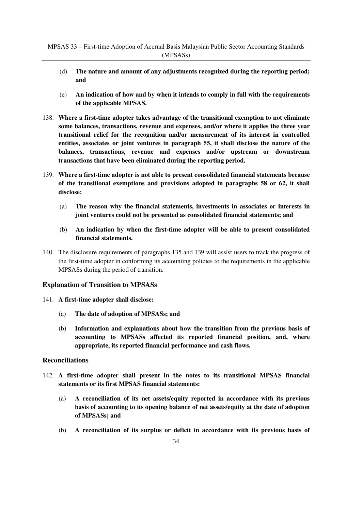- (d) **The nature and amount of any adjustments recognized during the reporting period; and**
- (e) **An indication of how and by when it intends to comply in full with the requirements of the applicable MPSAS.**
- 138. **Where a first-time adopter takes advantage of the transitional exemption to not eliminate some balances, transactions, revenue and expenses, and/or where it applies the three year transitional relief for the recognition and/or measurement of its interest in controlled entities, associates or joint ventures in paragraph 55, it shall disclose the nature of the balances, transactions, revenue and expenses and/or upstream or downstream transactions that have been eliminated during the reporting period.**
- 139. **Where a first-time adopter is not able to present consolidated financial statements because of the transitional exemptions and provisions adopted in paragraphs 58 or 62, it shall disclose:** 
	- (a) **The reason why the financial statements, investments in associates or interests in joint ventures could not be presented as consolidated financial statements; and**
	- (b) **An indication by when the first-time adopter will be able to present consolidated financial statements.**
- 140. The disclosure requirements of paragraphs 135 and 139 will assist users to track the progress of the first-time adopter in conforming its accounting policies to the requirements in the applicable MPSASs during the period of transition.

## **Explanation of Transition to MPSASs**

- 141. **A first-time adopter shall disclose:** 
	- (a) **The date of adoption of MPSASs; and**
	- (b) **Information and explanations about how the transition from the previous basis of accounting to MPSASs affected its reported financial position, and, where appropriate, its reported financial performance and cash flows.**

#### **Reconciliations**

- 142. **A first-time adopter shall present in the notes to its transitional MPSAS financial statements or its first MPSAS financial statements:**
	- (a) **A reconciliation of its net assets/equity reported in accordance with its previous basis of accounting to its opening balance of net assets/equity at the date of adoption of MPSASs; and**
	- (b) **A reconciliation of its surplus or deficit in accordance with its previous basis of**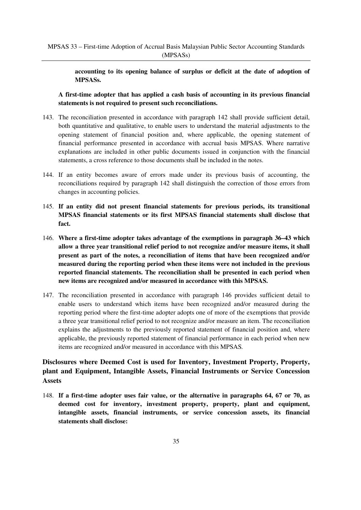**accounting to its opening balance of surplus or deficit at the date of adoption of MPSASs.** 

**A first-time adopter that has applied a cash basis of accounting in its previous financial statements is not required to present such reconciliations.**

- 143. The reconciliation presented in accordance with paragraph 142 shall provide sufficient detail, both quantitative and qualitative, to enable users to understand the material adjustments to the opening statement of financial position and, where applicable, the opening statement of financial performance presented in accordance with accrual basis MPSAS. Where narrative explanations are included in other public documents issued in conjunction with the financial statements, a cross reference to those documents shall be included in the notes.
- 144. If an entity becomes aware of errors made under its previous basis of accounting, the reconciliations required by paragraph 142 shall distinguish the correction of those errors from changes in accounting policies.
- 145. **If an entity did not present financial statements for previous periods, its transitional MPSAS financial statements or its first MPSAS financial statements shall disclose that fact.**
- 146. **Where a first-time adopter takes advantage of the exemptions in paragraph 36–43 which allow a three year transitional relief period to not recognize and/or measure items, it shall present as part of the notes, a reconciliation of items that have been recognized and/or measured during the reporting period when these items were not included in the previous reported financial statements. The reconciliation shall be presented in each period when new items are recognized and/or measured in accordance with this MPSAS.**
- 147. The reconciliation presented in accordance with paragraph 146 provides sufficient detail to enable users to understand which items have been recognized and/or measured during the reporting period where the first-time adopter adopts one of more of the exemptions that provide a three year transitional relief period to not recognize and/or measure an item. The reconciliation explains the adjustments to the previously reported statement of financial position and, where applicable, the previously reported statement of financial performance in each period when new items are recognized and/or measured in accordance with this MPSAS*.*

# **Disclosures where Deemed Cost is used for Inventory, Investment Property, Property, plant and Equipment, Intangible Assets, Financial Instruments or Service Concession Assets**

148. **If a first-time adopter uses fair value, or the alternative in paragraphs 64, 67 or 70, as deemed cost for inventory, investment property, property, plant and equipment, intangible assets, financial instruments, or service concession assets, its financial statements shall disclose:**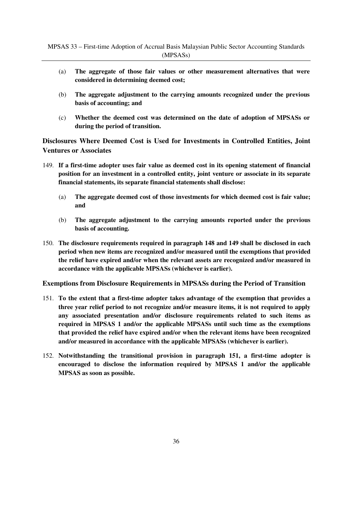- (a) **The aggregate of those fair values or other measurement alternatives that were considered in determining deemed cost;**
- (b) **The aggregate adjustment to the carrying amounts recognized under the previous basis of accounting; and**
- (c) **Whether the deemed cost was determined on the date of adoption of MPSASs or during the period of transition.**

**Disclosures Where Deemed Cost is Used for Investments in Controlled Entities, Joint Ventures or Associates**

- 149. **If a first-time adopter uses fair value as deemed cost in its opening statement of financial position for an investment in a controlled entity, joint venture or associate in its separate financial statements, its separate financial statements shall disclose:** 
	- (a) **The aggregate deemed cost of those investments for which deemed cost is fair value; and**
	- (b) **The aggregate adjustment to the carrying amounts reported under the previous basis of accounting.**
- 150. **The disclosure requirements required in paragraph 148 and 149 shall be disclosed in each period when new items are recognized and/or measured until the exemptions that provided the relief have expired and/or when the relevant assets are recognized and/or measured in accordance with the applicable MPSASs (whichever is earlier).**

## **Exemptions from Disclosure Requirements in MPSASs during the Period of Transition**

- 151. **To the extent that a first-time adopter takes advantage of the exemption that provides a three year relief period to not recognize and/or measure items, it is not required to apply any associated presentation and/or disclosure requirements related to such items as required in MPSAS 1 and/or the applicable MPSASs until such time as the exemptions that provided the relief have expired and/or when the relevant items have been recognized and/or measured in accordance with the applicable MPSASs (whichever is earlier).**
- 152. **Notwithstanding the transitional provision in paragraph 151, a first-time adopter is encouraged to disclose the information required by MPSAS 1 and/or the applicable MPSAS as soon as possible.**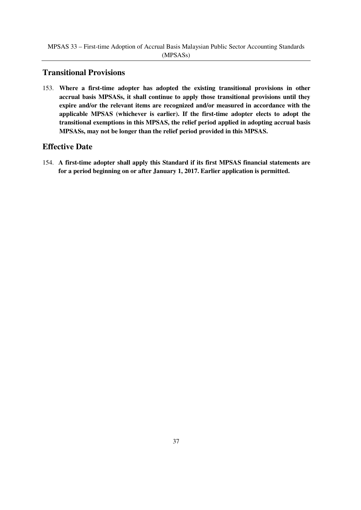# **Transitional Provisions**

153. **Where a first-time adopter has adopted the existing transitional provisions in other accrual basis MPSASs, it shall continue to apply those transitional provisions until they expire and/or the relevant items are recognized and/or measured in accordance with the applicable MPSAS (whichever is earlier). If the first-time adopter elects to adopt the transitional exemptions in this MPSAS, the relief period applied in adopting accrual basis MPSASs, may not be longer than the relief period provided in this MPSAS.** 

# **Effective Date**

154. **A first-time adopter shall apply this Standard if its first MPSAS financial statements are for a period beginning on or after January 1, 2017. Earlier application is permitted.**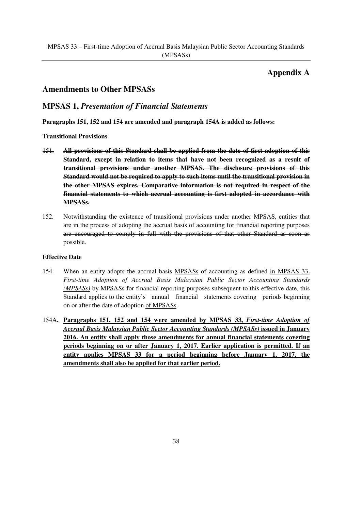# **Appendix A**

# **Amendments to Other MPSASs**

# **MPSAS 1,** *Presentation of Financial Statements*

**Paragraphs 151, 152 and 154 are amended and paragraph 154A is added as follows:**

## **Transitional Provisions**

- 151. **All provisions of this Standard shall be applied from the date of first adoption of this Standard, except in relation to items that have not been recognized as a result of transitional provisions under another MPSAS. The disclosure provisions of this Standard would not be required to apply to such items until the transitional provision in the other MPSAS expires. Comparative information is not required in respect of the financial statements to which accrual accounting is first adopted in accordance with MPSASs.**
- 152. Notwithstanding the existence of transitional provisions under another MPSAS, entities that are in the process of adopting the accrual basis of accounting for financial reporting purposes are encouraged to comply in full with the provisions of that other Standard as soon as possible.

- 154. When an entity adopts the accrual basis MPSASs of accounting as defined in MPSAS 33, *First-time Adoption of Accrual Basis Malaysian Public Sector Accounting Standards (MPSASs)* by MPSASs for financial reporting purposes subsequent to this effective date, this Standard applies to the entity's annual financial statements covering periods beginning on or after the date of adoption of MPSASs.
- 154A**. Paragraphs 151, 152 and 154 were amended by MPSAS 33,** *First-time Adoption of Accrual Basis Malaysian Public Sector Accounting Standards (MPSASs)* **issued in January 2016. An entity shall apply those amendments for annual financial statements covering periods beginning on or after January 1, 2017. Earlier application is permitted. If an entity applies MPSAS 33 for a period beginning before January 1, 2017, the amendments shall also be applied for that earlier period.**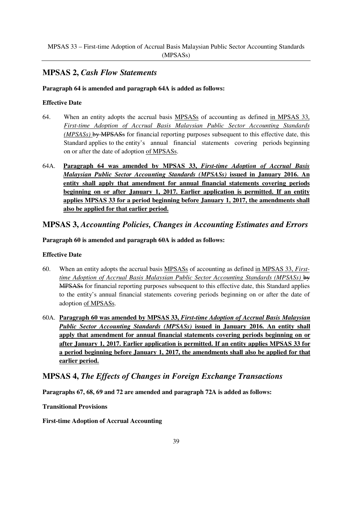# **MPSAS 2,** *Cash Flow Statements*

## **Paragraph 64 is amended and paragraph 64A is added as follows:**

## **Effective Date**

- 64. When an entity adopts the accrual basis MPSASs of accounting as defined in MPSAS 33, *First-time Adoption of Accrual Basis Malaysian Public Sector Accounting Standards (MPSASs)* by MPSASs for financial reporting purposes subsequent to this effective date, this Standard applies to the entity's annual financial statements covering periods beginning on or after the date of adoption of MPSASs.
- 64A. **Paragraph 64 was amended by MPSAS 33,** *First-time Adoption of Accrual Basis Malaysian Public Sector Accounting Standards (MPSASs)* **issued in January 2016. An entity shall apply that amendment for annual financial statements covering periods beginning on or after January 1, 2017. Earlier application is permitted. If an entity applies MPSAS 33 for a period beginning before January 1, 2017, the amendments shall also be applied for that earlier period.**

# **MPSAS 3,** *Accounting Policies, Changes in Accounting Estimates and Errors*

## **Paragraph 60 is amended and paragraph 60A is added as follows:**

## **Effective Date**

- 60. When an entity adopts the accrual basis MPSASs of accounting as defined in MPSAS 33, *Firsttime Adoption of Accrual Basis Malaysian Public Sector Accounting Standards (MPSASs)* by MPSASs for financial reporting purposes subsequent to this effective date, this Standard applies to the entity's annual financial statements covering periods beginning on or after the date of adoption of MPSASs.
- 60A. **Paragraph 60 was amended by MPSAS 33,** *First-time Adoption of Accrual Basis Malaysian Public Sector Accounting Standards (MPSASs)* **issued in January 2016. An entity shall apply that amendment for annual financial statements covering periods beginning on or after January 1, 2017. Earlier application is permitted. If an entity applies MPSAS 33 for a period beginning before January 1, 2017, the amendments shall also be applied for that earlier period.**

# **MPSAS 4,** *The Effects of Changes in Foreign Exchange Transactions*

**Paragraphs 67, 68, 69 and 72 are amended and paragraph 72A is added as follows:**

**Transitional Provisions**

**First-time Adoption of Accrual Accounting**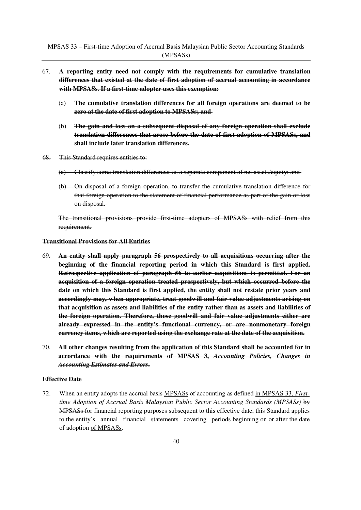- 67. **A reporting entity need not comply with the requirements for cumulative translation differences that existed at the date of first adoption of accrual accounting in accordance with MPSASs. If a first-time adopter uses this exemption:**
	- (a) **The cumulative translation differences for all foreign operations are deemed to be zero at the date of first adoption to MPSASs; and**
	- (b) **The gain and loss on a subsequent disposal of any foreign operation shall exclude translation differences that arose before the date of first adoption of MPSASs, and shall include later translation differences.**
- 68. This Standard requires entities to:
	- (a) Classify some translation differences as a separate component of net assets/equity; and
	- (b) On disposal of a foreign operation, to transfer the cumulative translation difference for that foreign operation to the statement of financial performance as part of the gain or loss on disposal.

The transitional provisions provide first-time adopters of MPSASs with relief from this requirement.

#### **Transitional Provisions for All Entities**

- 69. **An entity shall apply paragraph 56 prospectively to all acquisitions occurring after the beginning of the financial reporting period in which this Standard is first applied. Retrospective application of paragraph 56 to earlier acquisitions is permitted. For an acquisition of a foreign operation treated prospectively, but which occurred before the date on which this Standard is first applied, the entity shall not restate prior years and accordingly may, when appropriate, treat goodwill and fair value adjustments arising on that acquisition as assets and liabilities of the entity rather than as assets and liabilities of the foreign operation. Therefore, those goodwill and fair value adjustments either are already expressed in the entity's functional currency, or are nonmonetary foreign currency items, which are reported using the exchange rate at the date of the acquisition.**
- 70. **All other changes resulting from the application of this Standard shall be accounted for in accordance with the requirements of MPSAS 3,** *Accounting Policies, Changes in Accounting Estimates and Errors***.**

#### **Effective Date**

72. When an entity adopts the accrual basis MPSASs of accounting as defined in MPSAS 33, *Firsttime Adoption of Accrual Basis Malaysian Public Sector Accounting Standards (MPSASs)* by **MPSASs** for financial reporting purposes subsequent to this effective date, this Standard applies to the entity's annual financial statements covering periods beginning on or after the date of adoption of MPSASs.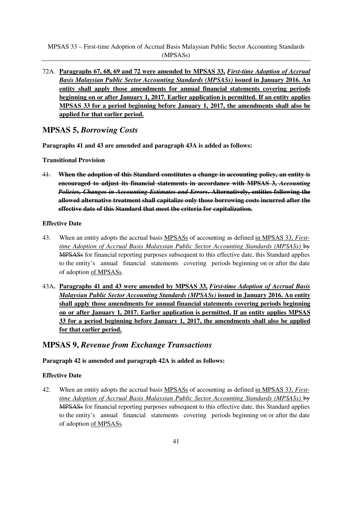MPSAS 33 – First-time Adoption of Accrual Basis Malaysian Public Sector Accounting Standards (MPSASs)

72A. **Paragraphs 67, 68, 69 and 72 were amended by MPSAS 33,** *First-time Adoption of Accrual Basis Malaysian Public Sector Accounting Standards (MPSASs)* **issued in January 2016. An entity shall apply those amendments for annual financial statements covering periods beginning on or after January 1, 2017. Earlier application is permitted. If an entity applies MPSAS 33 for a period beginning before January 1, 2017, the amendments shall also be applied for that earlier period.**

# **MPSAS 5,** *Borrowing Costs*

**Paragraphs 41 and 43 are amended and paragraph 43A is added as follows:**

**Transitional Provision**

41. **When the adoption of this Standard constitutes a change in accounting policy, an entity is encouraged to adjust its financial statements in accordance with MPSAS 3,** *Accounting Policies, Changes in Accounting Estimates and Errors***. Alternatively, entities following the allowed alternative treatment shall capitalize only those borrowing costs incurred after the effective date of this Standard that meet the criteria for capitalization.**

### **Effective Date**

- 43. When an entity adopts the accrual basis MPSASs of accounting as defined in MPSAS 33, *Firsttime Adoption of Accrual Basis Malaysian Public Sector Accounting Standards (MPSASs)* by MPSASs for financial reporting purposes subsequent to this effective date, this Standard applies to the entity's annual financial statements covering periods beginning on or after the date of adoption of MPSASs.
- 43A**. Paragraphs 41 and 43 were amended by MPSAS 33,** *First-time Adoption of Accrual Basis Malaysian Public Sector Accounting Standards (MPSASs)* **issued in January 2016. An entity shall apply those amendments for annual financial statements covering periods beginning on or after January 1, 2017. Earlier application is permitted. If an entity applies MPSAS 33 for a period beginning before January 1, 2017, the amendments shall also be applied for that earlier period.**

# **MPSAS 9,** *Revenue from Exchange Transactions*

## **Paragraph 42 is amended and paragraph 42A is added as follows:**

#### **Effective Date**

42. When an entity adopts the accrual basis MPSASs of accounting as defined in MPSAS 33, *Firsttime Adoption of Accrual Basis Malaysian Public Sector Accounting Standards (MPSASs)* by MPSASs for financial reporting purposes subsequent to this effective date, this Standard applies to the entity's annual financial statements covering periods beginning on or after the date of adoption of MPSASs.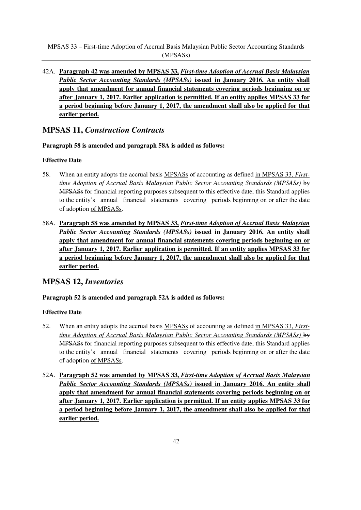MPSAS 33 – First-time Adoption of Accrual Basis Malaysian Public Sector Accounting Standards (MPSASs)

42A. **Paragraph 42 was amended by MPSAS 33,** *First-time Adoption of Accrual Basis Malaysian Public Sector Accounting Standards (MPSASs)* **issued in January 2016. An entity shall apply that amendment for annual financial statements covering periods beginning on or after January 1, 2017. Earlier application is permitted. If an entity applies MPSAS 33 for a period beginning before January 1, 2017, the amendment shall also be applied for that earlier period.**

# **MPSAS 11,** *Construction Contracts*

**Paragraph 58 is amended and paragraph 58A is added as follows:**

## **Effective Date**

- 58. When an entity adopts the accrual basis MPSASs of accounting as defined in MPSAS 33, *Firsttime Adoption of Accrual Basis Malaysian Public Sector Accounting Standards (MPSASs)* by MPSASs for financial reporting purposes subsequent to this effective date, this Standard applies to the entity's annual financial statements covering periods beginning on or after the date of adoption of MPSASs.
- 58A. **Paragraph 58 was amended by MPSAS 33,** *First-time Adoption of Accrual Basis Malaysian Public Sector Accounting Standards (MPSASs)* **issued in January 2016. An entity shall apply that amendment for annual financial statements covering periods beginning on or after January 1, 2017. Earlier application is permitted. If an entity applies MPSAS 33 for a period beginning before January 1, 2017, the amendment shall also be applied for that earlier period.**

# **MPSAS 12,** *Inventories*

# **Paragraph 52 is amended and paragraph 52A is added as follows:**

- 52. When an entity adopts the accrual basis MPSASs of accounting as defined in MPSAS 33, *Firsttime Adoption of Accrual Basis Malaysian Public Sector Accounting Standards (MPSASs)* by MPSASs for financial reporting purposes subsequent to this effective date, this Standard applies to the entity's annual financial statements covering periods beginning on or after the date of adoption of MPSASs.
- 52A. **Paragraph 52 was amended by MPSAS 33,** *First-time Adoption of Accrual Basis Malaysian Public Sector Accounting Standards (MPSASs)* **issued in January 2016. An entity shall apply that amendment for annual financial statements covering periods beginning on or after January 1, 2017. Earlier application is permitted. If an entity applies MPSAS 33 for a period beginning before January 1, 2017, the amendment shall also be applied for that earlier period.**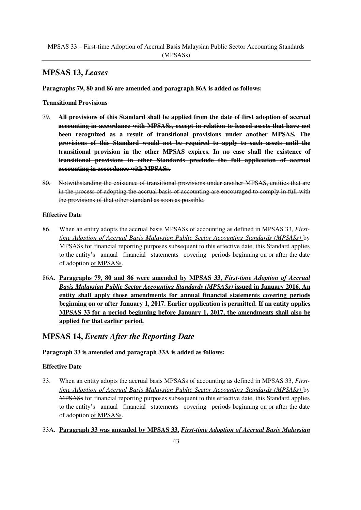# **MPSAS 13,** *Leases*

**Paragraphs 79, 80 and 86 are amended and paragraph 86A is added as follows:**

**Transitional Provisions**

- 79. **All provisions of this Standard shall be applied from the date of first adoption of accrual accounting in accordance with MPSASs, except in relation to leased assets that have not been recognized as a result of transitional provisions under another MPSAS. The provisions of this Standard would not be required to apply to such assets until the transitional provision in the other MPSAS expires. In no case shall the existence of transitional provisions in other Standards preclude the full application of accrual accounting in accordance with MPSASs.**
- 80. Notwithstanding the existence of transitional provisions under another MPSAS, entities that are in the process of adopting the accrual basis of accounting are encouraged to comply in full with the provisions of that other standard as soon as possible.

## **Effective Date**

- 86. When an entity adopts the accrual basis MPSASs of accounting as defined in MPSAS 33, *Firsttime Adoption of Accrual Basis Malaysian Public Sector Accounting Standards (MPSASs)* by MPSASs for financial reporting purposes subsequent to this effective date, this Standard applies to the entity's annual financial statements covering periods beginning on or after the date of adoption of MPSASs.
- 86A. **Paragraphs 79, 80 and 86 were amended by MPSAS 33,** *First-time Adoption of Accrual Basis Malaysian Public Sector Accounting Standards (MPSASs)* **issued in January 2016. An entity shall apply those amendments for annual financial statements covering periods beginning on or after January 1, 2017. Earlier application is permitted. If an entity applies MPSAS 33 for a period beginning before January 1, 2017, the amendments shall also be applied for that earlier period.**

# **MPSAS 14,** *Events After the Reporting Date*

# **Paragraph 33 is amended and paragraph 33A is added as follows:**

- 33. When an entity adopts the accrual basis MPSASs of accounting as defined in MPSAS 33, *Firsttime Adoption of Accrual Basis Malaysian Public Sector Accounting Standards (MPSASs)* by MPSASs for financial reporting purposes subsequent to this effective date, this Standard applies to the entity's annual financial statements covering periods beginning on or after the date of adoption of MPSASs.
- 33A. **Paragraph 33 was amended by MPSAS 33,** *First-time Adoption of Accrual Basis Malaysian*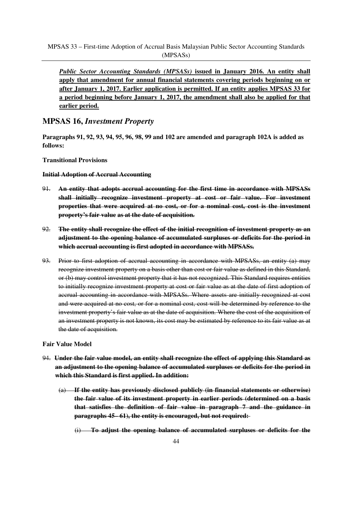*Public Sector Accounting Standards (MPSASs)* **issued in January 2016. An entity shall apply that amendment for annual financial statements covering periods beginning on or after January 1, 2017. Earlier application is permitted. If an entity applies MPSAS 33 for a period beginning before January 1, 2017, the amendment shall also be applied for that earlier period.**

# **MPSAS 16,** *Investment Property*

**Paragraphs 91, 92, 93, 94, 95, 96, 98, 99 and 102 are amended and paragraph 102A is added as follows:**

## **Transitional Provisions**

## **Initial Adoption of Accrual Accounting**

- 91. **An entity that adopts accrual accounting for the first time in accordance with MPSASs shall initially recognize investment property at cost or fair value. For investment properties that were acquired at no cost, or for a nominal cost, cost is the investment property's fair value as at the date of acquisition.**
- 92. **The entity shall recognize the effect of the initial recognition of investment property as an adjustment to the opening balance of accumulated surpluses or deficits for the period in which accrual accounting is first adopted in accordance with MPSASs.**
- 93. Prior to first adoption of accrual accounting in accordance with MPSASs, an entity (a) may recognize investment property on a basis other than cost or fair value as defined in this Standard, or (b) may control investment property that it has not recognized. This Standard requires entities to initially recognize investment property at cost or fair value as at the date of first adoption of accrual accounting in accordance with MPSASs. Where assets are initially recognized at cost and were acquired at no cost, or for a nominal cost, cost will be determined by reference to the investment property's fair value as at the date of acquisition. Where the cost of the acquisition of an investment property is not known, its cost may be estimated by reference to its fair value as at the date of acquisition.

#### **Fair Value Model**

- 94. **Under the fair value model, an entity shall recognize the effect of applying this Standard as an adjustment to the opening balance of accumulated surpluses or deficits for the period in which this Standard is first applied. In addition:**
	- (a) **If the entity has previously disclosed publicly (in financial statements or otherwise) the fair value of its investment property in earlier periods (determined on a basis that satisfies the definition of fair value in paragraph 7 and the guidance in paragraphs 45– 61), the entity is encouraged, but not required:** 
		- (i) **To adjust the opening balance of accumulated surpluses or deficits for the**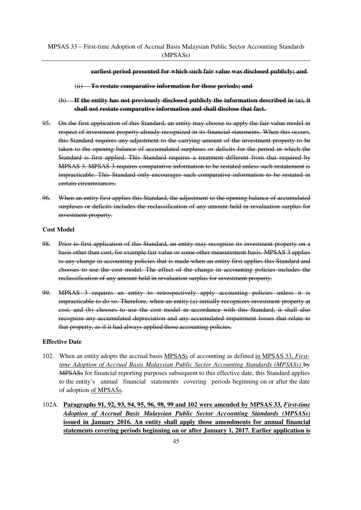**earliest period presented for which such fair value was disclosed publicly; and** 

- (ii) **To restate comparative information for those periods; and**
- (b) **If the entity has not previously disclosed publicly the information described in (a), it shall not restate comparative information and shall disclose that fact.**
- 95. On the first application of this Standard, an entity may choose to apply the fair value model in respect of investment property already recognized in its financial statements. When this occurs, this Standard requires any adjustment to the carrying amount of the investment property to be taken to the opening balance of accumulated surpluses or deficits for the period in which the Standard is first applied. This Standard requires a treatment different from that required by MPSAS 3. MPSAS 3 requires comparative information to be restated unless such restatement is impracticable. This Standard only encourages such comparative information to be restated in certain circumstances.
- 96. When an entity first applies this Standard, the adjustment to the opening balance of accumulated surpluses or deficits includes the reclassification of any amount held in revaluation surplus for investment property.

#### **Cost Model**

- 98. Prior to first application of this Standard, an entity may recognize its investment property on a basis other than cost, for example fair value or some other measurement basis. MPSAS 3 applies to any change in accounting policies that is made when an entity first applies this Standard and chooses to use the cost model. The effect of the change in accounting policies includes the reclassification of any amount held in revaluation surplus for investment property.
- 99. MPSAS 3 requires an entity to retrospectively apply accounting policies unless it is impracticable to do so. Therefore, when an entity (a) initially recognizes investment property at cost, and (b) chooses to use the cost model in accordance with this Standard, it shall also recognize any accumulated depreciation and any accumulated impairment losses that relate to that property, as if it had always applied those accounting policies.

- 102. When an entity adopts the accrual basis MPSASs of accounting as defined in MPSAS 33, *Firsttime Adoption of Accrual Basis Malaysian Public Sector Accounting Standards (MPSASs)* by MPSASs for financial reporting purposes subsequent to this effective date, this Standard applies to the entity's annual financial statements covering periods beginning on or after the date of adoption of MPSASs.
- 102A. **Paragraphs 91, 92, 93, 94, 95, 96, 98, 99 and 102 were amended by MPSAS 33,** *First-time Adoption of Accrual Basis Malaysian Public Sector Accounting Standards (MPSASs)*  **issued in January 2016. An entity shall apply those amendments for annual financial statements covering periods beginning on or after January 1, 2017. Earlier application is**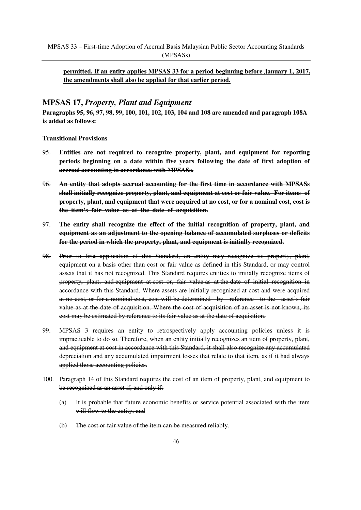# **permitted. If an entity applies MPSAS 33 for a period beginning before January 1, 2017, the amendments shall also be applied for that earlier period.**

# **MPSAS 17,** *Property, Plant and Equipment*

**Paragraphs 95, 96, 97, 98, 99, 100, 101, 102, 103, 104 and 108 are amended and paragraph 108A is added as follows:** 

**Transitional Provisions**

- 95. **Entities are not required to recognize property, plant, and equipment for reporting periods beginning on a date within five years following the date of first adoption of accrual accounting in accordance with MPSASs.**
- 96. **An entity that adopts accrual accounting for the first time in accordance with MPSASs shall initially recognize property, plant, and equipment at cost or fair value. For items of property, plant, and equipment that were acquired at no cost, or for a nominal cost, cost is the item's fair value as at the date of acquisition.**
- 97. **The entity shall recognize the effect of the initial recognition of property, plant, and equipment as an adjustment to the opening balance of accumulated surpluses or deficits for the period in which the property, plant, and equipment is initially recognized.**
- 98. Prior to first application of this Standard, an entity may recognize its property, plant, equipment on a basis other than cost or fair value as defined in this Standard, or may control assets that it has not recognized. This Standard requires entities to initially recognize items of property, plant, and equipment at cost or, fair value as at the date of initial recognition in accordance with this Standard. Where assets are initially recognized at cost and were acquired at no cost, or for a nominal cost, cost will be determined by reference to the asset's fair value as at the date of acquisition. Where the cost of acquisition of an asset is not known, its cost may be estimated by reference to its fair value as at the date of acquisition.
- 99. MPSAS 3 requires an entity to retrospectively apply accounting policies unless it is impracticable to do so. Therefore, when an entity initially recognizes an item of property, plant, and equipment at cost in accordance with this Standard, it shall also recognize any accumulated depreciation and any accumulated impairment losses that relate to that item, as if it had always applied those accounting policies.
- 100. Paragraph 14 of this Standard requires the cost of an item of property, plant, and equipment to be recognized as an asset if, and only if:
	- (a) It is probable that future economic benefits or service potential associated with the item will flow to the entity; and
	- (b) The cost or fair value of the item can be measured reliably.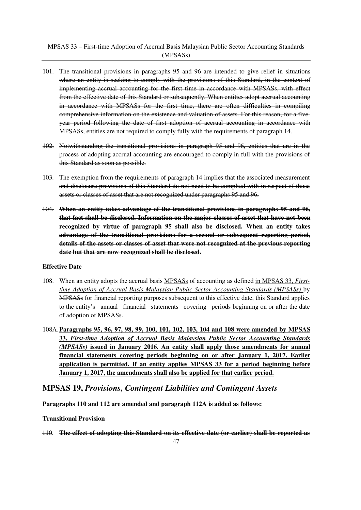- 101. The transitional provisions in paragraphs 95 and 96 are intended to give relief in situations where an entity is seeking to comply with the provisions of this Standard, in the context of implementing accrual accounting for the first time in accordance with MPSASs, with effect from the effective date of this Standard or subsequently. When entities adopt accrual accounting in accordance with MPSASs for the first time, there are often difficulties in compiling comprehensive information on the existence and valuation of assets. For this reason, for a fiveyear period following the date of first adoption of accrual accounting in accordance with MPSASs, entities are not required to comply fully with the requirements of paragraph 14.
- 102. Notwithstanding the transitional provisions in paragraph 95 and 96, entities that are in the process of adopting accrual accounting are encouraged to comply in full with the provisions of this Standard as soon as possible.
- 103. The exemption from the requirements of paragraph 14 implies that the associated measurement and disclosure provisions of this Standard do not need to be complied with in respect of those assets or classes of asset that are not recognized under paragraphs 95 and 96.
- 104. **When an entity takes advantage of the transitional provisions in paragraphs 95 and 96, that fact shall be disclosed. Information on the major classes of asset that have not been recognized by virtue of paragraph 95 shall also be disclosed. When an entity takes advantage of the transitional provisions for a second or subsequent reporting period, details of the assets or classes of asset that were not recognized at the previous reporting date but that are now recognized shall be disclosed.**

## **Effective Date**

- 108. When an entity adopts the accrual basis MPSASs of accounting as defined in MPSAS 33, *Firsttime Adoption of Accrual Basis Malaysian Public Sector Accounting Standards (MPSASs)* by MPSASs for financial reporting purposes subsequent to this effective date, this Standard applies to the entity's annual financial statements covering periods beginning on or after the date of adoption of MPSASs.
- 108A. **Paragraphs 95, 96, 97, 98, 99, 100, 101, 102, 103, 104 and 108 were amended by MPSAS 33,** *First-time Adoption of Accrual Basis Malaysian Public Sector Accounting Standards (MPSASs)* **issued in January 2016. An entity shall apply those amendments for annual financial statements covering periods beginning on or after January 1, 2017. Earlier application is permitted. If an entity applies MPSAS 33 for a period beginning before January 1, 2017, the amendments shall also be applied for that earlier period.**

# **MPSAS 19,** *Provisions, Contingent Liabilities and Contingent Assets*

**Paragraphs 110 and 112 are amended and paragraph 112A is added as follows:**

**Transitional Provision**

110. **The effect of adopting this Standard on its effective date (or earlier) shall be reported as**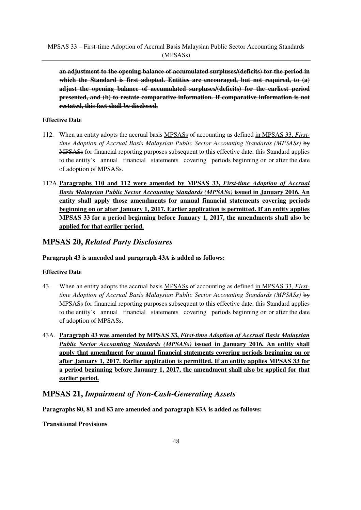**an adjustment to the opening balance of accumulated surpluses/(deficits) for the period in which the Standard is first adopted. Entities are encouraged, but not required, to (a) adjust the opening balance of accumulated surpluses/(deficits) for the earliest period presented, and (b) to restate comparative information. If comparative information is not restated, this fact shall be disclosed.**

# **Effective Date**

- 112. When an entity adopts the accrual basis MPSASs of accounting as defined in MPSAS 33, *Firsttime Adoption of Accrual Basis Malaysian Public Sector Accounting Standards (MPSASs)* by MPSASs for financial reporting purposes subsequent to this effective date, this Standard applies to the entity's annual financial statements covering periods beginning on or after the date of adoption of MPSASs.
- 112A. **Paragraphs 110 and 112 were amended by MPSAS 33,** *First-time Adoption of Accrual Basis Malaysian Public Sector Accounting Standards (MPSASs)* **issued in January 2016. An entity shall apply those amendments for annual financial statements covering periods beginning on or after January 1, 2017. Earlier application is permitted. If an entity applies MPSAS 33 for a period beginning before January 1, 2017, the amendments shall also be applied for that earlier period.**

# **MPSAS 20,** *Related Party Disclosures*

**Paragraph 43 is amended and paragraph 43A is added as follows:**

# **Effective Date**

- 43. When an entity adopts the accrual basis MPSASs of accounting as defined in MPSAS 33, *Firsttime Adoption of Accrual Basis Malaysian Public Sector Accounting Standards (MPSASs)* by MPSASs for financial reporting purposes subsequent to this effective date, this Standard applies to the entity's annual financial statements covering periods beginning on or after the date of adoption of MPSASs.
- 43A. **Paragraph 43 was amended by MPSAS 33,** *First-time Adoption of Accrual Basis Malaysian Public Sector Accounting Standards (MPSASs)* **issued in January 2016. An entity shall apply that amendment for annual financial statements covering periods beginning on or after January 1, 2017. Earlier application is permitted. If an entity applies MPSAS 33 for a period beginning before January 1, 2017, the amendment shall also be applied for that earlier period.**

# **MPSAS 21,** *Impairment of Non-Cash-Generating Assets*

**Paragraphs 80, 81 and 83 are amended and paragraph 83A is added as follows:**

**Transitional Provisions**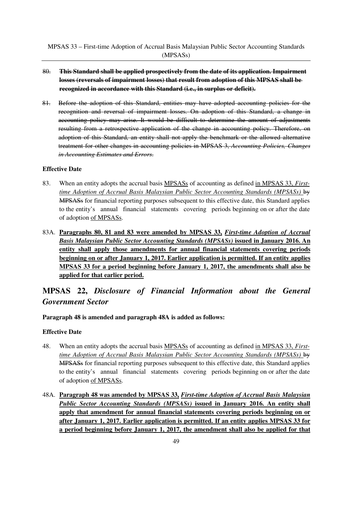- 80. **This Standard shall be applied prospectively from the date of its application. Impairment losses (reversals of impairment losses) that result from adoption of this MPSAS shall be recognized in accordance with this Standard (i.e., in surplus or deficit).**
- 81. Before the adoption of this Standard, entities may have adopted accounting policies for the recognition and reversal of impairment losses. On adoption of this Standard, a change in accounting policy may arise. It would be difficult to determine the amount of adjustments resulting from a retrospective application of the change in accounting policy. Therefore, on adoption of this Standard, an entity shall not apply the benchmark or the allowed alternative treatment for other changes in accounting policies in MPSAS 3, *Accounting Policies, Changes in Accounting Estimates and Errors*.

## **Effective Date**

- 83. When an entity adopts the accrual basis MPSASs of accounting as defined in MPSAS 33, *Firsttime Adoption of Accrual Basis Malaysian Public Sector Accounting Standards (MPSASs)* by MPSASs for financial reporting purposes subsequent to this effective date, this Standard applies to the entity's annual financial statements covering periods beginning on or after the date of adoption of MPSASs.
- 83A. **Paragraphs 80, 81 and 83 were amended by MPSAS 33,** *First-time Adoption of Accrual Basis Malaysian Public Sector Accounting Standards (MPSASs)* **issued in January 2016. An entity shall apply those amendments for annual financial statements covering periods beginning on or after January 1, 2017. Earlier application is permitted. If an entity applies MPSAS 33 for a period beginning before January 1, 2017, the amendments shall also be applied for that earlier period.**

# **MPSAS 22,** *Disclosure of Financial Information about the General Government Sector*

**Paragraph 48 is amended and paragraph 48A is added as follows:**

- 48. When an entity adopts the accrual basis MPSASs of accounting as defined in MPSAS 33, *Firsttime Adoption of Accrual Basis Malaysian Public Sector Accounting Standards (MPSASs)* by MPSASs for financial reporting purposes subsequent to this effective date, this Standard applies to the entity's annual financial statements covering periods beginning on or after the date of adoption of MPSASs.
- 48A. **Paragraph 48 was amended by MPSAS 33,** *First-time Adoption of Accrual Basis Malaysian Public Sector Accounting Standards (MPSASs)* **issued in January 2016. An entity shall apply that amendment for annual financial statements covering periods beginning on or after January 1, 2017. Earlier application is permitted. If an entity applies MPSAS 33 for a period beginning before January 1, 2017, the amendment shall also be applied for that**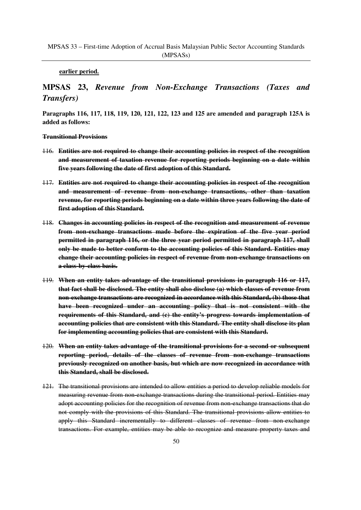#### **earlier period.**

# **MPSAS 23,** *Revenue from Non-Exchange Transactions (Taxes and Transfers)*

**Paragraphs 116, 117, 118, 119, 120, 121, 122, 123 and 125 are amended and paragraph 125A is added as follows:**

#### **Transitional Provisions**

- 116. **Entities are not required to change their accounting policies in respect of the recognition and measurement of taxation revenue for reporting periods beginning on a date within five years following the date of first adoption of this Standard.**
- 117. **Entities are not required to change their accounting policies in respect of the recognition and measurement of revenue from non-exchange transactions, other than taxation revenue, for reporting periods beginning on a date within three years following the date of first adoption of this Standard.**
- 118. **Changes in accounting policies in respect of the recognition and measurement of revenue from non-exchange transactions made before the expiration of the five year period permitted in paragraph 116, or the three year period permitted in paragraph 117, shall only be made to better conform to the accounting policies of this Standard. Entities may change their accounting policies in respect of revenue from non-exchange transactions on a class-by-class basis.**
- 119. **When an entity takes advantage of the transitional provisions in paragraph 116 or 117, that fact shall be disclosed. The entity shall also disclose (a) which classes of revenue from non-exchange transactions are recognized in accordance with this Standard, (b) those that have been recognized under an accounting policy that is not consistent with the requirements of this Standard, and (c) the entity's progress towards implementation of accounting policies that are consistent with this Standard. The entity shall disclose its plan for implementing accounting policies that are consistent with this Standard.**
- 120. **When an entity takes advantage of the transitional provisions for a second or subsequent reporting period, details of the classes of revenue from non-exchange transactions previously recognized on another basis, but which are now recognized in accordance with this Standard, shall be disclosed.**
- 121. The transitional provisions are intended to allow entities a period to develop reliable models for measuring revenue from non-exchange transactions during the transitional period. Entities may adopt accounting policies for the recognition of revenue from non-exchange transactions that do not comply with the provisions of this Standard. The transitional provisions allow entities to apply this Standard incrementally to different classes of revenue from non-exchange transactions. For example, entities may be able to recognize and measure property taxes and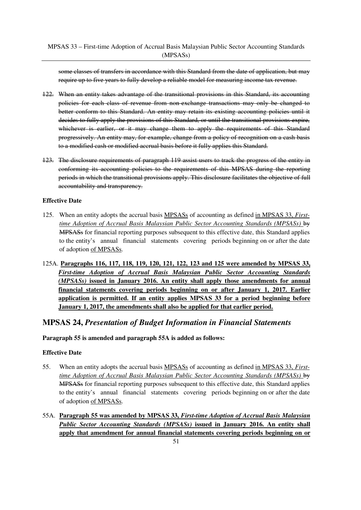some classes of transfers in accordance with this Standard from the date of application, but may require up to five years to fully develop a reliable model for measuring income tax revenue.

- 122. When an entity takes advantage of the transitional provisions in this Standard, its accounting policies for each class of revenue from non-exchange transactions may only be changed to better conform to this Standard. An entity may retain its existing accounting policies until it decides to fully apply the provisions of this Standard, or until the transitional provisions expire, whichever is earlier, or it may change them to apply the requirements of this Standard progressively. An entity may, for example, change from a policy of recognition on a cash basis to a modified cash or modified accrual basis before it fully applies this Standard.
- 123. The disclosure requirements of paragraph 119 assist users to track the progress of the entity in conforming its accounting policies to the requirements of this MPSAS during the reporting periods in which the transitional provisions apply. This disclosure facilitates the objective of full accountability and transparency.

## **Effective Date**

- 125. When an entity adopts the accrual basis MPSASs of accounting as defined in MPSAS 33, *Firsttime Adoption of Accrual Basis Malaysian Public Sector Accounting Standards (MPSASs)* by MPSASs for financial reporting purposes subsequent to this effective date, this Standard applies to the entity's annual financial statements covering periods beginning on or after the date of adoption of MPSASs.
- 125A. **Paragraphs 116, 117, 118, 119, 120, 121, 122, 123 and 125 were amended by MPSAS 33,** *First-time Adoption of Accrual Basis Malaysian Public Sector Accounting Standards (MPSASs)* **issued in January 2016. An entity shall apply those amendments for annual financial statements covering periods beginning on or after January 1, 2017. Earlier application is permitted. If an entity applies MPSAS 33 for a period beginning before January 1, 2017, the amendments shall also be applied for that earlier period.**

# **MPSAS 24,** *Presentation of Budget Information in Financial Statements*

**Paragraph 55 is amended and paragraph 55A is added as follows:**

- 55. When an entity adopts the accrual basis MPSASs of accounting as defined in MPSAS 33, *Firsttime Adoption of Accrual Basis Malaysian Public Sector Accounting Standards (MPSASs)* by MPSASs for financial reporting purposes subsequent to this effective date, this Standard applies to the entity's annual financial statements covering periods beginning on or after the date of adoption of MPSASs.
- 55A. **Paragraph 55 was amended by MPSAS 33,** *First-time Adoption of Accrual Basis Malaysian Public Sector Accounting Standards (MPSASs)* **issued in January 2016. An entity shall apply that amendment for annual financial statements covering periods beginning on or**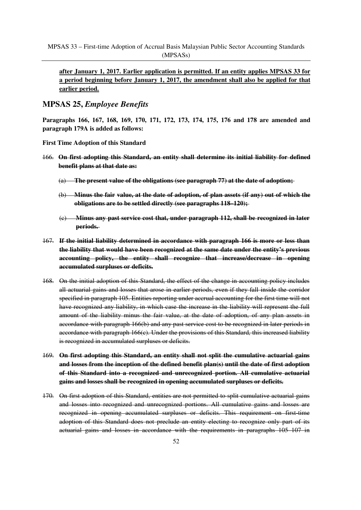**after January 1, 2017. Earlier application is permitted. If an entity applies MPSAS 33 for a period beginning before January 1, 2017, the amendment shall also be applied for that earlier period.**

# **MPSAS 25,** *Employee Benefits*

**Paragraphs 166, 167, 168, 169, 170, 171, 172, 173, 174, 175, 176 and 178 are amended and paragraph 179A is added as follows:**

**First Time Adoption of this Standard**

- 166. **On first adopting this Standard, an entity shall determine its initial liability for defined benefit plans at that date as:**
	- (a) **The present value of the obligations (see paragraph 77) at the date of adoption;**
	- (b) **Minus the fair value, at the date of adoption, of plan assets (if any) out of which the obligations are to be settled directly (see paragraphs 118–120);**
	- (c) **Minus any past service cost that, under paragraph 112, shall be recognized in later periods.**
- 167. **If the initial liability determined in accordance with paragraph 166 is more or less than the liability that would have been recognized at the same date under the entity's previous accounting policy, the entity shall recognize that increase/decrease in opening accumulated surpluses or deficits.**
- 168. On the initial adoption of this Standard, the effect of the change in accounting policy includes all actuarial gains and losses that arose in earlier periods, even if they fall inside the corridor specified in paragraph 105. Entities reporting under accrual accounting for the first time will not have recognized any liability, in which case the increase in the liability will represent the full amount of the liability minus the fair value, at the date of adoption, of any plan assets in accordance with paragraph 166(b) and any past service cost to be recognized in later periods in accordance with paragraph  $166(c)$ . Under the provisions of this Standard, this increased liability is recognized in accumulated surpluses or deficits.
- 169. **On first adopting this Standard, an entity shall not split the cumulative actuarial gains and losses from the inception of the defined benefit plan(s) until the date of first adoption of this Standard into a recognized and unrecognized portion. All cumulative actuarial gains and losses shall be recognized in opening accumulated surpluses or deficits.**
- 170. On first adoption of this Standard, entities are not permitted to split cumulative actuarial gains and losses into recognized and unrecognized portions. All cumulative gains and losses are recognized in opening accumulated surpluses or deficits. This requirement on first-time adoption of this Standard does not preclude an entity electing to recognize only part of its actuarial gains and losses in accordance with the requirements in paragraphs 105–107 in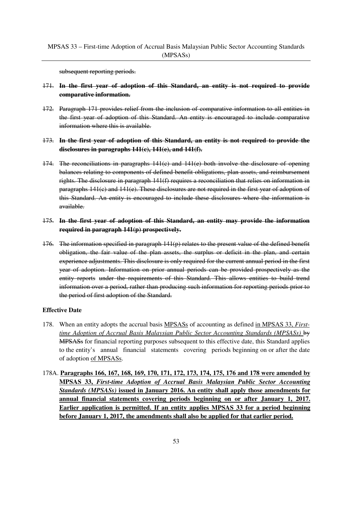subsequent reporting periods.

## 171. **In the first year of adoption of this Standard, an entity is not required to provide comparative information.**

- 172. Paragraph 171 provides relief from the inclusion of comparative information to all entities in the first year of adoption of this Standard. An entity is encouraged to include comparative information where this is available.
- 173. **In the first year of adoption of this Standard, an entity is not required to provide the disclosures in paragraphs 141(c), 141(e), and 141(f).**
- 174. The reconciliations in paragraphs 141(c) and 141(e) both involve the disclosure of opening balances relating to components of defined benefit obligations, plan assets, and reimbursement rights. The disclosure in paragraph 141(f) requires a reconciliation that relies on information in paragraphs 141(c) and 141(e). These disclosures are not required in the first year of adoption of this Standard. An entity is encouraged to include these disclosures where the information is available.

## 175. **In the first year of adoption of this Standard, an entity may provide the information required in paragraph 141(p) prospectively.**

176. The information specified in paragraph 141(p) relates to the present value of the defined benefit obligation, the fair value of the plan assets, the surplus or deficit in the plan, and certain experience adjustments. This disclosure is only required for the current annual period in the first year of adoption. Information on prior annual periods can be provided prospectively as the entity reports under the requirements of this Standard. This allows entities to build trend information over a period, rather than producing such information for reporting periods prior to the period of first adoption of the Standard.

- 178. When an entity adopts the accrual basis MPSASs of accounting as defined in MPSAS 33, *Firsttime Adoption of Accrual Basis Malaysian Public Sector Accounting Standards (MPSASs)* by MPSASs for financial reporting purposes subsequent to this effective date, this Standard applies to the entity's annual financial statements covering periods beginning on or after the date of adoption of MPSASs.
- 178A. **Paragraphs 166, 167, 168, 169, 170, 171, 172, 173, 174, 175, 176 and 178 were amended by MPSAS 33,** *First-time Adoption of Accrual Basis Malaysian Public Sector Accounting Standards (MPSASs)* **issued in January 2016. An entity shall apply those amendments for annual financial statements covering periods beginning on or after January 1, 2017. Earlier application is permitted. If an entity applies MPSAS 33 for a period beginning before January 1, 2017, the amendments shall also be applied for that earlier period.**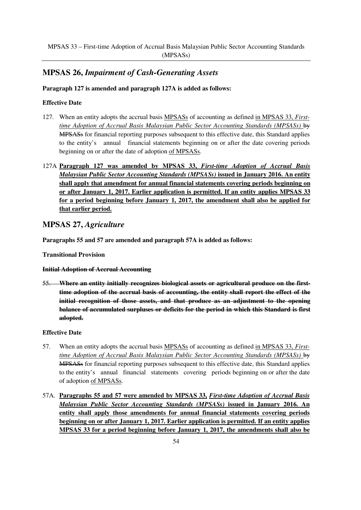# **MPSAS 26,** *Impairment of Cash-Generating Assets*

# **Paragraph 127 is amended and paragraph 127A is added as follows:**

## **Effective Date**

- 127. When an entity adopts the accrual basis MPSASs of accounting as defined in MPSAS 33, *Firsttime Adoption of Accrual Basis Malaysian Public Sector Accounting Standards (MPSASs)* by MPSASs for financial reporting purposes subsequent to this effective date, this Standard applies to the entity's annual financial statements beginning on or after the date covering periods beginning on or after the date of adoption of MPSASs.
- 127A **Paragraph 127 was amended by MPSAS 33,** *First-time Adoption of Accrual Basis Malaysian Public Sector Accounting Standards (MPSASs)* **issued in January 2016. An entity shall apply that amendment for annual financial statements covering periods beginning on or after January 1, 2017. Earlier application is permitted. If an entity applies MPSAS 33 for a period beginning before January 1, 2017, the amendment shall also be applied for that earlier period.**

# **MPSAS 27,** *Agriculture*

**Paragraphs 55 and 57 are amended and paragraph 57A is added as follows:**

**Transitional Provision**

**Initial Adoption of Accrual Accounting**

55. **Where an entity initially recognizes biological assets or agricultural produce on the firsttime adoption of the accrual basis of accounting, the entity shall report the effect of the initial recognition of those assets, and that produce as an adjustment to the opening balance of accumulated surpluses or deficits for the period in which this Standard is first adopted.**

- 57. When an entity adopts the accrual basis MPSASs of accounting as defined in MPSAS 33, *Firsttime Adoption of Accrual Basis Malaysian Public Sector Accounting Standards (MPSASs)* by MPSASs for financial reporting purposes subsequent to this effective date, this Standard applies to the entity's annual financial statements covering periods beginning on or after the date of adoption of MPSASs.
- 57A. **Paragraphs 55 and 57 were amended by MPSAS 33,** *First-time Adoption of Accrual Basis Malaysian Public Sector Accounting Standards (MPSASs)* **issued in January 2016. An entity shall apply those amendments for annual financial statements covering periods beginning on or after January 1, 2017. Earlier application is permitted. If an entity applies MPSAS 33 for a period beginning before January 1, 2017, the amendments shall also be**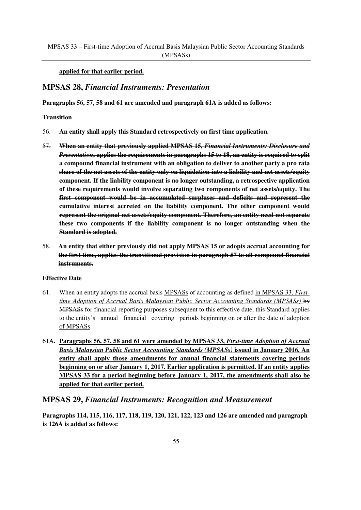### **applied for that earlier period.**

## **MPSAS 28,** *Financial Instruments: Presentation*

**Paragraphs 56, 57, 58 and 61 are amended and paragraph 61A is added as follows:**

#### **Transition**

- 56. **An entity shall apply this Standard retrospectively on first time application.**
- 57. **When an entity that previously applied MPSAS 15,** *Financial Instruments: Disclosure and Presentation***, applies the requirements in paragraphs 15 to 18, an entity is required to split a compound financial instrument with an obligation to deliver to another party a pro rata share of the net assets of the entity only on liquidation into a liability and net assets/equity component. If the liability component is no longer outstanding, a retrospective application of these requirements would involve separating two components of net assets/equity. The first component would be in accumulated surpluses and deficits and represent the cumulative interest accreted on the liability component. The other component would represent the original net assets/equity component. Therefore, an entity need not separate these two components if the liability component is no longer outstanding when the Standard is adopted.**
- 58. **An entity that either previously did not apply MPSAS 15 or adopts accrual accounting for the first time, applies the transitional provision in paragraph 57 to all compound financial instruments.**

### **Effective Date**

- 61. When an entity adopts the accrual basis MPSASs of accounting as defined in MPSAS 33, *Firsttime Adoption of Accrual Basis Malaysian Public Sector Accounting Standards (MPSASs)* by MPSASs for financial reporting purposes subsequent to this effective date, this Standard applies to the entity's annual financial covering periods beginning on or after the date of adoption of MPSASs.
- 61A**. Paragraphs 56, 57, 58 and 61 were amended by MPSAS 33,** *First-time Adoption of Accrual Basis Malaysian Public Sector Accounting Standards (MPSASs)* **issued in January 2016. An entity shall apply those amendments for annual financial statements covering periods beginning on or after January 1, 2017. Earlier application is permitted. If an entity applies MPSAS 33 for a period beginning before January 1, 2017, the amendments shall also be applied for that earlier period.**

## **MPSAS 29,** *Financial Instruments: Recognition and Measurement*

**Paragraphs 114, 115, 116, 117, 118, 119, 120, 121, 122, 123 and 126 are amended and paragraph is 126A is added as follows:**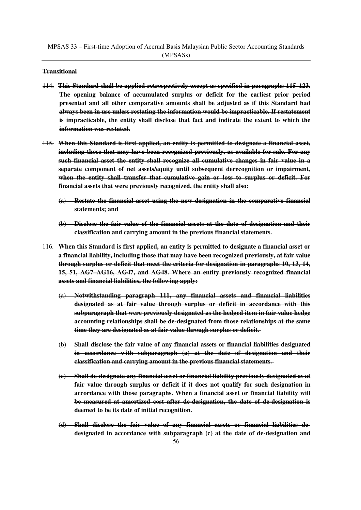#### **Transitional**

- 114. **This Standard shall be applied retrospectively except as specified in paragraphs 115–123. The opening balance of accumulated surplus or deficit for the earliest prior period presented and all other comparative amounts shall be adjusted as if this Standard had always been in use unless restating the information would be impracticable. If restatement is impracticable, the entity shall disclose that fact and indicate the extent to which the information was restated.**
- 115. **When this Standard is first applied, an entity is permitted to designate a financial asset, including those that may have been recognized previously, as available for sale. For any such financial asset the entity shall recognize all cumulative changes in fair value in a separate component of net assets/equity until subsequent derecognition or impairment, when the entity shall transfer that cumulative gain or loss to surplus or deficit. For financial assets that were previously recognized, the entity shall also:**
	- (a) **Restate the financial asset using the new designation in the comparative financial statements; and**
	- (b) **Disclose the fair value of the financial assets at the date of designation and their classification and carrying amount in the previous financial statements.**
- 116. **When this Standard is first applied, an entity is permitted to designate a financial asset or a financial liability, including those that may have been recognized previously, at fair value through surplus or deficit that meet the criteria for designation in paragraphs 10, 13, 14, 15, 51, AG7–AG16, AG47, and AG48. Where an entity previously recognized financial assets and financial liabilities, the following apply:**
	- (a) **Notwithstanding paragraph 111, any financial assets and financial liabilities designated as at fair value through surplus or deficit in accordance with this subparagraph that were previously designated as the hedged item in fair value hedge accounting relationships shall be de-designated from those relationships at the same time they are designated as at fair value through surplus or deficit.**
	- (b) **Shall disclose the fair value of any financial assets or financial liabilities designated in accordance with subparagraph (a) at the date of designation and their classification and carrying amount in the previous financial statements.**
	- (c) **Shall de-designate any financial asset or financial liability previously designated as at fair value through surplus or deficit if it does not qualify for such designation in accordance with those paragraphs. When a financial asset or financial liability will be measured at amortized cost after de-designation, the date of de-designation is deemed to be its date of initial recognition.**
	- (d) **Shall disclose the fair value of any financial assets or financial liabilities dedesignated in accordance with subparagraph (c) at the date of de-designation and**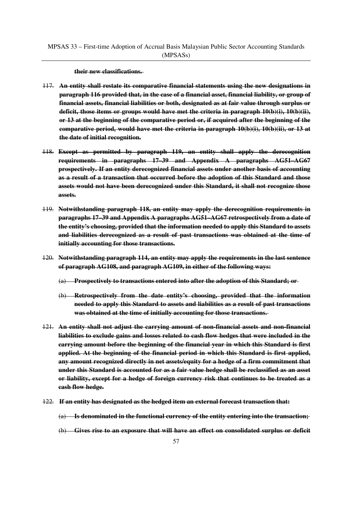**their new classifications.** 

- 117. **An entity shall restate its comparative financial statements using the new designations in paragraph 116 provided that, in the case of a financial asset, financial liability, or group of financial assets, financial liabilities or both, designated as at fair value through surplus or deficit, those items or groups would have met the criteria in paragraph 10(b)(i), 10(b)(ii), or 13 at the beginning of the comparative period or, if acquired after the beginning of the comparative period, would have met the criteria in paragraph 10(b)(i), 10(b)(ii), or 13 at the date of initial recognition.**
- 118. **Except as permitted by paragraph 119, an entity shall apply the derecognition requirements in paragraphs 17–39 and Appendix A paragraphs AG51–AG67 prospectively. If an entity derecognized financial assets under another basis of accounting as a result of a transaction that occurred before the adoption of this Standard and those assets would not have been derecognized under this Standard, it shall not recognize those assets.**
- 119. **Notwithstanding paragraph 118, an entity may apply the derecognition requirements in paragraphs 17–39 and Appendix A paragraphs AG51–AG67 retrospectively from a date of the entity's choosing, provided that the information needed to apply this Standard to assets and liabilities derecognized as a result of past transactions was obtained at the time of initially accounting for those transactions.**
- 120. **Notwithstanding paragraph 114, an entity may apply the requirements in the last sentence of paragraph AG108, and paragraph AG109, in either of the following ways:**
	- (a) **Prospectively to transactions entered into after the adoption of this Standard; or**
	- (b) **Retrospectively from the date entity's choosing, provided that the information needed to apply this Standard to assets and liabilities as a result of past transactions was obtained at the time of initially accounting for those transactions.**
- 121. **An entity shall not adjust the carrying amount of non-financial assets and non-financial liabilities to exclude gains and losses related to cash flow hedges that were included in the carrying amount before the beginning of the financial year in which this Standard is first applied. At the beginning of the financial period in which this Standard is first applied, any amount recognized directly in net assets/equity for a hedge of a firm commitment that under this Standard is accounted for as a fair value hedge shall be reclassified as an asset or liability, except for a hedge of foreign currency risk that continues to be treated as a cash flow hedge.**
- 122. **If an entity has designated as the hedged item an external forecast transaction that:**
	- (a) **Is denominated in the functional currency of the entity entering into the transaction;**
	- (b) **Gives rise to an exposure that will have an effect on consolidated surplus or deficit**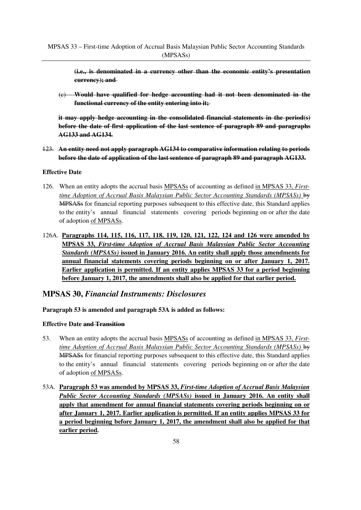**(i.e., is denominated in a currency other than the economic entity's presentation currency); and** 

(c) **Would have qualified for hedge accounting had it not been denominated in the functional currency of the entity entering into it;**

**it may apply hedge accounting in the consolidated financial statements in the period(s) before the date of first application of the last sentence of paragraph 89 and paragraphs AG133 and AG134.**

123. **An entity need not apply paragraph AG134 to comparative information relating to periods before the date of application of the last sentence of paragraph 89 and paragraph AG133.**

## **Effective Date**

- 126. When an entity adopts the accrual basis MPSASs of accounting as defined in MPSAS 33, *Firsttime Adoption of Accrual Basis Malaysian Public Sector Accounting Standards (MPSASs)* by MPSASs for financial reporting purposes subsequent to this effective date, this Standard applies to the entity's annual financial statements covering periods beginning on or after the date of adoption of MPSASs.
- 126A. **Paragraphs 114, 115, 116, 117, 118, 119, 120, 121, 122, 124 and 126 were amended by MPSAS 33,** *First-time Adoption of Accrual Basis Malaysian Public Sector Accounting Standards (MPSASs)* **issued in January 2016. An entity shall apply those amendments for annual financial statements covering periods beginning on or after January 1, 2017. Earlier application is permitted. If an entity applies MPSAS 33 for a period beginning before January 1, 2017, the amendments shall also be applied for that earlier period.**

# **MPSAS 30,** *Financial Instruments: Disclosures*

## **Paragraph 53 is amended and paragraph 53A is added as follows:**

## **Effective Date and Transition**

- 53. When an entity adopts the accrual basis MPSASs of accounting as defined in MPSAS 33, *Firsttime Adoption of Accrual Basis Malaysian Public Sector Accounting Standards (MPSASs)* by MPSASs for financial reporting purposes subsequent to this effective date, this Standard applies to the entity's annual financial statements covering periods beginning on or after the date of adoption of MPSASs.
- 53A. **Paragraph 53 was amended by MPSAS 33,** *First-time Adoption of Accrual Basis Malaysian Public Sector Accounting Standards (MPSASs)* **issued in January 2016. An entity shall apply that amendment for annual financial statements covering periods beginning on or after January 1, 2017. Earlier application is permitted. If an entity applies MPSAS 33 for a period beginning before January 1, 2017, the amendment shall also be applied for that earlier period.**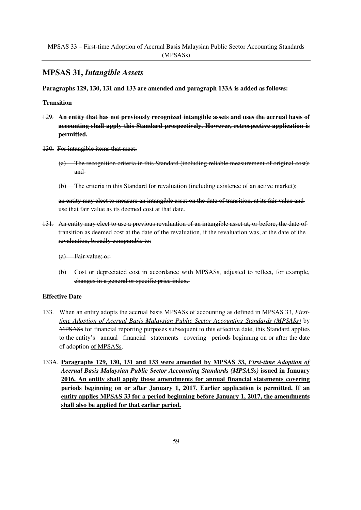# **MPSAS 31,** *Intangible Assets*

**Paragraphs 129, 130, 131 and 133 are amended and paragraph 133A is added as follows:**

#### **Transition**

- 129. **An entity that has not previously recognized intangible assets and uses the accrual basis of accounting shall apply this Standard prospectively. However, retrospective application is permitted.**
- 130. For intangible items that meet:
	- (a) The recognition criteria in this Standard (including reliable measurement of original cost); and
	- (b) The criteria in this Standard for revaluation (including existence of an active market);

an entity may elect to measure an intangible asset on the date of transition, at its fair value and use that fair value as its deemed cost at that date.

- 131. An entity may elect to use a previous revaluation of an intangible asset at, or before, the date of transition as deemed cost at the date of the revaluation, if the revaluation was, at the date of the revaluation, broadly comparable to:
	- (a) Fair value; or
	- (b) Cost or depreciated cost in accordance with MPSASs, adjusted to reflect, for example, changes in a general or specific price index.

- 133. When an entity adopts the accrual basis MPSASs of accounting as defined in MPSAS 33, *Firsttime Adoption of Accrual Basis Malaysian Public Sector Accounting Standards (MPSASs)* by MPSASs for financial reporting purposes subsequent to this effective date, this Standard applies to the entity's annual financial statements covering periods beginning on or after the date of adoption of MPSASs.
- 133A. **Paragraphs 129, 130, 131 and 133 were amended by MPSAS 33,** *First-time Adoption of Accrual Basis Malaysian Public Sector Accounting Standards (MPSASs)* **issued in January 2016. An entity shall apply those amendments for annual financial statements covering periods beginning on or after January 1, 2017. Earlier application is permitted. If an entity applies MPSAS 33 for a period beginning before January 1, 2017, the amendments shall also be applied for that earlier period.**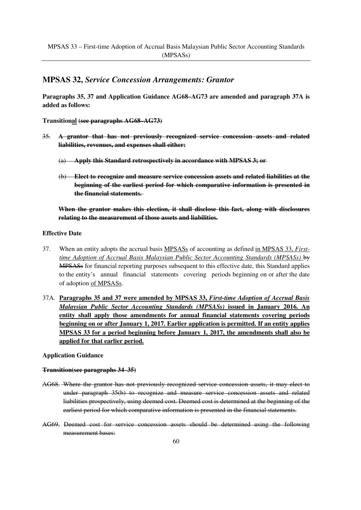# **MPSAS 32,** *Service Concession Arrangements: Grantor*

**Paragraphs 35, 37 and Application Guidance AG68–AG73 are amended and paragraph 37A is added as follows:**

**Transitional (see paragraphs AG68–AG73)**

- 35. **A grantor that has not previously recognized service concession assets and related liabilities, revenues, and expenses shall either:**
	- (a) **Apply this Standard retrospectively in accordance with MPSAS 3; or**
	- (b) **Elect to recognize and measure service concession assets and related liabilities at the beginning of the earliest period for which comparative information is presented in the financial statements.**

**When the grantor makes this election, it shall disclose this fact, along with disclosures relating to the measurement of those assets and liabilities.**

#### **Effective Date**

- 37. When an entity adopts the accrual basis MPSASs of accounting as defined in MPSAS 33, *Firsttime Adoption of Accrual Basis Malaysian Public Sector Accounting Standards (MPSASs)* by MPSASs for financial reporting purposes subsequent to this effective date, this Standard applies to the entity's annual financial statements covering periods beginning on or after the date of adoption of MPSASs.
- 37A. **Paragraphs 35 and 37 were amended by MPSAS 33,** *First-time Adoption of Accrual Basis Malaysian Public Sector Accounting Standards (MPSASs)* **issued in January 2016. An entity shall apply those amendments for annual financial statements covering periods beginning on or after January 1, 2017. Earlier application is permitted. If an entity applies MPSAS 33 for a period beginning before January 1, 2017, the amendments shall also be applied for that earlier period.**

#### **Application Guidance**

#### **Transition(see paragraphs 34–35)**

- AG68. Where the grantor has not previously recognized service concession assets, it may elect to under paragraph 35(b) to recognize and measure service concession assets and related liabilities prospectively, using deemed cost. Deemed cost is determined at the beginning of the earliest period for which comparative information is presented in the financial statements.
- AG69. Deemed cost for service concession assets should be determined using the following measurement bases: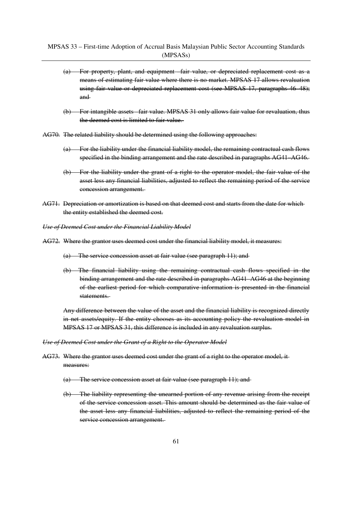- (a) For property, plant, and equipment –fair value, or depreciated replacement cost as a means of estimating fair value where there is no market. MPSAS 17 allows revaluation using fair value or depreciated replacement cost (see MPSAS 17, paragraphs 46–48); and
- (b) For intangible assets –fair value. MPSAS 31 only allows fair value for revaluation, thus the deemed cost is limited to fair value.
- AG70. The related liability should be determined using the following approaches:
	- (a) For the liability under the financial liability model, the remaining contractual cash flows specified in the binding arrangement and the rate described in paragraphs AG41–AG46.
	- (b) For the liability under the grant of a right to the operator model, the fair value of the asset less any financial liabilities, adjusted to reflect the remaining period of the service concession arrangement.
- AG71. Depreciation or amortization is based on that deemed cost and starts from the date for which the entity established the deemed cost.
- *Use of Deemed Cost under the Financial Liability Model*
- AG72. Where the grantor uses deemed cost under the financial liability model, it measures:
	- (a) The service concession asset at fair value (see paragraph 11); and
	- (b) The financial liability using the remaining contractual cash flows specified in the binding arrangement and the rate described in paragraphs AG41–AG46 at the beginning of the earliest period for which comparative information is presented in the financial statements.

Any difference between the value of the asset and the financial liability is recognized directly in net assets/equity. If the entity chooses as its accounting policy the revaluation model in MPSAS 17 or MPSAS 31, this difference is included in any revaluation surplus.

#### *Use of Deemed Cost under the Grant of a Right to the Operator Model*

- AG73. Where the grantor uses deemed cost under the grant of a right to the operator model, it measures:
	- (a) The service concession asset at fair value (see paragraph 11); and
	- (b) The liability representing the unearned portion of any revenue arising from the receipt of the service concession asset. This amount should be determined as the fair value of the asset less any financial liabilities, adjusted to reflect the remaining period of the service concession arrangement.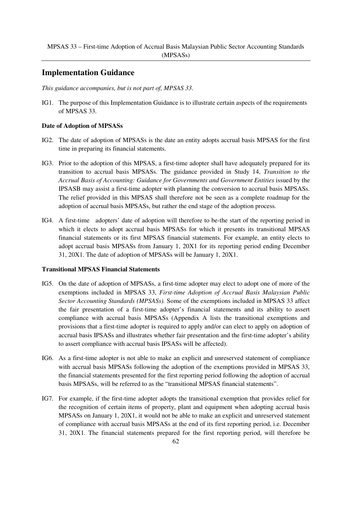# **Implementation Guidance**

*This guidance accompanies, but is not part of, MPSAS 33.* 

IG1. The purpose of this Implementation Guidance is to illustrate certain aspects of the requirements of MPSAS 33.

### **Date of Adoption of MPSASs**

- IG2. The date of adoption of MPSASs is the date an entity adopts accrual basis MPSAS for the first time in preparing its financial statements.
- IG3. Prior to the adoption of this MPSAS, a first-time adopter shall have adequately prepared for its transition to accrual basis MPSASs. The guidance provided in Study 14, *Transition to the*  Accrual Basis of Accounting: Guidance for Governments and Government Entities issued by the IPSASB may assist a first-time adopter with planning the conversion to accrual basis MPSASs. The relief provided in this MPSAS shall therefore not be seen as a complete roadmap for the adoption of accrual basis MPSASs, but rather the end stage of the adoption process.
- IG4. A first-time adopters' date of adoption will therefore to be-the start of the reporting period in which it elects to adopt accrual basis MPSASs for which it presents its transitional MPSAS financial statements or its first MPSAS financial statements. For example, an entity elects to adopt accrual basis MPSASs from January 1, 20X1 for its reporting period ending December 31, 20X1. The date of adoption of MPSASs will be January 1, 20X1.

### **Transitional MPSAS Financial Statements**

- IG5. On the date of adoption of MPSASs, a first-time adopter may elect to adopt one of more of the exemptions included in MPSAS 33, *First-time Adoption of Accrual Basis Malaysian Public Sector Accounting Standards (MPSASs).* Some of the exemptions included in MPSAS 33 affect the fair presentation of a first-time adopter's financial statements and its ability to assert compliance with accrual basis MPSASs (Appendix A lists the transitional exemptions and provisions that a first-time adopter is required to apply and/or can elect to apply on adoption of accrual basis IPSASs and illustrates whether fair presentation and the first-time adopter's ability to assert compliance with accrual basis IPSASs will be affected).
- IG6. As a first-time adopter is not able to make an explicit and unreserved statement of compliance with accrual basis MPSASs following the adoption of the exemptions provided in MPSAS 33, the financial statements presented for the first reporting period following the adoption of accrual basis MPSASs, will be referred to as the "transitional MPSAS financial statements".
- IG7. For example, if the first-time adopter adopts the transitional exemption that provides relief for the recognition of certain items of property, plant and equipment when adopting accrual basis MPSASs on January 1, 20X1, it would not be able to make an explicit and unreserved statement of compliance with accrual basis MPSASs at the end of its first reporting period, i.e. December 31, 20X1. The financial statements prepared for the first reporting period, will therefore be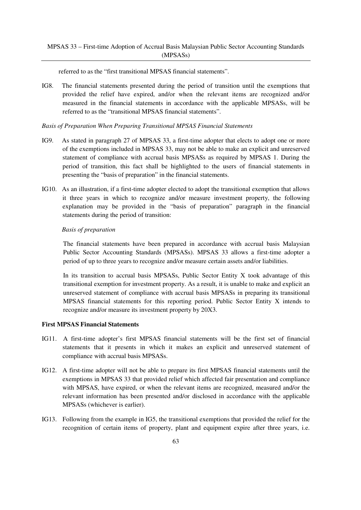referred to as the "first transitional MPSAS financial statements".

IG8. The financial statements presented during the period of transition until the exemptions that provided the relief have expired, and/or when the relevant items are recognized and/or measured in the financial statements in accordance with the applicable MPSASs, will be referred to as the "transitional MPSAS financial statements".

#### *Basis of Preparation When Preparing Transitional MPSAS Financial Statements*

- IG9. As stated in paragraph 27 of MPSAS 33, a first-time adopter that elects to adopt one or more of the exemptions included in MPSAS 33, may not be able to make an explicit and unreserved statement of compliance with accrual basis MPSASs as required by MPSAS 1. During the period of transition, this fact shall be highlighted to the users of financial statements in presenting the "basis of preparation" in the financial statements.
- IG10. As an illustration, if a first-time adopter elected to adopt the transitional exemption that allows it three years in which to recognize and/or measure investment property, the following explanation may be provided in the "basis of preparation" paragraph in the financial statements during the period of transition:

### *Basis of preparation*

The financial statements have been prepared in accordance with accrual basis Malaysian Public Sector Accounting Standards (MPSASs). MPSAS 33 allows a first-time adopter a period of up to three years to recognize and/or measure certain assets and/or liabilities.

In its transition to accrual basis MPSASs, Public Sector Entity X took advantage of this transitional exemption for investment property. As a result, it is unable to make and explicit an unreserved statement of compliance with accrual basis MPSASs in preparing its transitional MPSAS financial statements for this reporting period. Public Sector Entity X intends to recognize and/or measure its investment property by 20X3.

## **First MPSAS Financial Statements**

- IG11. A first-time adopter's first MPSAS financial statements will be the first set of financial statements that it presents in which it makes an explicit and unreserved statement of compliance with accrual basis MPSASs.
- IG12. A first-time adopter will not be able to prepare its first MPSAS financial statements until the exemptions in MPSAS 33 that provided relief which affected fair presentation and compliance with MPSAS, have expired, or when the relevant items are recognized, measured and/or the relevant information has been presented and/or disclosed in accordance with the applicable MPSASs (whichever is earlier).
- IG13. Following from the example in IG5, the transitional exemptions that provided the relief for the recognition of certain items of property, plant and equipment expire after three years, i.e.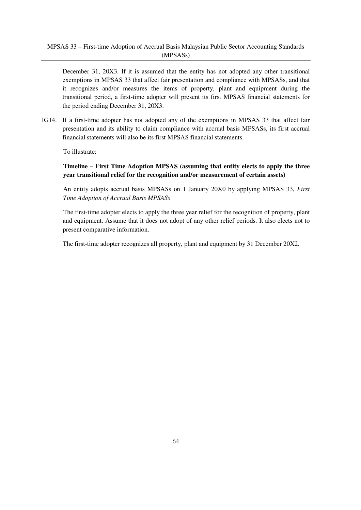December 31, 20X3. If it is assumed that the entity has not adopted any other transitional exemptions in MPSAS 33 that affect fair presentation and compliance with MPSASs, and that it recognizes and/or measures the items of property, plant and equipment during the transitional period, a first-time adopter will present its first MPSAS financial statements for the period ending December 31, 20X3.

IG14. If a first-time adopter has not adopted any of the exemptions in MPSAS 33 that affect fair presentation and its ability to claim compliance with accrual basis MPSASs, its first accrual financial statements will also be its first MPSAS financial statements.

To illustrate:

## **Timeline – First Time Adoption MPSAS (assuming that entity elects to apply the three year transitional relief for the recognition and/or measurement of certain assets)**

An entity adopts accrual basis MPSASs on 1 January 20X0 by applying MPSAS 33, *First Time Adoption of Accrual Basis MPSASs*

The first-time adopter elects to apply the three year relief for the recognition of property, plant and equipment. Assume that it does not adopt of any other relief periods. It also elects not to present comparative information.

The first-time adopter recognizes all property, plant and equipment by 31 December 20X2.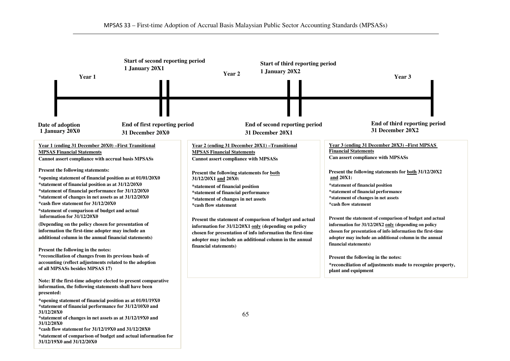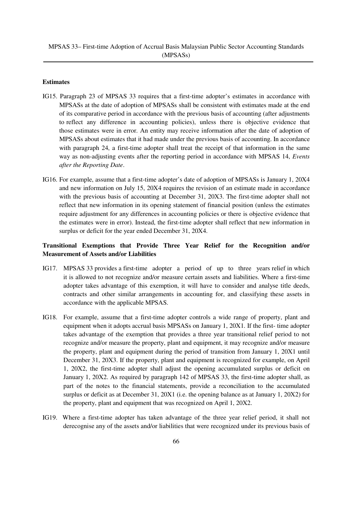### **Estimates**

- IG15. Paragraph 23 of MPSAS 33 requires that a first-time adopter's estimates in accordance with MPSASs at the date of adoption of MPSASs shall be consistent with estimates made at the end of its comparative period in accordance with the previous basis of accounting (after adjustments to reflect any difference in accounting policies), unless there is objective evidence that those estimates were in error. An entity may receive information after the date of adoption of MPSASs about estimates that it had made under the previous basis of accounting. In accordance with paragraph 24, a first-time adopter shall treat the receipt of that information in the same way as non-adjusting events after the reporting period in accordance with MPSAS 14, *Events after the Reporting Date*.
- IG16. For example, assume that a first-time adopter's date of adoption of MPSASs is January 1, 20X4 and new information on July 15, 20X4 requires the revision of an estimate made in accordance with the previous basis of accounting at December 31, 20X3. The first-time adopter shall not reflect that new information in its opening statement of financial position (unless the estimates require adjustment for any differences in accounting policies or there is objective evidence that the estimates were in error). Instead, the first-time adopter shall reflect that new information in surplus or deficit for the year ended December 31, 20X4.

## **Transitional Exemptions that Provide Three Year Relief for the Recognition and/or Measurement of Assets and/or Liabilities**

- IG17. MPSAS 33 provides a first-time adopter a period of up to three years relief in which it is allowed to not recognize and/or measure certain assets and liabilities. Where a first-time adopter takes advantage of this exemption, it will have to consider and analyse title deeds, contracts and other similar arrangements in accounting for, and classifying these assets in accordance with the applicable MPSAS.
- IG18. For example, assume that a first-time adopter controls a wide range of property, plant and equipment when it adopts accrual basis MPSASs on January 1, 20X1. If the first- time adopter takes advantage of the exemption that provides a three year transitional relief period to not recognize and/or measure the property, plant and equipment, it may recognize and/or measure the property, plant and equipment during the period of transition from January 1, 20X1 until December 31, 20X3. If the property, plant and equipment is recognized for example, on April 1, 20X2, the first-time adopter shall adjust the opening accumulated surplus or deficit on January 1, 20X2. As required by paragraph 142 of MPSAS 33, the first-time adopter shall, as part of the notes to the financial statements, provide a reconciliation to the accumulated surplus or deficit as at December 31, 20X1 (i.e. the opening balance as at January 1, 20X2) for the property, plant and equipment that was recognized on April 1, 20X2.
- IG19. Where a first-time adopter has taken advantage of the three year relief period, it shall not derecognise any of the assets and/or liabilities that were recognized under its previous basis of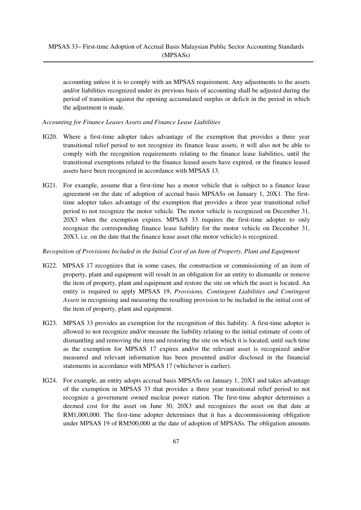accounting unless it is to comply with an MPSAS requirement. Any adjustments to the assets and/or liabilities recognized under its previous basis of accounting shall be adjusted during the period of transition against the opening accumulated surplus or deficit in the period in which the adjustment is made.

### *Accounting for Finance Leases Assets and Finance Lease Liabilities*

- IG20. Where a first-time adopter takes advantage of the exemption that provides a three year transitional relief period to not recognize its finance lease assets, it will also not be able to comply with the recognition requirements relating to the finance lease liabilities, until the transitional exemptions related to the finance leased assets have expired, or the finance leased assets have been recognized in accordance with MPSAS 13.
- IG21. For example, assume that a first-time has a motor vehicle that is subject to a finance lease agreement on the date of adoption of accrual basis MPSASs on January 1, 20X1. The firsttime adopter takes advantage of the exemption that provides a three year transitional relief period to not recognize the motor vehicle. The motor vehicle is recognized on December 31, 20X3 when the exemption expires. MPSAS 33 requires the first-time adopter to only recognize the corresponding finance lease liability for the motor vehicle on December 31, 20X3, i.e. on the date that the finance lease asset (the motor vehicle) is recognized.

## *Recognition of Provisions Included in the Initial Cost of an Item of Property, Plant and Equipment*

- IG22. MPSAS 17 recognizes that in some cases, the construction or commissioning of an item of property, plant and equipment will result in an obligation for an entity to dismantle or remove the item of property, plant and equipment and restore the site on which the asset is located. An entity is required to apply MPSAS 19, *Provisions, Contingent Liabilities and Contingent Assets* in recognising and measuring the resulting provision to be included in the initial cost of the item of property, plant and equipment.
- IG23. MPSAS 33 provides an exemption for the recognition of this liability. A first-time adopter is allowed to not recognize and/or measure the liability relating to the initial estimate of costs of dismantling and removing the item and restoring the site on which it is located, until such time as the exemption for MPSAS 17 expires and/or the relevant asset is recognized and/or measured and relevant information has been presented and/or disclosed in the financial statements in accordance with MPSAS 17 (whichever is earlier).
- IG24. For example, an entity adopts accrual basis MPSASs on January 1, 20X1 and takes advantage of the exemption in MPSAS 33 that provides a three year transitional relief period to not recognize a government owned nuclear power station. The first-time adopter determines a deemed cost for the asset on June 30, 20X3 and recognizes the asset on that date at RM1,000,000. The first-time adopter determines that it has a decommissioning obligation under MPSAS 19 of RM500,000 at the date of adoption of MPSASs. The obligation amounts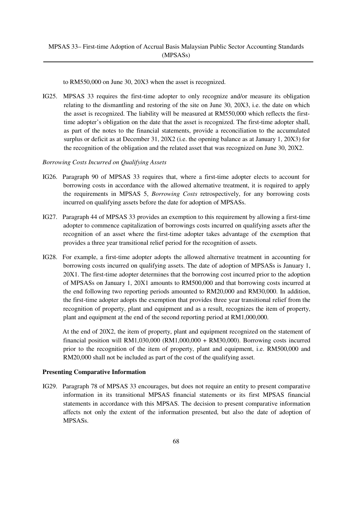to RM550,000 on June 30, 20X3 when the asset is recognized.

IG25. MPSAS 33 requires the first-time adopter to only recognize and/or measure its obligation relating to the dismantling and restoring of the site on June 30, 20X3, i.e. the date on which the asset is recognized. The liability will be measured at RM550,000 which reflects the firsttime adopter's obligation on the date that the asset is recognized. The first-time adopter shall, as part of the notes to the financial statements, provide a reconciliation to the accumulated surplus or deficit as at December 31, 20X2 (i.e. the opening balance as at January 1, 20X3) for the recognition of the obligation and the related asset that was recognized on June 30, 20X2.

### *Borrowing Costs Incurred on Qualifying Assets*

- IG26. Paragraph 90 of MPSAS 33 requires that, where a first-time adopter elects to account for borrowing costs in accordance with the allowed alternative treatment, it is required to apply the requirements in MPSAS 5, *Borrowing Costs* retrospectively, for any borrowing costs incurred on qualifying assets before the date for adoption of MPSASs.
- IG27. Paragraph 44 of MPSAS 33 provides an exemption to this requirement by allowing a first-time adopter to commence capitalization of borrowings costs incurred on qualifying assets after the recognition of an asset where the first-time adopter takes advantage of the exemption that provides a three year transitional relief period for the recognition of assets.
- IG28. For example, a first-time adopter adopts the allowed alternative treatment in accounting for borrowing costs incurred on qualifying assets. The date of adoption of MPSASs is January 1, 20X1. The first-time adopter determines that the borrowing cost incurred prior to the adoption of MPSASs on January 1, 20X1 amounts to RM500,000 and that borrowing costs incurred at the end following two reporting periods amounted to RM20,000 and RM30,000. In addition, the first-time adopter adopts the exemption that provides three year transitional relief from the recognition of property, plant and equipment and as a result, recognizes the item of property, plant and equipment at the end of the second reporting period at RM1,000,000.

 At the end of 20X2, the item of property, plant and equipment recognized on the statement of financial position will RM1,030,000 (RM1,000,000 + RM30,000). Borrowing costs incurred prior to the recognition of the item of property, plant and equipment, i.e. RM500,000 and RM20,000 shall not be included as part of the cost of the qualifying asset.

#### **Presenting Comparative Information**

IG29. Paragraph 78 of MPSAS 33 encourages, but does not require an entity to present comparative information in its transitional MPSAS financial statements or its first MPSAS financial statements in accordance with this MPSAS. The decision to present comparative information affects not only the extent of the information presented, but also the date of adoption of MPSASs.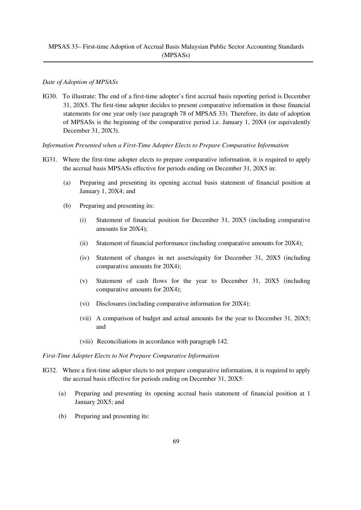### *Date of Adoption of MPSASs*

IG30. To illustrate: The end of a first-time adopter's first accrual basis reporting period is December 31, 20X5. The first-time adopter decides to present comparative information in those financial statements for one year only (see paragraph 78 of MPSAS 33). Therefore, its date of adoption of MPSASs is the beginning of the comparative period i.e. January 1, 20X4 (or equivalently December 31, 20X3).

#### *Information Presented when a First-Time Adopter Elects to Prepare Comparative Information*

- IG31. Where the first-time adopter elects to prepare comparative information, it is required to apply the accrual basis MPSASs effective for periods ending on December 31, 20X5 in:
	- (a) Preparing and presenting its opening accrual basis statement of financial position at January 1, 20X4; and
	- (b) Preparing and presenting its:
		- (i) Statement of financial position for December 31, 20X5 (including comparative amounts for 20X4);
		- (ii) Statement of financial performance (including comparative amounts for 20X4);
		- (iv) Statement of changes in net assets/equity for December 31, 20X5 (including comparative amounts for 20X4);
		- (v) Statement of cash flows for the year to December 31, 20X5 (including comparative amounts for 20X4);
		- (vi) Disclosures (including comparative information for 20X4);
		- (vii) A comparison of budget and actual amounts for the year to December 31, 20X5; and
		- (viii) Reconciliations in accordance with paragraph 142.

#### *First-Time Adopter Elects to Not Prepare Comparative Information*

- IG32. Where a first-time adopter elects to not prepare comparative information, it is required to apply the accrual basis effective for periods ending on December 31, 20X5:
	- (a) Preparing and presenting its opening accrual basis statement of financial position at 1 January 20X5; and
	- (b) Preparing and presenting its: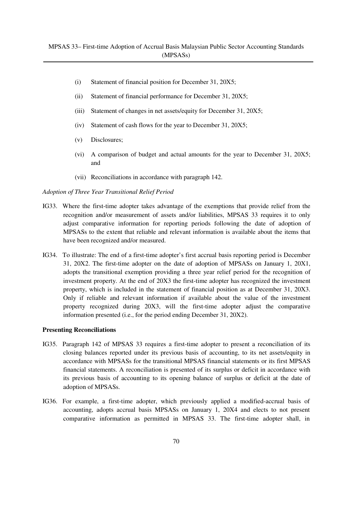- (i) Statement of financial position for December 31, 20X5;
- (ii) Statement of financial performance for December 31, 20X5;
- (iii) Statement of changes in net assets/equity for December 31, 20X5;
- (iv) Statement of cash flows for the year to December 31, 20X5;
- (v) Disclosures;
- (vi) A comparison of budget and actual amounts for the year to December 31, 20X5; and
- (vii) Reconciliations in accordance with paragraph 142.

#### *Adoption of Three Year Transitional Relief Period*

- IG33. Where the first-time adopter takes advantage of the exemptions that provide relief from the recognition and/or measurement of assets and/or liabilities, MPSAS 33 requires it to only adjust comparative information for reporting periods following the date of adoption of MPSASs to the extent that reliable and relevant information is available about the items that have been recognized and/or measured.
- IG34. To illustrate: The end of a first-time adopter's first accrual basis reporting period is December 31, 20X2. The first-time adopter on the date of adoption of MPSASs on January 1, 20X1, adopts the transitional exemption providing a three year relief period for the recognition of investment property. At the end of 20X3 the first-time adopter has recognized the investment property, which is included in the statement of financial position as at December 31, 20X3. Only if reliable and relevant information if available about the value of the investment property recognized during 20X3, will the first-time adopter adjust the comparative information presented (i.e., for the period ending December 31, 20X2).

#### **Presenting Reconciliations**

- IG35. Paragraph 142 of MPSAS 33 requires a first-time adopter to present a reconciliation of its closing balances reported under its previous basis of accounting, to its net assets/equity in accordance with MPSASs for the transitional MPSAS financial statements or its first MPSAS financial statements. A reconciliation is presented of its surplus or deficit in accordance with its previous basis of accounting to its opening balance of surplus or deficit at the date of adoption of MPSASs.
- IG36. For example, a first-time adopter, which previously applied a modified-accrual basis of accounting, adopts accrual basis MPSASs on January 1, 20X4 and elects to not present comparative information as permitted in MPSAS 33. The first-time adopter shall, in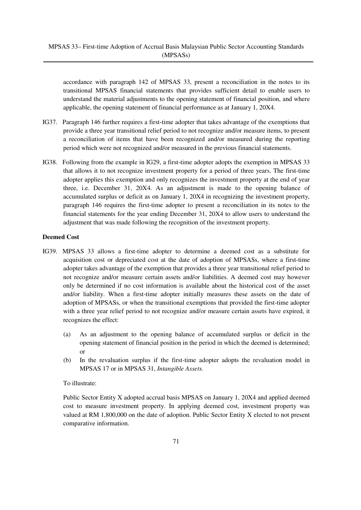accordance with paragraph 142 of MPSAS 33, present a reconciliation in the notes to its transitional MPSAS financial statements that provides sufficient detail to enable users to understand the material adjustments to the opening statement of financial position, and where applicable, the opening statement of financial performance as at January 1, 20X4.

- IG37. Paragraph 146 further requires a first-time adopter that takes advantage of the exemptions that provide a three year transitional relief period to not recognize and/or measure items, to present a reconciliation of items that have been recognized and/or measured during the reporting period which were not recognized and/or measured in the previous financial statements.
- IG38. Following from the example in IG29, a first-time adopter adopts the exemption in MPSAS 33 that allows it to not recognize investment property for a period of three years. The first-time adopter applies this exemption and only recognizes the investment property at the end of year three, i.e. December 31, 20X4. As an adjustment is made to the opening balance of accumulated surplus or deficit as on January 1, 20X4 in recognizing the investment property, paragraph 146 requires the first-time adopter to present a reconciliation in its notes to the financial statements for the year ending December 31, 20X4 to allow users to understand the adjustment that was made following the recognition of the investment property.

## **Deemed Cost**

- IG39. MPSAS 33 allows a first-time adopter to determine a deemed cost as a substitute for acquisition cost or depreciated cost at the date of adoption of MPSASs, where a first-time adopter takes advantage of the exemption that provides a three year transitional relief period to not recognize and/or measure certain assets and/or liabilities. A deemed cost may however only be determined if no cost information is available about the historical cost of the asset and/or liability. When a first-time adopter initially measures these assets on the date of adoption of MPSASs, or when the transitional exemptions that provided the first-time adopter with a three year relief period to not recognize and/or measure certain assets have expired, it recognizes the effect:
	- (a) As an adjustment to the opening balance of accumulated surplus or deficit in the opening statement of financial position in the period in which the deemed is determined; or
	- (b) In the revaluation surplus if the first-time adopter adopts the revaluation model in MPSAS 17 or in MPSAS 31, *Intangible Assets.*

## To illustrate:

Public Sector Entity X adopted accrual basis MPSAS on January 1, 20X4 and applied deemed cost to measure investment property. In applying deemed cost, investment property was valued at RM 1,800,000 on the date of adoption. Public Sector Entity X elected to not present comparative information.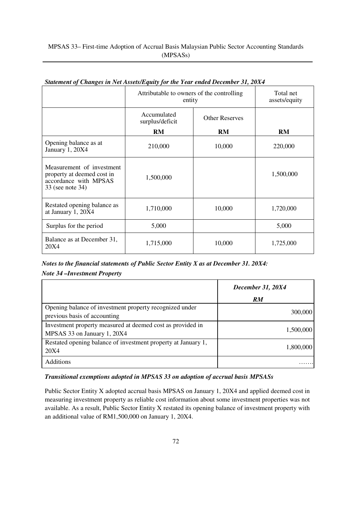# MPSAS 33– First-time Adoption of Accrual Basis Malaysian Public Sector Accounting Standards (MPSASs)

|                                                                                                      | Attributable to owners of the controlling<br>entity |                       | Total net<br>assets/equity |
|------------------------------------------------------------------------------------------------------|-----------------------------------------------------|-----------------------|----------------------------|
|                                                                                                      | Accumulated<br>surplus/deficit                      | <b>Other Reserves</b> |                            |
|                                                                                                      | RM                                                  | <b>RM</b>             | <b>RM</b>                  |
| Opening balance as at<br>January 1, 20X4                                                             | 210,000                                             | 10,000                | 220,000                    |
| Measurement of investment<br>property at deemed cost in<br>accordance with MPSAS<br>33 (see note 34) | 1,500,000                                           |                       | 1,500,000                  |
| Restated opening balance as<br>at January 1, 20X4                                                    | 1,710,000                                           | 10,000                | 1,720,000                  |
| Surplus for the period                                                                               | 5,000                                               |                       | 5,000                      |
| Balance as at December 31,<br>20X4                                                                   | 1,715,000                                           | 10,000                | 1,725,000                  |

# *Statement of Changes in Net Assets/Equity for the Year ended December 31, 20X4*

*Notes to the financial statements of Public Sector Entity X as at December 31. 20X4: Note 34 –Investment Property*

|                                                                                           | December 31, 20X4 |
|-------------------------------------------------------------------------------------------|-------------------|
|                                                                                           | RM                |
| Opening balance of investment property recognized under<br>previous basis of accounting   | 300,000           |
| Investment property measured at deemed cost as provided in<br>MPSAS 33 on January 1, 20X4 | 1,500,000         |
| Restated opening balance of investment property at January 1,<br>20X4                     | 1,800,000         |
| <b>Additions</b>                                                                          |                   |

# *Transitional exemptions adopted in MPSAS 33 on adoption of accrual basis MPSASs*

Public Sector Entity X adopted accrual basis MPSAS on January 1, 20X4 and applied deemed cost in measuring investment property as reliable cost information about some investment properties was not available. As a result, Public Sector Entity X restated its opening balance of investment property with an additional value of RM1,500,000 on January 1, 20X4.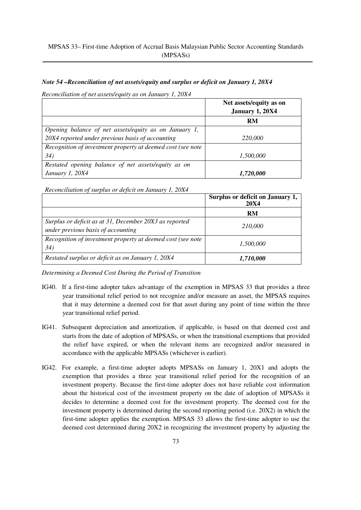### *Note 54 –Reconciliation of net assets/equity and surplus or deficit on January 1, 20X4*

*Reconciliation of net assets/equity as on January 1, 20X4*

|                                                             | Net assets/equity as on<br>January 1, 20X4 |
|-------------------------------------------------------------|--------------------------------------------|
|                                                             | RM                                         |
| Opening balance of net assets/equity as on January 1,       |                                            |
| 20X4 reported under previous basis of accounting            | 220,000                                    |
| Recognition of investment property at deemed cost (see note |                                            |
| 34)                                                         | 1,500,000                                  |
| Restated opening balance of net assets/equity as on         |                                            |
| January 1, 20X4                                             | 1,720,000                                  |

*Reconciliation of surplus or deficit on January 1, 20X4*

|                                                                                              | Surplus or deficit on January 1,<br><b>20X4</b> |
|----------------------------------------------------------------------------------------------|-------------------------------------------------|
|                                                                                              | RM                                              |
| Surplus or deficit as at 31, December 20X3 as reported<br>under previous basis of accounting | 210,000                                         |
| Recognition of investment property at deemed cost (see note<br>34)                           | 1,500,000                                       |
| Restated surplus or deficit as on January 1, 20X4                                            | 1,710,000                                       |

*Determining a Deemed Cost During the Period of Transition*

- IG40. If a first-time adopter takes advantage of the exemption in MPSAS 33 that provides a three year transitional relief period to not recognize and/or measure an asset, the MPSAS requires that it may determine a deemed cost for that asset during any point of time within the three year transitional relief period.
- IG41. Subsequent depreciation and amortization, if applicable, is based on that deemed cost and starts from the date of adoption of MPSASs, or when the transitional exemptions that provided the relief have expired, or when the relevant items are recognized and/or measured in accordance with the applicable MPSASs (whichever is earlier).
- IG42. For example, a first-time adopter adopts MPSASs on January 1, 20X1 and adopts the exemption that provides a three year transitional relief period for the recognition of an investment property. Because the first-time adopter does not have reliable cost information about the historical cost of the investment property on the date of adoption of MPSASs it decides to determine a deemed cost for the investment property. The deemed cost for the investment property is determined during the second reporting period (i.e. 20X2) in which the first-time adopter applies the exemption. MPSAS 33 allows the first-time adopter to use the deemed cost determined during 20X2 in recognizing the investment property by adjusting the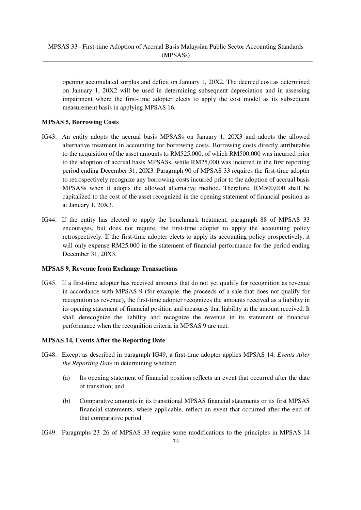opening accumulated surplus and deficit on January 1, 20X2. The deemed cost as determined on January 1, 20X2 will be used in determining subsequent depreciation and in assessing impairment where the first-time adopter elects to apply the cost model as its subsequent measurement basis in applying MPSAS 16.

# **MPSAS 5, Borrowing Costs**

- IG43. An entity adopts the accrual basis MPSASs on January 1, 20X3 and adopts the allowed alternative treatment in accounting for borrowing costs. Borrowing costs directly attributable to the acquisition of the asset amounts to RM525,000, of which RM500,000 was incurred prior to the adoption of accrual basis MPSASs, while RM25,000 was incurred in the first reporting period ending December 31, 20X3. Paragraph 90 of MPSAS 33 requires the first-time adopter to retrospectively recognize any borrowing costs incurred prior to the adoption of accrual basis MPSASs when it adopts the allowed alternative method. Therefore, RM500,000 shall be capitalized to the cost of the asset recognized in the opening statement of financial position as at January 1, 20X3.
- IG44. If the entity has elected to apply the benchmark treatment, paragraph 88 of MPSAS 33 encourages, but does not require, the first-time adopter to apply the accounting policy retrospectively. If the first-time adopter elects to apply its accounting policy prospectively, it will only expense RM25,000 in the statement of financial performance for the period ending December 31, 20X3.

# **MPSAS 9, Revenue from Exchange Transactions**

IG45. If a first-time adopter has received amounts that do not yet qualify for recognition as revenue in accordance with MPSAS 9 (for example, the proceeds of a sale that does not qualify for recognition as revenue), the first-time adopter recognizes the amounts received as a liability in its opening statement of financial position and measures that liability at the amount received. It shall derecognize the liability and recognize the revenue in its statement of financial performance when the recognition criteria in MPSAS 9 are met.

# **MPSAS 14, Events After the Reporting Date**

- IG48. Except as described in paragraph IG49, a first-time adopter applies MPSAS 14, *Events After the Reporting Date* in determining whether:
	- (a) Its opening statement of financial position reflects an event that occurred after the date of transition; and
	- (b) Comparative amounts in its transitional MPSAS financial statements or its first MPSAS financial statements, where applicable, reflect an event that occurred after the end of that comparative period.
- IG49. Paragraphs 23–26 of MPSAS 33 require some modifications to the principles in MPSAS 14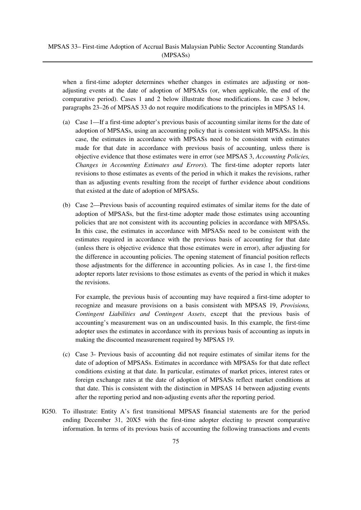when a first-time adopter determines whether changes in estimates are adjusting or nonadjusting events at the date of adoption of MPSASs (or, when applicable, the end of the comparative period). Cases 1 and 2 below illustrate those modifications. In case 3 below, paragraphs 23–26 of MPSAS 33 do not require modifications to the principles in MPSAS 14.

- (a) Case 1—If a first-time adopter's previous basis of accounting similar items for the date of adoption of MPSASs, using an accounting policy that is consistent with MPSASs. In this case, the estimates in accordance with MPSASs need to be consistent with estimates made for that date in accordance with previous basis of accounting, unless there is objective evidence that those estimates were in error (see MPSAS 3, *Accounting Policies, Changes in Accounting Estimates and Errors*). The first-time adopter reports later revisions to those estimates as events of the period in which it makes the revisions, rather than as adjusting events resulting from the receipt of further evidence about conditions that existed at the date of adoption of MPSASs.
- (b) Case 2—Previous basis of accounting required estimates of similar items for the date of adoption of MPSASs, but the first-time adopter made those estimates using accounting policies that are not consistent with its accounting policies in accordance with MPSASs. In this case, the estimates in accordance with MPSASs need to be consistent with the estimates required in accordance with the previous basis of accounting for that date (unless there is objective evidence that those estimates were in error), after adjusting for the difference in accounting policies. The opening statement of financial position reflects those adjustments for the difference in accounting policies. As in case 1, the first-time adopter reports later revisions to those estimates as events of the period in which it makes the revisions.

For example, the previous basis of accounting may have required a first-time adopter to recognize and measure provisions on a basis consistent with MPSAS 19, *Provisions, Contingent Liabilities and Contingent Assets*, except that the previous basis of accounting's measurement was on an undiscounted basis. In this example, the first-time adopter uses the estimates in accordance with its previous basis of accounting as inputs in making the discounted measurement required by MPSAS 19.

- (c) Case 3- Previous basis of accounting did not require estimates of similar items for the date of adoption of MPSASs. Estimates in accordance with MPSASs for that date reflect conditions existing at that date. In particular, estimates of market prices, interest rates or foreign exchange rates at the date of adoption of MPSASs reflect market conditions at that date. This is consistent with the distinction in MPSAS 14 between adjusting events after the reporting period and non-adjusting events after the reporting period.
- IG50. To illustrate: Entity A's first transitional MPSAS financial statements are for the period ending December 31, 20X5 with the first-time adopter electing to present comparative information. In terms of its previous basis of accounting the following transactions and events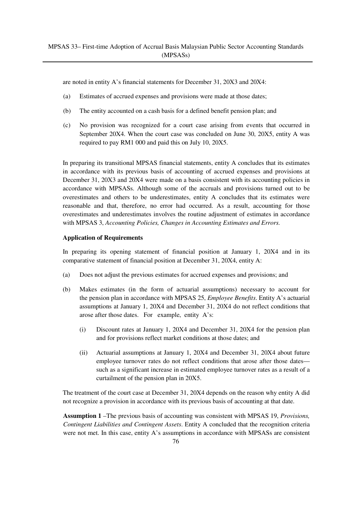are noted in entity A's financial statements for December 31, 20X3 and 20X4:

- (a) Estimates of accrued expenses and provisions were made at those dates;
- (b) The entity accounted on a cash basis for a defined benefit pension plan; and
- (c) No provision was recognized for a court case arising from events that occurred in September 20X4. When the court case was concluded on June 30, 20X5, entity A was required to pay RM1 000 and paid this on July 10, 20X5.

In preparing its transitional MPSAS financial statements, entity A concludes that its estimates in accordance with its previous basis of accounting of accrued expenses and provisions at December 31, 20X3 and 20X4 were made on a basis consistent with its accounting policies in accordance with MPSASs. Although some of the accruals and provisions turned out to be overestimates and others to be underestimates, entity A concludes that its estimates were reasonable and that, therefore, no error had occurred. As a result, accounting for those overestimates and underestimates involves the routine adjustment of estimates in accordance with MPSAS 3, *Accounting Policies, Changes in Accounting Estimates and Errors.*

### **Application of Requirements**

In preparing its opening statement of financial position at January 1, 20X4 and in its comparative statement of financial position at December 31, 20X4, entity A:

- (a) Does not adjust the previous estimates for accrued expenses and provisions; and
- (b) Makes estimates (in the form of actuarial assumptions) necessary to account for the pension plan in accordance with MPSAS 25, *Employee Benefits*. Entity A's actuarial assumptions at January 1, 20X4 and December 31, 20X4 do not reflect conditions that arose after those dates. For example, entity A's:
	- (i) Discount rates at January 1, 20X4 and December 31, 20X4 for the pension plan and for provisions reflect market conditions at those dates; and
	- (ii) Actuarial assumptions at January 1, 20X4 and December 31, 20X4 about future employee turnover rates do not reflect conditions that arose after those dates such as a significant increase in estimated employee turnover rates as a result of a curtailment of the pension plan in 20X5.

The treatment of the court case at December 31, 20X4 depends on the reason why entity A did not recognize a provision in accordance with its previous basis of accounting at that date.

**Assumption 1** –The previous basis of accounting was consistent with MPSAS 19, *Provisions, Contingent Liabilities and Contingent Assets*. Entity A concluded that the recognition criteria were not met. In this case, entity A's assumptions in accordance with MPSASs are consistent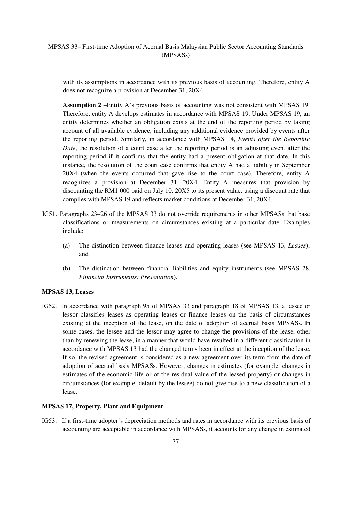with its assumptions in accordance with its previous basis of accounting. Therefore, entity A does not recognize a provision at December 31, 20X4.

**Assumption 2** –Entity A's previous basis of accounting was not consistent with MPSAS 19. Therefore, entity A develops estimates in accordance with MPSAS 19. Under MPSAS 19, an entity determines whether an obligation exists at the end of the reporting period by taking account of all available evidence, including any additional evidence provided by events after the reporting period. Similarly, in accordance with MPSAS 14, *Events after the Reporting Date*, the resolution of a court case after the reporting period is an adjusting event after the reporting period if it confirms that the entity had a present obligation at that date. In this instance, the resolution of the court case confirms that entity A had a liability in September 20X4 (when the events occurred that gave rise to the court case). Therefore, entity A recognizes a provision at December 31, 20X4. Entity A measures that provision by discounting the RM1 000 paid on July 10, 20X5 to its present value, using a discount rate that complies with MPSAS 19 and reflects market conditions at December 31, 20X4.

- IG51. Paragraphs 23–26 of the MPSAS 33 do not override requirements in other MPSASs that base classifications or measurements on circumstances existing at a particular date. Examples include:
	- (a) The distinction between finance leases and operating leases (see MPSAS 13, *Leases*); and
	- (b) The distinction between financial liabilities and equity instruments (see MPSAS 28, *Financial Instruments: Presentation*).

# **MPSAS 13, Leases**

IG52. In accordance with paragraph 95 of MPSAS 33 and paragraph 18 of MPSAS 13, a lessee or lessor classifies leases as operating leases or finance leases on the basis of circumstances existing at the inception of the lease, on the date of adoption of accrual basis MPSASs. In some cases, the lessee and the lessor may agree to change the provisions of the lease, other than by renewing the lease, in a manner that would have resulted in a different classification in accordance with MPSAS 13 had the changed terms been in effect at the inception of the lease. If so, the revised agreement is considered as a new agreement over its term from the date of adoption of accrual basis MPSASs. However, changes in estimates (for example, changes in estimates of the economic life or of the residual value of the leased property) or changes in circumstances (for example, default by the lessee) do not give rise to a new classification of a lease.

### **MPSAS 17, Property, Plant and Equipment**

IG53. If a first-time adopter's depreciation methods and rates in accordance with its previous basis of accounting are acceptable in accordance with MPSASs, it accounts for any change in estimated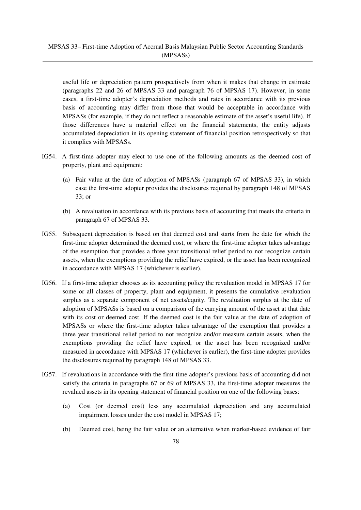useful life or depreciation pattern prospectively from when it makes that change in estimate (paragraphs 22 and 26 of MPSAS 33 and paragraph 76 of MPSAS 17). However, in some cases, a first-time adopter's depreciation methods and rates in accordance with its previous basis of accounting may differ from those that would be acceptable in accordance with MPSASs (for example, if they do not reflect a reasonable estimate of the asset's useful life). If those differences have a material effect on the financial statements, the entity adjusts accumulated depreciation in its opening statement of financial position retrospectively so that it complies with MPSASs.

- IG54. A first-time adopter may elect to use one of the following amounts as the deemed cost of property, plant and equipment:
	- (a) Fair value at the date of adoption of MPSASs (paragraph 67 of MPSAS 33), in which case the first-time adopter provides the disclosures required by paragraph 148 of MPSAS 33; or
	- (b) A revaluation in accordance with its previous basis of accounting that meets the criteria in paragraph 67 of MPSAS 33.
- IG55. Subsequent depreciation is based on that deemed cost and starts from the date for which the first-time adopter determined the deemed cost, or where the first-time adopter takes advantage of the exemption that provides a three year transitional relief period to not recognize certain assets, when the exemptions providing the relief have expired, or the asset has been recognized in accordance with MPSAS 17 (whichever is earlier).
- IG56. If a first-time adopter chooses as its accounting policy the revaluation model in MPSAS 17 for some or all classes of property, plant and equipment, it presents the cumulative revaluation surplus as a separate component of net assets/equity. The revaluation surplus at the date of adoption of MPSASs is based on a comparison of the carrying amount of the asset at that date with its cost or deemed cost. If the deemed cost is the fair value at the date of adoption of MPSASs or where the first-time adopter takes advantage of the exemption that provides a three year transitional relief period to not recognize and/or measure certain assets, when the exemptions providing the relief have expired, or the asset has been recognized and/or measured in accordance with MPSAS 17 (whichever is earlier), the first-time adopter provides the disclosures required by paragraph 148 of MPSAS 33.
- IG57. If revaluations in accordance with the first-time adopter's previous basis of accounting did not satisfy the criteria in paragraphs 67 or 69 of MPSAS 33, the first-time adopter measures the revalued assets in its opening statement of financial position on one of the following bases:
	- (a) Cost (or deemed cost) less any accumulated depreciation and any accumulated impairment losses under the cost model in MPSAS 17;
	- (b) Deemed cost, being the fair value or an alternative when market-based evidence of fair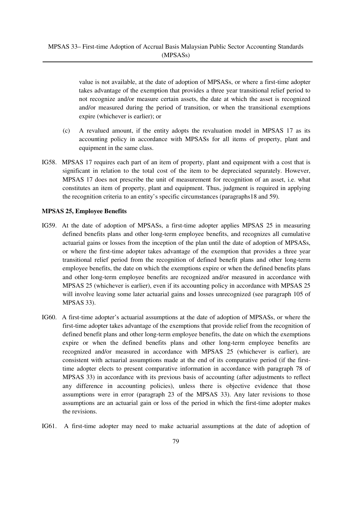value is not available, at the date of adoption of MPSASs, or where a first-time adopter takes advantage of the exemption that provides a three year transitional relief period to not recognize and/or measure certain assets, the date at which the asset is recognized and/or measured during the period of transition, or when the transitional exemptions expire (whichever is earlier); or

- (c) A revalued amount, if the entity adopts the revaluation model in MPSAS 17 as its accounting policy in accordance with MPSASs for all items of property, plant and equipment in the same class.
- IG58. MPSAS 17 requires each part of an item of property, plant and equipment with a cost that is significant in relation to the total cost of the item to be depreciated separately. However, MPSAS 17 does not prescribe the unit of measurement for recognition of an asset, i.e. what constitutes an item of property, plant and equipment. Thus, judgment is required in applying the recognition criteria to an entity's specific circumstances (paragraphs18 and 59).

### **MPSAS 25, Employee Benefits**

- IG59. At the date of adoption of MPSASs, a first-time adopter applies MPSAS 25 in measuring defined benefits plans and other long-term employee benefits, and recognizes all cumulative actuarial gains or losses from the inception of the plan until the date of adoption of MPSASs, or where the first-time adopter takes advantage of the exemption that provides a three year transitional relief period from the recognition of defined benefit plans and other long-term employee benefits, the date on which the exemptions expire or when the defined benefits plans and other long-term employee benefits are recognized and/or measured in accordance with MPSAS 25 (whichever is earlier), even if its accounting policy in accordance with MPSAS 25 will involve leaving some later actuarial gains and losses unrecognized (see paragraph 105 of MPSAS 33).
- IG60. A first-time adopter's actuarial assumptions at the date of adoption of MPSASs, or where the first-time adopter takes advantage of the exemptions that provide relief from the recognition of defined benefit plans and other long-term employee benefits, the date on which the exemptions expire or when the defined benefits plans and other long-term employee benefits are recognized and/or measured in accordance with MPSAS 25 (whichever is earlier), are consistent with actuarial assumptions made at the end of its comparative period (if the firsttime adopter elects to present comparative information in accordance with paragraph 78 of MPSAS 33) in accordance with its previous basis of accounting (after adjustments to reflect any difference in accounting policies), unless there is objective evidence that those assumptions were in error (paragraph 23 of the MPSAS 33). Any later revisions to those assumptions are an actuarial gain or loss of the period in which the first-time adopter makes the revisions.
- IG61. A first-time adopter may need to make actuarial assumptions at the date of adoption of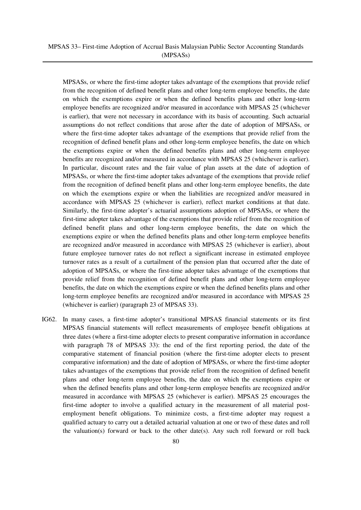# MPSAS 33– First-time Adoption of Accrual Basis Malaysian Public Sector Accounting Standards (MPSASs)

MPSASs, or where the first-time adopter takes advantage of the exemptions that provide relief from the recognition of defined benefit plans and other long-term employee benefits, the date on which the exemptions expire or when the defined benefits plans and other long-term employee benefits are recognized and/or measured in accordance with MPSAS 25 (whichever is earlier), that were not necessary in accordance with its basis of accounting. Such actuarial assumptions do not reflect conditions that arose after the date of adoption of MPSASs, or where the first-time adopter takes advantage of the exemptions that provide relief from the recognition of defined benefit plans and other long-term employee benefits, the date on which the exemptions expire or when the defined benefits plans and other long-term employee benefits are recognized and/or measured in accordance with MPSAS 25 (whichever is earlier). In particular, discount rates and the fair value of plan assets at the date of adoption of MPSASs, or where the first-time adopter takes advantage of the exemptions that provide relief from the recognition of defined benefit plans and other long-term employee benefits, the date on which the exemptions expire or when the liabilities are recognized and/or measured in accordance with MPSAS 25 (whichever is earlier), reflect market conditions at that date. Similarly, the first-time adopter's actuarial assumptions adoption of MPSASs, or where the first-time adopter takes advantage of the exemptions that provide relief from the recognition of defined benefit plans and other long-term employee benefits, the date on which the exemptions expire or when the defined benefits plans and other long-term employee benefits are recognized and/or measured in accordance with MPSAS 25 (whichever is earlier), about future employee turnover rates do not reflect a significant increase in estimated employee turnover rates as a result of a curtailment of the pension plan that occurred after the date of adoption of MPSASs, or where the first-time adopter takes advantage of the exemptions that provide relief from the recognition of defined benefit plans and other long-term employee benefits, the date on which the exemptions expire or when the defined benefits plans and other long-term employee benefits are recognized and/or measured in accordance with MPSAS 25 (whichever is earlier) (paragraph 23 of MPSAS 33).

IG62. In many cases, a first-time adopter's transitional MPSAS financial statements or its first MPSAS financial statements will reflect measurements of employee benefit obligations at three dates (where a first-time adopter elects to present comparative information in accordance with paragraph 78 of MPSAS 33): the end of the first reporting period, the date of the comparative statement of financial position (where the first-time adopter elects to present comparative information) and the date of adoption of MPSASs, or where the first-time adopter takes advantages of the exemptions that provide relief from the recognition of defined benefit plans and other long-term employee benefits, the date on which the exemptions expire or when the defined benefits plans and other long-term employee benefits are recognized and/or measured in accordance with MPSAS 25 (whichever is earlier). MPSAS 25 encourages the first-time adopter to involve a qualified actuary in the measurement of all material postemployment benefit obligations. To minimize costs, a first-time adopter may request a qualified actuary to carry out a detailed actuarial valuation at one or two of these dates and roll the valuation(s) forward or back to the other date(s). Any such roll forward or roll back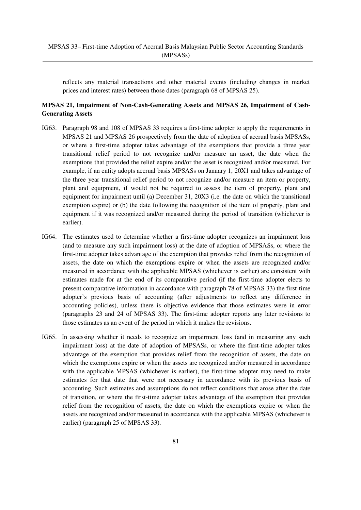reflects any material transactions and other material events (including changes in market prices and interest rates) between those dates (paragraph 68 of MPSAS 25).

# **MPSAS 21, Impairment of Non-Cash-Generating Assets and MPSAS 26, Impairment of Cash-Generating Assets**

- IG63. Paragraph 98 and 108 of MPSAS 33 requires a first-time adopter to apply the requirements in MPSAS 21 and MPSAS 26 prospectively from the date of adoption of accrual basis MPSASs, or where a first-time adopter takes advantage of the exemptions that provide a three year transitional relief period to not recognize and/or measure an asset, the date when the exemptions that provided the relief expire and/or the asset is recognized and/or measured. For example, if an entity adopts accrual basis MPSASs on January 1, 20X1 and takes advantage of the three year transitional relief period to not recognize and/or measure an item or property, plant and equipment, if would not be required to assess the item of property, plant and equipment for impairment until (a) December 31, 20X3 (i.e. the date on which the transitional exemption expire) or (b) the date following the recognition of the item of property, plant and equipment if it was recognized and/or measured during the period of transition (whichever is earlier).
- IG64. The estimates used to determine whether a first-time adopter recognizes an impairment loss (and to measure any such impairment loss) at the date of adoption of MPSASs, or where the first-time adopter takes advantage of the exemption that provides relief from the recognition of assets, the date on which the exemptions expire or when the assets are recognized and/or measured in accordance with the applicable MPSAS (whichever is earlier) are consistent with estimates made for at the end of its comparative period (if the first-time adopter elects to present comparative information in accordance with paragraph 78 of MPSAS 33) the first-time adopter's previous basis of accounting (after adjustments to reflect any difference in accounting policies), unless there is objective evidence that those estimates were in error (paragraphs 23 and 24 of MPSAS 33). The first-time adopter reports any later revisions to those estimates as an event of the period in which it makes the revisions.
- IG65. In assessing whether it needs to recognize an impairment loss (and in measuring any such impairment loss) at the date of adoption of MPSASs, or where the first-time adopter takes advantage of the exemption that provides relief from the recognition of assets, the date on which the exemptions expire or when the assets are recognized and/or measured in accordance with the applicable MPSAS (whichever is earlier), the first-time adopter may need to make estimates for that date that were not necessary in accordance with its previous basis of accounting. Such estimates and assumptions do not reflect conditions that arose after the date of transition, or where the first-time adopter takes advantage of the exemption that provides relief from the recognition of assets, the date on which the exemptions expire or when the assets are recognized and/or measured in accordance with the applicable MPSAS (whichever is earlier) (paragraph 25 of MPSAS 33).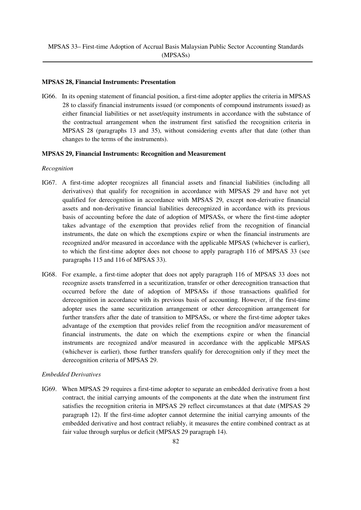### **MPSAS 28, Financial Instruments: Presentation**

IG66. In its opening statement of financial position, a first-time adopter applies the criteria in MPSAS 28 to classify financial instruments issued (or components of compound instruments issued) as either financial liabilities or net asset/equity instruments in accordance with the substance of the contractual arrangement when the instrument first satisfied the recognition criteria in MPSAS 28 (paragraphs 13 and 35), without considering events after that date (other than changes to the terms of the instruments).

#### **MPSAS 29, Financial Instruments: Recognition and Measurement**

#### *Recognition*

- IG67. A first-time adopter recognizes all financial assets and financial liabilities (including all derivatives) that qualify for recognition in accordance with MPSAS 29 and have not yet qualified for derecognition in accordance with MPSAS 29, except non-derivative financial assets and non-derivative financial liabilities derecognized in accordance with its previous basis of accounting before the date of adoption of MPSASs, or where the first-time adopter takes advantage of the exemption that provides relief from the recognition of financial instruments, the date on which the exemptions expire or when the financial instruments are recognized and/or measured in accordance with the applicable MPSAS (whichever is earlier), to which the first-time adopter does not choose to apply paragraph 116 of MPSAS 33 (see paragraphs 115 and 116 of MPSAS 33).
- IG68. For example, a first-time adopter that does not apply paragraph 116 of MPSAS 33 does not recognize assets transferred in a securitization, transfer or other derecognition transaction that occurred before the date of adoption of MPSASs if those transactions qualified for derecognition in accordance with its previous basis of accounting. However, if the first-time adopter uses the same securitization arrangement or other derecognition arrangement for further transfers after the date of transition to MPSASs, or where the first-time adopter takes advantage of the exemption that provides relief from the recognition and/or measurement of financial instruments, the date on which the exemptions expire or when the financial instruments are recognized and/or measured in accordance with the applicable MPSAS (whichever is earlier), those further transfers qualify for derecognition only if they meet the derecognition criteria of MPSAS 29.

### *Embedded Derivatives*

IG69. When MPSAS 29 requires a first-time adopter to separate an embedded derivative from a host contract, the initial carrying amounts of the components at the date when the instrument first satisfies the recognition criteria in MPSAS 29 reflect circumstances at that date (MPSAS 29 paragraph 12). If the first-time adopter cannot determine the initial carrying amounts of the embedded derivative and host contract reliably, it measures the entire combined contract as at fair value through surplus or deficit (MPSAS 29 paragraph 14).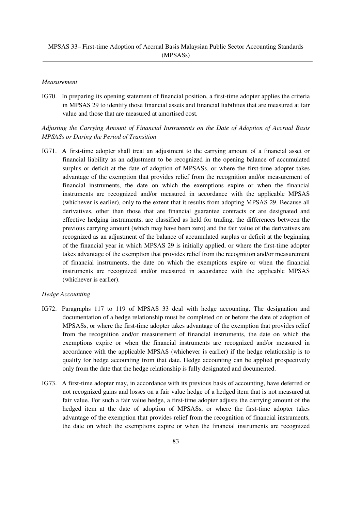### *Measurement*

IG70. In preparing its opening statement of financial position, a first-time adopter applies the criteria in MPSAS 29 to identify those financial assets and financial liabilities that are measured at fair value and those that are measured at amortised cost.

# *Adjusting the Carrying Amount of Financial Instruments on the Date of Adoption of Accrual Basis MPSASs or During the Period of Transition*

IG71. A first-time adopter shall treat an adjustment to the carrying amount of a financial asset or financial liability as an adjustment to be recognized in the opening balance of accumulated surplus or deficit at the date of adoption of MPSASs, or where the first-time adopter takes advantage of the exemption that provides relief from the recognition and/or measurement of financial instruments, the date on which the exemptions expire or when the financial instruments are recognized and/or measured in accordance with the applicable MPSAS (whichever is earlier), only to the extent that it results from adopting MPSAS 29. Because all derivatives, other than those that are financial guarantee contracts or are designated and effective hedging instruments, are classified as held for trading, the differences between the previous carrying amount (which may have been zero) and the fair value of the derivatives are recognized as an adjustment of the balance of accumulated surplus or deficit at the beginning of the financial year in which MPSAS 29 is initially applied, or where the first-time adopter takes advantage of the exemption that provides relief from the recognition and/or measurement of financial instruments, the date on which the exemptions expire or when the financial instruments are recognized and/or measured in accordance with the applicable MPSAS (whichever is earlier).

# *Hedge Accounting*

- IG72. Paragraphs 117 to 119 of MPSAS 33 deal with hedge accounting. The designation and documentation of a hedge relationship must be completed on or before the date of adoption of MPSASs, or where the first-time adopter takes advantage of the exemption that provides relief from the recognition and/or measurement of financial instruments, the date on which the exemptions expire or when the financial instruments are recognized and/or measured in accordance with the applicable MPSAS (whichever is earlier) if the hedge relationship is to qualify for hedge accounting from that date. Hedge accounting can be applied prospectively only from the date that the hedge relationship is fully designated and documented.
- IG73. A first-time adopter may, in accordance with its previous basis of accounting, have deferred or not recognized gains and losses on a fair value hedge of a hedged item that is not measured at fair value. For such a fair value hedge, a first-time adopter adjusts the carrying amount of the hedged item at the date of adoption of MPSASs, or where the first-time adopter takes advantage of the exemption that provides relief from the recognition of financial instruments, the date on which the exemptions expire or when the financial instruments are recognized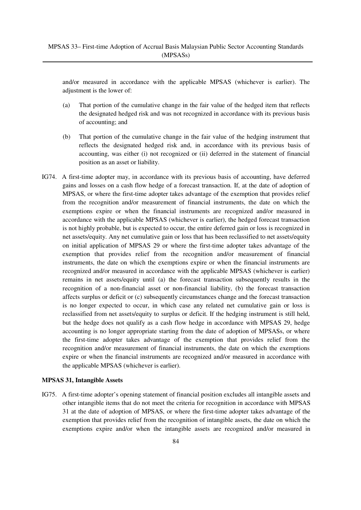and/or measured in accordance with the applicable MPSAS (whichever is earlier). The adjustment is the lower of:

- (a) That portion of the cumulative change in the fair value of the hedged item that reflects the designated hedged risk and was not recognized in accordance with its previous basis of accounting; and
- (b) That portion of the cumulative change in the fair value of the hedging instrument that reflects the designated hedged risk and, in accordance with its previous basis of accounting, was either (i) not recognized or (ii) deferred in the statement of financial position as an asset or liability.
- IG74. A first-time adopter may, in accordance with its previous basis of accounting, have deferred gains and losses on a cash flow hedge of a forecast transaction. If, at the date of adoption of MPSAS, or where the first-time adopter takes advantage of the exemption that provides relief from the recognition and/or measurement of financial instruments, the date on which the exemptions expire or when the financial instruments are recognized and/or measured in accordance with the applicable MPSAS (whichever is earlier), the hedged forecast transaction is not highly probable, but is expected to occur, the entire deferred gain or loss is recognized in net assets/equity. Any net cumulative gain or loss that has been reclassified to net assets/equity on initial application of MPSAS 29 or where the first-time adopter takes advantage of the exemption that provides relief from the recognition and/or measurement of financial instruments, the date on which the exemptions expire or when the financial instruments are recognized and/or measured in accordance with the applicable MPSAS (whichever is earlier) remains in net assets/equity until (a) the forecast transaction subsequently results in the recognition of a non-financial asset or non-financial liability, (b) the forecast transaction affects surplus or deficit or (c) subsequently circumstances change and the forecast transaction is no longer expected to occur, in which case any related net cumulative gain or loss is reclassified from net assets/equity to surplus or deficit. If the hedging instrument is still held, but the hedge does not qualify as a cash flow hedge in accordance with MPSAS 29, hedge accounting is no longer appropriate starting from the date of adoption of MPSASs, or where the first-time adopter takes advantage of the exemption that provides relief from the recognition and/or measurement of financial instruments, the date on which the exemptions expire or when the financial instruments are recognized and/or measured in accordance with the applicable MPSAS (whichever is earlier).

### **MPSAS 31, Intangible Assets**

IG75. A first-time adopter's opening statement of financial position excludes all intangible assets and other intangible items that do not meet the criteria for recognition in accordance with MPSAS 31 at the date of adoption of MPSAS, or where the first-time adopter takes advantage of the exemption that provides relief from the recognition of intangible assets, the date on which the exemptions expire and/or when the intangible assets are recognized and/or measured in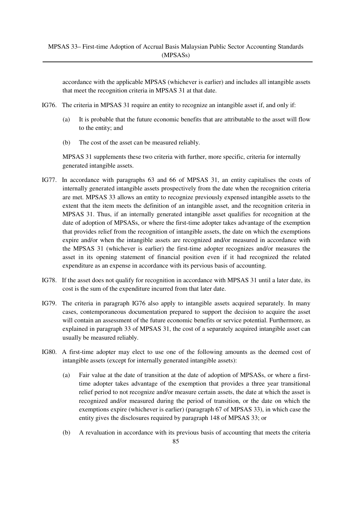accordance with the applicable MPSAS (whichever is earlier) and includes all intangible assets that meet the recognition criteria in MPSAS 31 at that date.

- IG76. The criteria in MPSAS 31 require an entity to recognize an intangible asset if, and only if:
	- (a) It is probable that the future economic benefits that are attributable to the asset will flow to the entity; and
	- (b) The cost of the asset can be measured reliably.

MPSAS 31 supplements these two criteria with further, more specific, criteria for internally generated intangible assets.

- IG77. In accordance with paragraphs 63 and 66 of MPSAS 31, an entity capitalises the costs of internally generated intangible assets prospectively from the date when the recognition criteria are met. MPSAS 33 allows an entity to recognize previously expensed intangible assets to the extent that the item meets the definition of an intangible asset, and the recognition criteria in MPSAS 31. Thus, if an internally generated intangible asset qualifies for recognition at the date of adoption of MPSASs, or where the first-time adopter takes advantage of the exemption that provides relief from the recognition of intangible assets, the date on which the exemptions expire and/or when the intangible assets are recognized and/or measured in accordance with the MPSAS 31 (whichever is earlier) the first-time adopter recognizes and/or measures the asset in its opening statement of financial position even if it had recognized the related expenditure as an expense in accordance with its pervious basis of accounting.
- IG78. If the asset does not qualify for recognition in accordance with MPSAS 31 until a later date, its cost is the sum of the expenditure incurred from that later date.
- IG79. The criteria in paragraph IG76 also apply to intangible assets acquired separately. In many cases, contemporaneous documentation prepared to support the decision to acquire the asset will contain an assessment of the future economic benefits or service potential. Furthermore, as explained in paragraph 33 of MPSAS 31, the cost of a separately acquired intangible asset can usually be measured reliably.
- IG80. A first-time adopter may elect to use one of the following amounts as the deemed cost of intangible assets (except for internally generated intangible assets):
	- (a) Fair value at the date of transition at the date of adoption of MPSASs, or where a firsttime adopter takes advantage of the exemption that provides a three year transitional relief period to not recognize and/or measure certain assets, the date at which the asset is recognized and/or measured during the period of transition, or the date on which the exemptions expire (whichever is earlier) (paragraph 67 of MPSAS 33), in which case the entity gives the disclosures required by paragraph 148 of MPSAS 33; or
	- (b) A revaluation in accordance with its previous basis of accounting that meets the criteria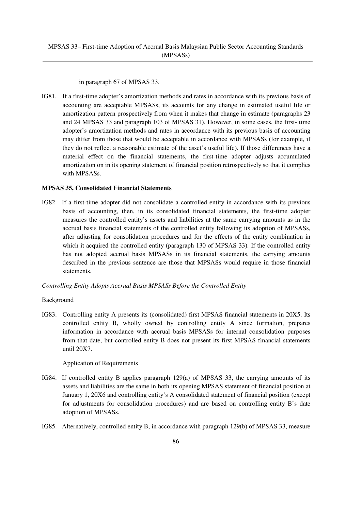in paragraph 67 of MPSAS 33.

IG81. If a first-time adopter's amortization methods and rates in accordance with its previous basis of accounting are acceptable MPSASs, its accounts for any change in estimated useful life or amortization pattern prospectively from when it makes that change in estimate (paragraphs 23 and 24 MPSAS 33 and paragraph 103 of MPSAS 31). However, in some cases, the first- time adopter's amortization methods and rates in accordance with its previous basis of accounting may differ from those that would be acceptable in accordance with MPSASs (for example, if they do not reflect a reasonable estimate of the asset's useful life). If those differences have a material effect on the financial statements, the first-time adopter adjusts accumulated amortization on in its opening statement of financial position retrospectively so that it complies with MPSASs.

# **MPSAS 35, Consolidated Financial Statements**

IG82. If a first-time adopter did not consolidate a controlled entity in accordance with its previous basis of accounting, then, in its consolidated financial statements, the first-time adopter measures the controlled entity's assets and liabilities at the same carrying amounts as in the accrual basis financial statements of the controlled entity following its adoption of MPSASs, after adjusting for consolidation procedures and for the effects of the entity combination in which it acquired the controlled entity (paragraph 130 of MPSAS 33). If the controlled entity has not adopted accrual basis MPSASs in its financial statements, the carrying amounts described in the previous sentence are those that MPSASs would require in those financial statements.

# *Controlling Entity Adopts Accrual Basis MPSASs Before the Controlled Entity*

# Background

IG83. Controlling entity A presents its (consolidated) first MPSAS financial statements in 20X5. Its controlled entity B, wholly owned by controlling entity A since formation, prepares information in accordance with accrual basis MPSASs for internal consolidation purposes from that date, but controlled entity B does not present its first MPSAS financial statements until 20X7.

# Application of Requirements

- IG84. If controlled entity B applies paragraph 129(a) of MPSAS 33, the carrying amounts of its assets and liabilities are the same in both its opening MPSAS statement of financial position at January 1, 20X6 and controlling entity's A consolidated statement of financial position (except for adjustments for consolidation procedures) and are based on controlling entity B's date adoption of MPSASs.
- IG85. Alternatively, controlled entity B, in accordance with paragraph 129(b) of MPSAS 33, measure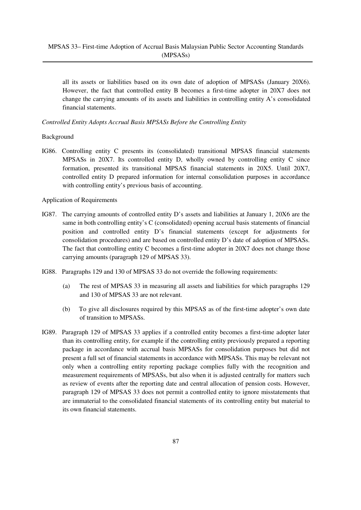all its assets or liabilities based on its own date of adoption of MPSASs (January 20X6). However, the fact that controlled entity B becomes a first-time adopter in 20X7 does not change the carrying amounts of its assets and liabilities in controlling entity A's consolidated financial statements.

### *Controlled Entity Adopts Accrual Basis MPSASs Before the Controlling Entity*

### Background

IG86. Controlling entity C presents its (consolidated) transitional MPSAS financial statements MPSASs in 20X7. Its controlled entity D, wholly owned by controlling entity C since formation, presented its transitional MPSAS financial statements in 20X5. Until 20X7, controlled entity D prepared information for internal consolidation purposes in accordance with controlling entity's previous basis of accounting.

Application of Requirements

- IG87. The carrying amounts of controlled entity D's assets and liabilities at January 1, 20X6 are the same in both controlling entity's C (consolidated) opening accrual basis statements of financial position and controlled entity D's financial statements (except for adjustments for consolidation procedures) and are based on controlled entity D's date of adoption of MPSASs. The fact that controlling entity C becomes a first-time adopter in 20X7 does not change those carrying amounts (paragraph 129 of MPSAS 33).
- IG88. Paragraphs 129 and 130 of MPSAS 33 do not override the following requirements:
	- (a) The rest of MPSAS 33 in measuring all assets and liabilities for which paragraphs 129 and 130 of MPSAS 33 are not relevant.
	- (b) To give all disclosures required by this MPSAS as of the first-time adopter's own date of transition to MPSASs.
- IG89. Paragraph 129 of MPSAS 33 applies if a controlled entity becomes a first-time adopter later than its controlling entity, for example if the controlling entity previously prepared a reporting package in accordance with accrual basis MPSASs for consolidation purposes but did not present a full set of financial statements in accordance with MPSASs. This may be relevant not only when a controlling entity reporting package complies fully with the recognition and measurement requirements of MPSASs, but also when it is adjusted centrally for matters such as review of events after the reporting date and central allocation of pension costs. However, paragraph 129 of MPSAS 33 does not permit a controlled entity to ignore misstatements that are immaterial to the consolidated financial statements of its controlling entity but material to its own financial statements.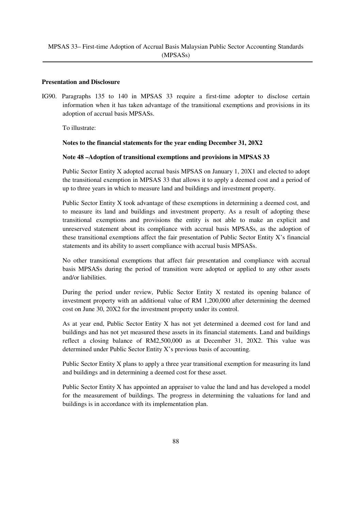### **Presentation and Disclosure**

IG90. Paragraphs 135 to 140 in MPSAS 33 require a first-time adopter to disclose certain information when it has taken advantage of the transitional exemptions and provisions in its adoption of accrual basis MPSASs.

To illustrate:

### **Notes to the financial statements for the year ending December 31, 20X2**

### **Note 48 –Adoption of transitional exemptions and provisions in MPSAS 33**

Public Sector Entity X adopted accrual basis MPSAS on January 1, 20X1 and elected to adopt the transitional exemption in MPSAS 33 that allows it to apply a deemed cost and a period of up to three years in which to measure land and buildings and investment property.

Public Sector Entity X took advantage of these exemptions in determining a deemed cost, and to measure its land and buildings and investment property. As a result of adopting these transitional exemptions and provisions the entity is not able to make an explicit and unreserved statement about its compliance with accrual basis MPSASs, as the adoption of these transitional exemptions affect the fair presentation of Public Sector Entity X's financial statements and its ability to assert compliance with accrual basis MPSASs.

No other transitional exemptions that affect fair presentation and compliance with accrual basis MPSASs during the period of transition were adopted or applied to any other assets and/or liabilities.

During the period under review, Public Sector Entity X restated its opening balance of investment property with an additional value of RM 1,200,000 after determining the deemed cost on June 30, 20X2 for the investment property under its control.

As at year end, Public Sector Entity X has not yet determined a deemed cost for land and buildings and has not yet measured these assets in its financial statements. Land and buildings reflect a closing balance of RM2,500,000 as at December 31, 20X2. This value was determined under Public Sector Entity X's previous basis of accounting.

Public Sector Entity X plans to apply a three year transitional exemption for measuring its land and buildings and in determining a deemed cost for these asset.

Public Sector Entity X has appointed an appraiser to value the land and has developed a model for the measurement of buildings. The progress in determining the valuations for land and buildings is in accordance with its implementation plan.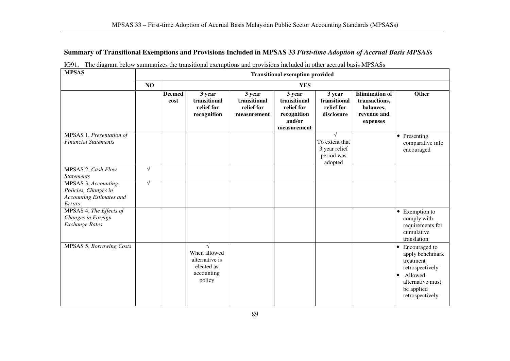# **Summary of Transitional Exemptions and Provisions Included in MPSAS 33** *First-time Adoption of Accrual Basis MPSASs*

| <b>MPSAS</b>                                                                      |            | <b>Transitional exemption provided</b> |                                                                                    |                                                     |                                                                              |                                                          |                                                                                |                                                                                                                                                            |
|-----------------------------------------------------------------------------------|------------|----------------------------------------|------------------------------------------------------------------------------------|-----------------------------------------------------|------------------------------------------------------------------------------|----------------------------------------------------------|--------------------------------------------------------------------------------|------------------------------------------------------------------------------------------------------------------------------------------------------------|
|                                                                                   | NO         |                                        |                                                                                    |                                                     | <b>YES</b>                                                                   |                                                          |                                                                                |                                                                                                                                                            |
|                                                                                   |            | <b>Deemed</b><br>cost                  | 3 year<br>transitional<br>relief for<br>recognition                                | 3 year<br>transitional<br>relief for<br>measurement | 3 year<br>transitional<br>relief for<br>recognition<br>and/or<br>measurement | 3 year<br>transitional<br>relief for<br>disclosure       | <b>Elimination</b> of<br>transactions,<br>balances,<br>revenue and<br>expenses | Other                                                                                                                                                      |
| MPSAS 1, Presentation of<br><b>Financial Statements</b>                           |            |                                        |                                                                                    |                                                     |                                                                              | To extent that<br>3 year relief<br>period was<br>adopted |                                                                                | • Presenting<br>comparative info<br>encouraged                                                                                                             |
| MPSAS 2, Cash Flow<br><b>Statements</b>                                           | $\sqrt{ }$ |                                        |                                                                                    |                                                     |                                                                              |                                                          |                                                                                |                                                                                                                                                            |
| MPSAS 3, Accounting<br>Policies, Changes in<br>Accounting Estimates and<br>Errors | $\sqrt{ }$ |                                        |                                                                                    |                                                     |                                                                              |                                                          |                                                                                |                                                                                                                                                            |
| MPSAS 4, The Effects of<br>Changes in Foreign<br><b>Exchange Rates</b>            |            |                                        |                                                                                    |                                                     |                                                                              |                                                          |                                                                                | • Exemption to<br>comply with<br>requirements for<br>cumulative<br>translation                                                                             |
| <b>MPSAS 5, Borrowing Costs</b>                                                   |            |                                        | $\sqrt{ }$<br>When allowed<br>alternative is<br>elected as<br>accounting<br>policy |                                                     |                                                                              |                                                          |                                                                                | Encouraged to<br>$\bullet$<br>apply benchmark<br>treatment<br>retrospectively<br>Allowed<br>$\bullet$<br>alternative must<br>be applied<br>retrospectively |

|  |  |  |  |  |  |  |  | IG91. The diagram below summarizes the transitional exemptions and provisions included in other accrual basis MPSASs |
|--|--|--|--|--|--|--|--|----------------------------------------------------------------------------------------------------------------------|
|--|--|--|--|--|--|--|--|----------------------------------------------------------------------------------------------------------------------|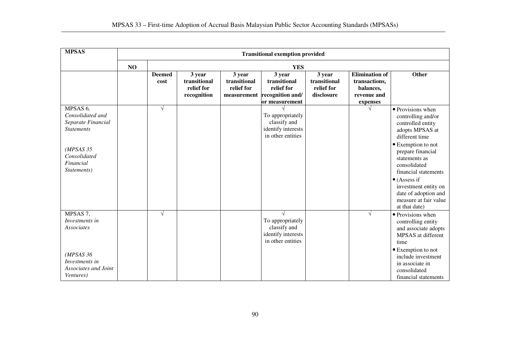| <b>MPSAS</b>                                                                                                                                  | <b>Transitional exemption provided</b> |                       |                                                     |                                                     |                                                                             |                                                    |                                                                                |                                                                                                                                                                                                                                                                                                                         |
|-----------------------------------------------------------------------------------------------------------------------------------------------|----------------------------------------|-----------------------|-----------------------------------------------------|-----------------------------------------------------|-----------------------------------------------------------------------------|----------------------------------------------------|--------------------------------------------------------------------------------|-------------------------------------------------------------------------------------------------------------------------------------------------------------------------------------------------------------------------------------------------------------------------------------------------------------------------|
|                                                                                                                                               | NO                                     |                       |                                                     |                                                     | <b>YES</b>                                                                  |                                                    |                                                                                |                                                                                                                                                                                                                                                                                                                         |
|                                                                                                                                               |                                        | <b>Deemed</b><br>cost | 3 year<br>transitional<br>relief for<br>recognition | 3 year<br>transitional<br>relief for<br>measurement | 3 year<br>transitional<br>relief for<br>recognition and/<br>or measurement  | 3 year<br>transitional<br>relief for<br>disclosure | <b>Elimination</b> of<br>transactions,<br>balances,<br>revenue and<br>expenses | Other                                                                                                                                                                                                                                                                                                                   |
| MPSAS <sub>6</sub> ,<br>Consolidated and<br>Separate Financial<br><b>Statements</b><br>(MPSAS 35)<br>Consolidated<br>Financial<br>Statements) |                                        | $\sqrt{ }$            |                                                     |                                                     | To appropriately<br>classify and<br>identify interests<br>in other entities |                                                    |                                                                                | • Provisions when<br>controlling and/or<br>controlled entity<br>adopts MPSAS at<br>different time<br>• Exemption to not<br>prepare financial<br>statements as<br>consolidated<br>financial statements<br>$\bullet$ (Assess if<br>investment entity on<br>date of adoption and<br>measure at fair value<br>at that date) |
| MPSAS 7,<br>Investments in<br>Associates<br>(MPSAS 36<br>Investments in<br>Associates and Joint<br><i>Ventures</i> )                          |                                        | $\sqrt{ }$            |                                                     |                                                     | To appropriately<br>classify and<br>identify interests<br>in other entities |                                                    | $\sqrt{ }$                                                                     | • Provisions when<br>controlling entity<br>and associate adopts<br>MPSAS at different<br>time<br>• Exemption to not<br>include investment<br>in associate in<br>consolidated<br>financial statements                                                                                                                    |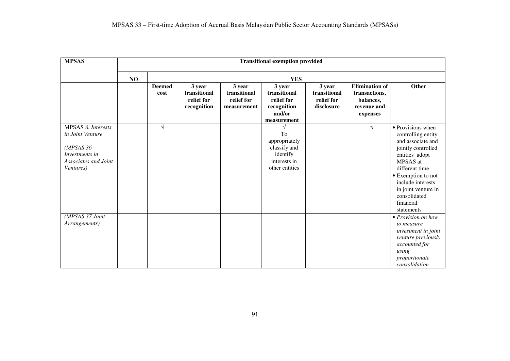| <b>MPSAS</b>                                                                                               |    | <b>Transitional exemption provided</b> |                                                     |                                                     |                                                                                   |                                                    |                                                                                |                                                                                                                                                                                                                                                 |
|------------------------------------------------------------------------------------------------------------|----|----------------------------------------|-----------------------------------------------------|-----------------------------------------------------|-----------------------------------------------------------------------------------|----------------------------------------------------|--------------------------------------------------------------------------------|-------------------------------------------------------------------------------------------------------------------------------------------------------------------------------------------------------------------------------------------------|
|                                                                                                            | NO |                                        |                                                     |                                                     | <b>YES</b>                                                                        |                                                    |                                                                                |                                                                                                                                                                                                                                                 |
|                                                                                                            |    | <b>Deemed</b><br>cost                  | 3 year<br>transitional<br>relief for<br>recognition | 3 year<br>transitional<br>relief for<br>measurement | 3 year<br>transitional<br>relief for<br>recognition<br>and/or<br>measurement      | 3 year<br>transitional<br>relief for<br>disclosure | <b>Elimination</b> of<br>transactions,<br>balances,<br>revenue and<br>expenses | Other                                                                                                                                                                                                                                           |
| MPSAS 8, Interests<br>in Joint Venture<br>(MPSAS 36<br>Investments in<br>Associates and Joint<br>Ventures) |    | $\sqrt{ }$                             |                                                     |                                                     | To<br>appropriately<br>classify and<br>identify<br>interests in<br>other entities |                                                    | V                                                                              | • Provisions when<br>controlling entity<br>and associate and<br>jointly controlled<br>entities adopt<br>MPSAS at<br>different time<br>• Exemption to not<br>include interests<br>in joint venture in<br>consolidated<br>financial<br>statements |
| (MPSAS 37 Joint<br>Arrangements)                                                                           |    |                                        |                                                     |                                                     |                                                                                   |                                                    |                                                                                | $\bullet$ Provision on how<br>to measure<br>investment in joint<br>venture previously<br>accounted for<br>using<br>proportionate<br>consolidation                                                                                               |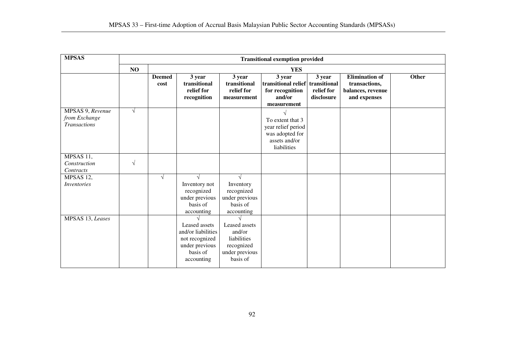| <b>MPSAS</b>                                             |            | <b>Transitional exemption provided</b> |                                                                                                   |                                                                                    |                                                                                           |                                    |                                                                             |       |
|----------------------------------------------------------|------------|----------------------------------------|---------------------------------------------------------------------------------------------------|------------------------------------------------------------------------------------|-------------------------------------------------------------------------------------------|------------------------------------|-----------------------------------------------------------------------------|-------|
|                                                          | NO         |                                        |                                                                                                   |                                                                                    | <b>YES</b>                                                                                |                                    |                                                                             |       |
|                                                          |            | <b>Deemed</b><br>cost                  | 3 year<br>transitional<br>relief for<br>recognition                                               | 3 year<br>transitional<br>relief for<br>measurement                                | 3 year<br>transitional relief transitional<br>for recognition<br>and/or<br>measurement    | 3 year<br>relief for<br>disclosure | <b>Elimination of</b><br>transactions,<br>balances, revenue<br>and expenses | Other |
| MPSAS 9, Revenue<br>from Exchange<br><b>Transactions</b> | $\sqrt{ }$ |                                        |                                                                                                   |                                                                                    | To extent that 3<br>year relief period<br>was adopted for<br>assets and/or<br>liabilities |                                    |                                                                             |       |
| MPSAS 11,<br>Construction<br>Contracts                   | $\sqrt{}$  |                                        |                                                                                                   |                                                                                    |                                                                                           |                                    |                                                                             |       |
| MPSAS 12,<br>Inventories                                 |            | $\sqrt{ }$                             | Inventory not<br>recognized<br>under previous<br>basis of<br>accounting                           | Inventory<br>recognized<br>under previous<br>basis of<br>accounting                |                                                                                           |                                    |                                                                             |       |
| MPSAS 13, Leases                                         |            |                                        | Leased assets<br>and/or liabilities<br>not recognized<br>under previous<br>basis of<br>accounting | Leased assets<br>and/or<br>liabilities<br>recognized<br>under previous<br>basis of |                                                                                           |                                    |                                                                             |       |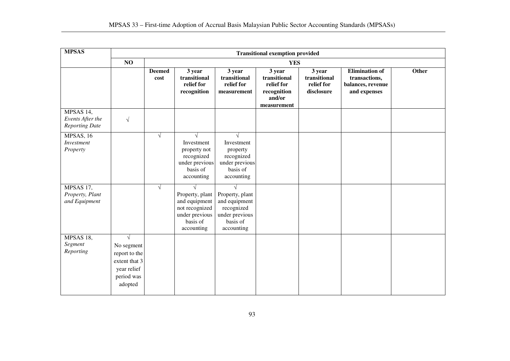| <b>MPSAS</b>                                           |                                                                                                    | <b>Transitional exemption provided</b> |                                                                                                              |                                                                                                |                                                                              |                                                    |                                                                             |       |  |  |
|--------------------------------------------------------|----------------------------------------------------------------------------------------------------|----------------------------------------|--------------------------------------------------------------------------------------------------------------|------------------------------------------------------------------------------------------------|------------------------------------------------------------------------------|----------------------------------------------------|-----------------------------------------------------------------------------|-------|--|--|
|                                                        | NO                                                                                                 |                                        | <b>YES</b>                                                                                                   |                                                                                                |                                                                              |                                                    |                                                                             |       |  |  |
|                                                        |                                                                                                    | <b>Deemed</b><br>cost                  | 3 year<br>transitional<br>relief for<br>recognition                                                          | 3 year<br>transitional<br>relief for<br>measurement                                            | 3 year<br>transitional<br>relief for<br>recognition<br>and/or<br>measurement | 3 year<br>transitional<br>relief for<br>disclosure | <b>Elimination of</b><br>transactions,<br>balances, revenue<br>and expenses | Other |  |  |
| MPSAS 14,<br>Events After the<br><b>Reporting Date</b> | $\sqrt{}$                                                                                          |                                        |                                                                                                              |                                                                                                |                                                                              |                                                    |                                                                             |       |  |  |
| MPSAS, 16<br>Investment<br>Property                    |                                                                                                    | $\sqrt{ }$                             | $\sqrt{ }$<br>Investment<br>property not<br>recognized<br>under previous<br>basis of<br>accounting           | $\sqrt{ }$<br>Investment<br>property<br>recognized<br>under previous<br>basis of<br>accounting |                                                                              |                                                    |                                                                             |       |  |  |
| MPSAS 17,<br>Property, Plant<br>and Equipment          |                                                                                                    | $\sqrt{ }$                             | $\sqrt{ }$<br>Property, plant<br>and equipment<br>not recognized<br>under previous<br>basis of<br>accounting | Property, plant<br>and equipment<br>recognized<br>under previous<br>basis of<br>accounting     |                                                                              |                                                    |                                                                             |       |  |  |
| MPSAS 18,<br>Segment<br>Reporting                      | $\sqrt{ }$<br>No segment<br>report to the<br>extent that 3<br>year relief<br>period was<br>adopted |                                        |                                                                                                              |                                                                                                |                                                                              |                                                    |                                                                             |       |  |  |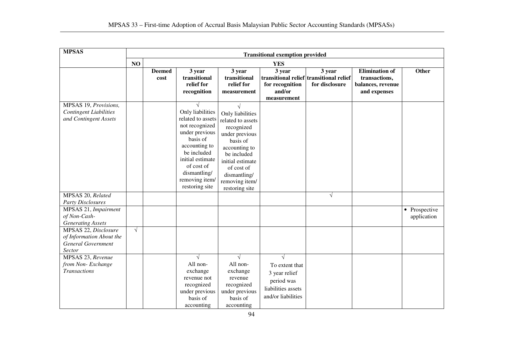| <b>MPSAS</b>                                                                            | <b>Transitional exemption provided</b> |                       |                                                                                                                                                                                                                           |                                                                                                                                                                                                         |                                                                                                        |                                                                     |                                                                             |                              |
|-----------------------------------------------------------------------------------------|----------------------------------------|-----------------------|---------------------------------------------------------------------------------------------------------------------------------------------------------------------------------------------------------------------------|---------------------------------------------------------------------------------------------------------------------------------------------------------------------------------------------------------|--------------------------------------------------------------------------------------------------------|---------------------------------------------------------------------|-----------------------------------------------------------------------------|------------------------------|
|                                                                                         | NO                                     |                       |                                                                                                                                                                                                                           |                                                                                                                                                                                                         | <b>YES</b>                                                                                             |                                                                     |                                                                             |                              |
|                                                                                         |                                        | <b>Deemed</b><br>cost | 3 year<br>transitional<br>relief for<br>recognition                                                                                                                                                                       | 3 year<br>transitional<br>relief for<br>measurement                                                                                                                                                     | 3 year<br>for recognition<br>and/or<br>measurement                                                     | 3 year<br>transitional relief transitional relief<br>for disclosure | <b>Elimination of</b><br>transactions,<br>balances, revenue<br>and expenses | Other                        |
| MPSAS 19, Provisions,<br><b>Contingent Liabilities</b><br>and Contingent Assets         |                                        |                       | $\sqrt{ }$<br>Only liabilities<br>related to assets<br>not recognized<br>under previous<br>basis of<br>accounting to<br>be included<br>initial estimate<br>of cost of<br>dismantling/<br>removing item/<br>restoring site | Only liabilities<br>related to assets<br>recognized<br>under previous<br>basis of<br>accounting to<br>be included<br>initial estimate<br>of cost of<br>dismantling/<br>removing item/<br>restoring site |                                                                                                        |                                                                     |                                                                             |                              |
| MPSAS 20, Related<br><b>Party Disclosures</b>                                           |                                        |                       |                                                                                                                                                                                                                           |                                                                                                                                                                                                         |                                                                                                        | $\sqrt{ }$                                                          |                                                                             |                              |
| MPSAS 21, Impairment<br>of Non-Cash-<br><b>Generating Assets</b>                        |                                        |                       |                                                                                                                                                                                                                           |                                                                                                                                                                                                         |                                                                                                        |                                                                     |                                                                             | • Prospective<br>application |
| MPSAS 22, Disclosure<br>of Information About the<br><b>General Government</b><br>Sector | $\sqrt{ }$                             |                       |                                                                                                                                                                                                                           |                                                                                                                                                                                                         |                                                                                                        |                                                                     |                                                                             |                              |
| MPSAS 23, Revenue<br>from Non-Exchange<br><b>Transactions</b>                           |                                        |                       | $\sqrt{ }$<br>All non-<br>exchange<br>revenue not<br>recognized<br>under previous<br>basis of<br>accounting                                                                                                               | $\sqrt{ }$<br>All non-<br>exchange<br>revenue<br>recognized<br>under previous<br>basis of<br>accounting                                                                                                 | $\sqrt{}$<br>To extent that<br>3 year relief<br>period was<br>liabilities assets<br>and/or liabilities |                                                                     |                                                                             |                              |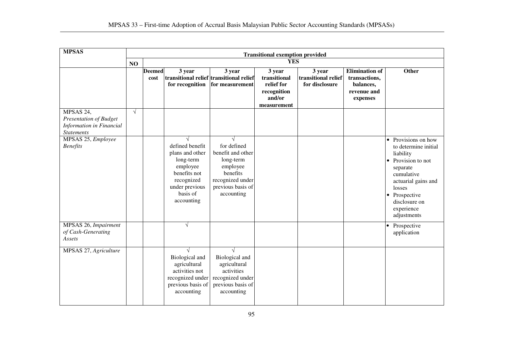| <b>MPSAS</b>                                                                                |            | <b>Transitional exemption provided</b> |                                                                                                                                       |                                                                                                                                            |                                                                              |                                                 |                                                                                |                                                                                                                                                                                                                |  |  |
|---------------------------------------------------------------------------------------------|------------|----------------------------------------|---------------------------------------------------------------------------------------------------------------------------------------|--------------------------------------------------------------------------------------------------------------------------------------------|------------------------------------------------------------------------------|-------------------------------------------------|--------------------------------------------------------------------------------|----------------------------------------------------------------------------------------------------------------------------------------------------------------------------------------------------------------|--|--|
|                                                                                             | NO         |                                        | <b>YES</b>                                                                                                                            |                                                                                                                                            |                                                                              |                                                 |                                                                                |                                                                                                                                                                                                                |  |  |
|                                                                                             |            | <b>Deemed</b><br>cost                  | 3 year<br>transitional relief transitional relief<br>for recognition                                                                  | 3 year<br>for measurement                                                                                                                  | 3 year<br>transitional<br>relief for<br>recognition<br>and/or<br>measurement | 3 year<br>transitional relief<br>for disclosure | <b>Elimination of</b><br>transactions,<br>balances,<br>revenue and<br>expenses | Other                                                                                                                                                                                                          |  |  |
| MPSAS 24,<br><b>Presentation of Budget</b><br>Information in Financial<br><b>Statements</b> | $\sqrt{ }$ |                                        |                                                                                                                                       |                                                                                                                                            |                                                                              |                                                 |                                                                                |                                                                                                                                                                                                                |  |  |
| MPSAS 25, Employee<br><b>Benefits</b>                                                       |            |                                        | defined benefit<br>plans and other<br>long-term<br>employee<br>benefits not<br>recognized<br>under previous<br>basis of<br>accounting | $\sqrt{ }$<br>for defined<br>benefit and other<br>long-term<br>employee<br>benefits<br>recognized under<br>previous basis of<br>accounting |                                                                              |                                                 |                                                                                | $\bullet$ Provisions on how<br>to determine initial<br>liability<br>Provision to not<br>separate<br>cumulative<br>actuarial gains and<br>losses<br>• Prospective<br>disclosure on<br>experience<br>adjustments |  |  |
| MPSAS 26, Impairment<br>of Cash-Generating<br>Assets                                        |            |                                        | $\sqrt{ }$                                                                                                                            |                                                                                                                                            |                                                                              |                                                 |                                                                                | Prospective<br>application                                                                                                                                                                                     |  |  |
| MPSAS 27, Agriculture                                                                       |            |                                        | Biological and<br>agricultural<br>activities not<br>recognized under<br>previous basis of<br>accounting                               | Biological and<br>agricultural<br>activities<br>recognized under<br>previous basis of<br>accounting                                        |                                                                              |                                                 |                                                                                |                                                                                                                                                                                                                |  |  |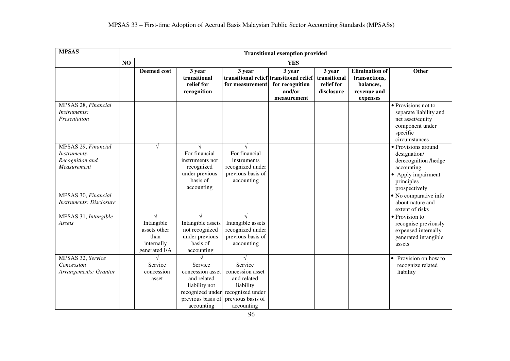| <b>MPSAS</b>                                                          | <b>Transitional exemption provided</b> |                                                                   |                                                                                                         |                                                                                                                                 |                                                                                               |                                                    |                                                                                |                                                                                                                                |
|-----------------------------------------------------------------------|----------------------------------------|-------------------------------------------------------------------|---------------------------------------------------------------------------------------------------------|---------------------------------------------------------------------------------------------------------------------------------|-----------------------------------------------------------------------------------------------|----------------------------------------------------|--------------------------------------------------------------------------------|--------------------------------------------------------------------------------------------------------------------------------|
|                                                                       | NO<br><b>YES</b>                       |                                                                   |                                                                                                         |                                                                                                                                 |                                                                                               |                                                    |                                                                                |                                                                                                                                |
|                                                                       |                                        | <b>Deemed cost</b>                                                | 3 year<br>transitional<br>relief for<br>recognition                                                     | 3 year<br>for measurement                                                                                                       | 3 year<br>transitional relief transitional relief<br>for recognition<br>and/or<br>measurement | 3 year<br>transitional<br>relief for<br>disclosure | <b>Elimination</b> of<br>transactions,<br>balances,<br>revenue and<br>expenses | Other                                                                                                                          |
| MPSAS 28, Financial<br>Instruments:<br>Presentation                   |                                        |                                                                   |                                                                                                         |                                                                                                                                 |                                                                                               |                                                    |                                                                                | • Provisions not to<br>separate liability and<br>net asset/equity<br>component under<br>specific<br>circumstances              |
| MPSAS 29, Financial<br>Instruments:<br>Recognition and<br>Measurement |                                        | $\sqrt{ }$                                                        | $\sqrt{}$<br>For financial<br>instruments not<br>recognized<br>under previous<br>basis of<br>accounting | For financial<br>instruments<br>recognized under<br>previous basis of<br>accounting                                             |                                                                                               |                                                    |                                                                                | · Provisions around<br>designation/<br>derecognition /hedge<br>accounting<br>• Apply impairment<br>principles<br>prospectively |
| MPSAS 30, Financial<br><b>Instruments: Disclosure</b>                 |                                        |                                                                   |                                                                                                         |                                                                                                                                 |                                                                                               |                                                    |                                                                                | • No comparative info<br>about nature and<br>extent of risks                                                                   |
| MPSAS 31, Intangible<br>Assets                                        |                                        | Intangible<br>assets other<br>than<br>internally<br>generated I/A | Intangible assets<br>not recognized<br>under previous<br>basis of<br>accounting                         | Intangible assets<br>recognized under<br>previous basis of<br>accounting                                                        |                                                                                               |                                                    |                                                                                | • Provision to<br>recognise previously<br>expensed internally<br>generated intangible<br>assets                                |
| MPSAS 32, Service<br>Concession<br>Arrangements: Grantor              |                                        | Service<br>concession<br>asset                                    | Service<br>concession asset<br>and related<br>liability not<br>previous basis of<br>accounting          | Service<br>concession asset<br>and related<br>liability<br>recognized under recognized under<br>previous basis of<br>accounting |                                                                                               |                                                    |                                                                                | Provision on how to<br>$\bullet$<br>recognize related<br>liability                                                             |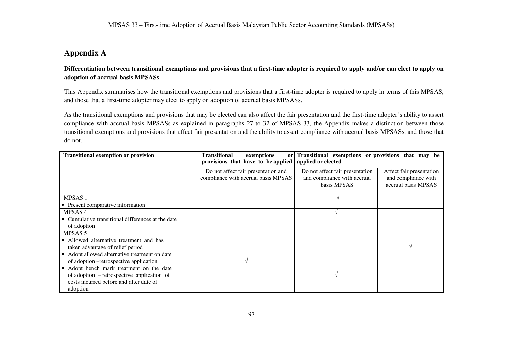# **Appendix A**

**Differentiation between transitional exemptions and provisions that a first-time adopter is required to apply and/or can elect to apply on adoption of accrual basis MPSASs**

This Appendix summarises how the transitional exemptions and provisions that a first-time adopter is required to apply in terms of this MPSAS, and those that a first-time adopter may elect to apply on adoption of accrual basis MPSASs.

As the transitional exemptions and provisions that may be elected can also affect the fair presentation and the first-time adopter's ability to assert compliance with accrual basis MPSASs as explained in paragraphs 27 to 32 of MPSAS 33, the Appendix makes a distinction between those transitional exemptions and provisions that affect fair presentation and the ability to assert compliance with accrual basis MPSASs, and those that do not.

| <b>Transitional exemption or provision</b>                                                                                                               |  | <b>Transitional</b><br>exemptions<br>or<br>provisions that have to be applied | Transitional exemptions or provisions that may be<br>applied or elected       |                                                                        |
|----------------------------------------------------------------------------------------------------------------------------------------------------------|--|-------------------------------------------------------------------------------|-------------------------------------------------------------------------------|------------------------------------------------------------------------|
|                                                                                                                                                          |  | Do not affect fair presentation and<br>compliance with accrual basis MPSAS    | Do not affect fair presentation<br>and compliance with accrual<br>basis MPSAS | Affect fair presentation<br>and compliance with<br>accrual basis MPSAS |
| <b>MPSAS1</b>                                                                                                                                            |  |                                                                               |                                                                               |                                                                        |
| • Present comparative information                                                                                                                        |  |                                                                               |                                                                               |                                                                        |
| MPSAS <sub>4</sub>                                                                                                                                       |  |                                                                               |                                                                               |                                                                        |
| • Cumulative transitional differences at the date                                                                                                        |  |                                                                               |                                                                               |                                                                        |
| of adoption                                                                                                                                              |  |                                                                               |                                                                               |                                                                        |
| MPSAS 5                                                                                                                                                  |  |                                                                               |                                                                               |                                                                        |
| • Allowed alternative treatment and has<br>taken advantage of relief period                                                                              |  |                                                                               |                                                                               |                                                                        |
| • Adopt allowed alternative treatment on date<br>of adoption --retrospective application                                                                 |  |                                                                               |                                                                               |                                                                        |
| Adopt bench mark treatment on the date<br>$\bullet$<br>of adoption – retrospective application of<br>costs incurred before and after date of<br>adoption |  |                                                                               |                                                                               |                                                                        |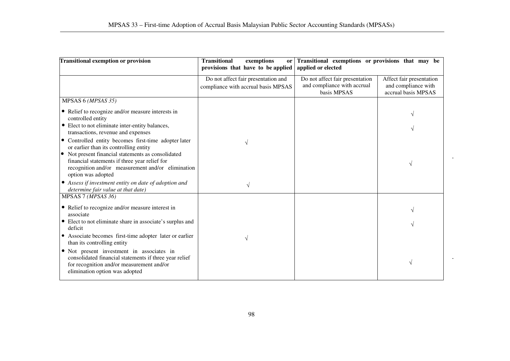| Transitional exemption or provision                                                                                                                                                | <b>Transitional</b><br>exemptions<br><b>or</b><br>provisions that have to be applied | Transitional exemptions or provisions that may be<br>applied or elected |                                            |
|------------------------------------------------------------------------------------------------------------------------------------------------------------------------------------|--------------------------------------------------------------------------------------|-------------------------------------------------------------------------|--------------------------------------------|
|                                                                                                                                                                                    | Do not affect fair presentation and                                                  | Do not affect fair presentation                                         | Affect fair presentation                   |
|                                                                                                                                                                                    | compliance with accrual basis MPSAS                                                  | and compliance with accrual<br>basis MPSAS                              | and compliance with<br>accrual basis MPSAS |
| MPSAS 6 (MPSAS 35)                                                                                                                                                                 |                                                                                      |                                                                         |                                            |
| • Relief to recognize and/or measure interests in<br>controlled entity                                                                                                             |                                                                                      |                                                                         |                                            |
| • Elect to not eliminate inter-entity balances,<br>transactions, revenue and expenses                                                                                              |                                                                                      |                                                                         |                                            |
| • Controlled entity becomes first-time adopter later<br>or earlier than its controlling entity                                                                                     |                                                                                      |                                                                         |                                            |
| • Not present financial statements as consolidated<br>financial statements if three year relief for<br>recognition and/or measurement and/or elimination<br>option was adopted     |                                                                                      |                                                                         |                                            |
| • Assess if investment entity on date of adoption and<br>determine fair value at that date)                                                                                        |                                                                                      |                                                                         |                                            |
| MPSAS 7 (MPSAS 36)                                                                                                                                                                 |                                                                                      |                                                                         |                                            |
| • Relief to recognize and/or measure interest in<br>associate                                                                                                                      |                                                                                      |                                                                         |                                            |
| • Elect to not eliminate share in associate's surplus and<br>deficit                                                                                                               |                                                                                      |                                                                         |                                            |
| • Associate becomes first-time adopter later or earlier<br>than its controlling entity                                                                                             | V                                                                                    |                                                                         |                                            |
| • Not present investment in associates in<br>consolidated financial statements if three year relief<br>for recognition and/or measurement and/or<br>elimination option was adopted |                                                                                      |                                                                         | V                                          |

 $\bullet$ 

 $\lambda$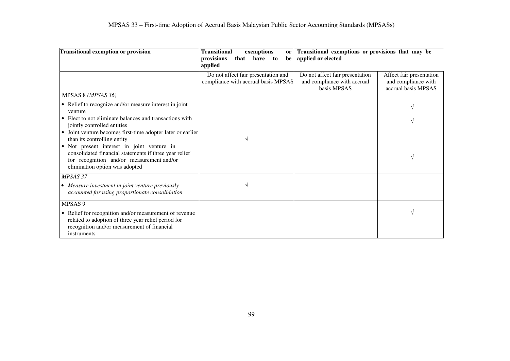| <b>Transitional exemption or provision</b>                                                                                                                                          | <b>Transitional</b><br>exemptions<br><sub>or</sub><br>provisions<br>that<br>have<br>$\mathbf{t}$<br>be<br>applied | Transitional exemptions or provisions that may be<br>applied or elected       |                                                                        |
|-------------------------------------------------------------------------------------------------------------------------------------------------------------------------------------|-------------------------------------------------------------------------------------------------------------------|-------------------------------------------------------------------------------|------------------------------------------------------------------------|
|                                                                                                                                                                                     | Do not affect fair presentation and<br>compliance with accrual basis MPSAS                                        | Do not affect fair presentation<br>and compliance with accrual<br>basis MPSAS | Affect fair presentation<br>and compliance with<br>accrual basis MPSAS |
| MPSAS 8 (MPSAS 36)                                                                                                                                                                  |                                                                                                                   |                                                                               |                                                                        |
| • Relief to recognize and/or measure interest in joint<br>venture                                                                                                                   |                                                                                                                   |                                                                               |                                                                        |
| • Elect to not eliminate balances and transactions with<br>jointly controlled entities                                                                                              |                                                                                                                   |                                                                               |                                                                        |
| • Joint venture becomes first-time adopter later or earlier<br>than its controlling entity                                                                                          | V                                                                                                                 |                                                                               |                                                                        |
| • Not present interest in joint venture in<br>consolidated financial statements if three year relief<br>for recognition and/or measurement and/or<br>elimination option was adopted |                                                                                                                   |                                                                               | $\sqrt{ }$                                                             |
| MPSAS 37                                                                                                                                                                            |                                                                                                                   |                                                                               |                                                                        |
| • Measure investment in joint venture previously<br>accounted for using proportionate consolidation                                                                                 |                                                                                                                   |                                                                               |                                                                        |
| MPSAS 9                                                                                                                                                                             |                                                                                                                   |                                                                               |                                                                        |
| • Relief for recognition and/or measurement of revenue<br>related to adoption of three year relief period for<br>recognition and/or measurement of financial<br>instruments         |                                                                                                                   |                                                                               |                                                                        |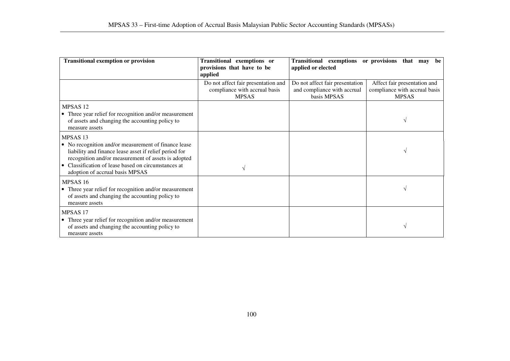| <b>Transitional exemption or provision</b>                                                                                                                                                                                                                                           | Transitional exemptions or<br>provisions that have to be<br>applied                  | Transitional exemptions or provisions<br>applied or elected                   | that may<br>be                                                                |
|--------------------------------------------------------------------------------------------------------------------------------------------------------------------------------------------------------------------------------------------------------------------------------------|--------------------------------------------------------------------------------------|-------------------------------------------------------------------------------|-------------------------------------------------------------------------------|
|                                                                                                                                                                                                                                                                                      | Do not affect fair presentation and<br>compliance with accrual basis<br><b>MPSAS</b> | Do not affect fair presentation<br>and compliance with accrual<br>basis MPSAS | Affect fair presentation and<br>compliance with accrual basis<br><b>MPSAS</b> |
| MPSAS <sub>12</sub><br>• Three year relief for recognition and/or measurement<br>of assets and changing the accounting policy to<br>measure assets                                                                                                                                   |                                                                                      |                                                                               |                                                                               |
| MPSAS <sub>13</sub><br>• No recognition and/or measurement of finance lease<br>liability and finance lease asset if relief period for<br>recognition and/or measurement of assets is adopted<br>Classification of lease based on circumstances at<br>adoption of accrual basis MPSAS |                                                                                      |                                                                               |                                                                               |
| MPSAS <sub>16</sub><br>• Three year relief for recognition and/or measurement<br>of assets and changing the accounting policy to<br>measure assets                                                                                                                                   |                                                                                      |                                                                               |                                                                               |
| MPSAS <sub>17</sub><br>• Three year relief for recognition and/or measurement<br>of assets and changing the accounting policy to<br>measure assets                                                                                                                                   |                                                                                      |                                                                               |                                                                               |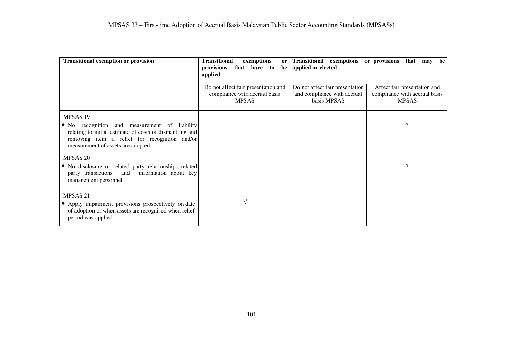| <b>Transitional exemption or provision</b>                                                                                                                                                                              | <b>Transitional</b><br>exemptions<br>or <sub>l</sub><br>provisions<br>that have to<br>be  <br>applied | Transitional exemptions or provisions that may<br>applied or elected          | be                                                                            |
|-------------------------------------------------------------------------------------------------------------------------------------------------------------------------------------------------------------------------|-------------------------------------------------------------------------------------------------------|-------------------------------------------------------------------------------|-------------------------------------------------------------------------------|
|                                                                                                                                                                                                                         | Do not affect fair presentation and<br>compliance with accrual basis<br><b>MPSAS</b>                  | Do not affect fair presentation<br>and compliance with accrual<br>basis MPSAS | Affect fair presentation and<br>compliance with accrual basis<br><b>MPSAS</b> |
| MPSAS <sub>19</sub><br>• No recognition and measurement of liability<br>relating to initial estimate of costs of dismantling and<br>removing item if relief for recognition and/or<br>measurement of assets are adopted |                                                                                                       |                                                                               |                                                                               |
| MPSAS <sub>20</sub><br>• No disclosure of related party relationships, related<br>information about key<br>party transactions<br>and<br>management personnel                                                            |                                                                                                       |                                                                               |                                                                               |
| MPSAS <sub>21</sub><br>• Apply impairment provisions prospectively on date<br>of adoption or when assets are recognised when relief<br>period was applied                                                               |                                                                                                       |                                                                               |                                                                               |

 $\alpha$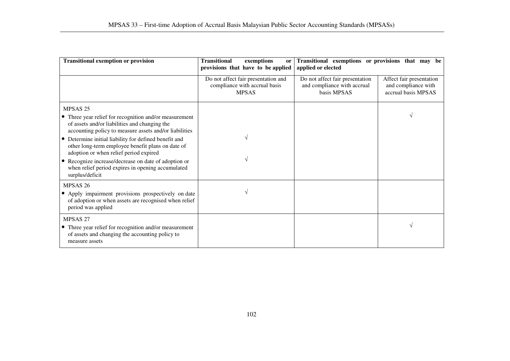| <b>Transitional exemption or provision</b>                                                                                                                        | <b>Transitional</b><br>exemptions<br>or<br>provisions that have to be applied        | Transitional exemptions or provisions that may be<br>applied or elected       |                                                                        |
|-------------------------------------------------------------------------------------------------------------------------------------------------------------------|--------------------------------------------------------------------------------------|-------------------------------------------------------------------------------|------------------------------------------------------------------------|
|                                                                                                                                                                   | Do not affect fair presentation and<br>compliance with accrual basis<br><b>MPSAS</b> | Do not affect fair presentation<br>and compliance with accrual<br>basis MPSAS | Affect fair presentation<br>and compliance with<br>accrual basis MPSAS |
| MPSAS <sub>25</sub>                                                                                                                                               |                                                                                      |                                                                               |                                                                        |
| • Three year relief for recognition and/or measurement<br>of assets and/or liabilities and changing the<br>accounting policy to measure assets and/or liabilities |                                                                                      |                                                                               |                                                                        |
| • Determine initial liability for defined benefit and<br>other long-term employee benefit plans on date of<br>adoption or when relief period expired              |                                                                                      |                                                                               |                                                                        |
| • Recognize increase/decrease on date of adoption or<br>when relief period expires in opening accumulated<br>surplus/deficit                                      |                                                                                      |                                                                               |                                                                        |
| MPSAS <sub>26</sub><br>• Apply impairment provisions prospectively on date<br>of adoption or when assets are recognised when relief<br>period was applied         |                                                                                      |                                                                               |                                                                        |
| MPSAS <sub>27</sub><br>• Three year relief for recognition and/or measurement<br>of assets and changing the accounting policy to<br>measure assets                |                                                                                      |                                                                               | $\sqrt{ }$                                                             |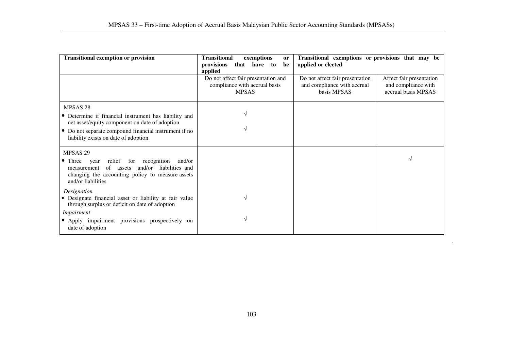| <b>Transitional exemption or provision</b>                                                                                                                                                                                                 | <b>Transitional</b><br>exemptions<br><sub>or</sub><br>provisions<br>that have to<br>be<br>applied | Transitional exemptions or provisions that may be<br>applied or elected                                                                                 |
|--------------------------------------------------------------------------------------------------------------------------------------------------------------------------------------------------------------------------------------------|---------------------------------------------------------------------------------------------------|---------------------------------------------------------------------------------------------------------------------------------------------------------|
|                                                                                                                                                                                                                                            | Do not affect fair presentation and<br>compliance with accrual basis<br><b>MPSAS</b>              | Do not affect fair presentation<br>Affect fair presentation<br>and compliance with accrual<br>and compliance with<br>accrual basis MPSAS<br>basis MPSAS |
| MPSAS <sub>28</sub><br>• Determine if financial instrument has liability and<br>net asset/equity component on date of adoption<br>Do not separate compound financial instrument if no<br>$\bullet$<br>liability exists on date of adoption |                                                                                                   |                                                                                                                                                         |
| MPSAS <sub>29</sub><br>relief for<br>recognition<br>$\bullet$ Three<br>and/or<br>year<br>and/or liabilities and<br>measurement of assets<br>changing the accounting policy to measure assets<br>and/or liabilities                         |                                                                                                   |                                                                                                                                                         |
| Designation<br>• Designate financial asset or liability at fair value<br>through surplus or deficit on date of adoption<br>Impairment<br>• Apply impairment provisions prospectively on                                                    |                                                                                                   |                                                                                                                                                         |
| date of adoption                                                                                                                                                                                                                           |                                                                                                   |                                                                                                                                                         |

 $\hat{\mathbf{r}}$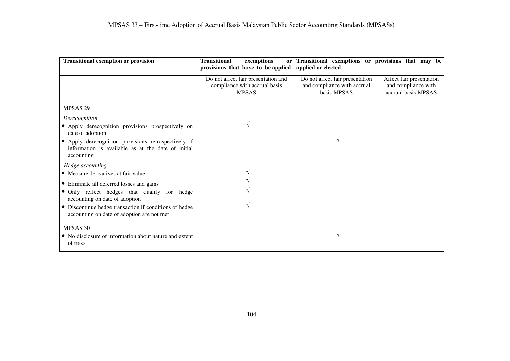| <b>Transitional exemption or provision</b>                                                                                                                                                                                                                                                     | <b>Transitional</b><br>exemptions<br>or<br>provisions that have to be applied        | Transitional exemptions or provisions that may be<br>applied or elected       |                                                                        |
|------------------------------------------------------------------------------------------------------------------------------------------------------------------------------------------------------------------------------------------------------------------------------------------------|--------------------------------------------------------------------------------------|-------------------------------------------------------------------------------|------------------------------------------------------------------------|
|                                                                                                                                                                                                                                                                                                | Do not affect fair presentation and<br>compliance with accrual basis<br><b>MPSAS</b> | Do not affect fair presentation<br>and compliance with accrual<br>basis MPSAS | Affect fair presentation<br>and compliance with<br>accrual basis MPSAS |
| MPSAS <sub>29</sub>                                                                                                                                                                                                                                                                            |                                                                                      |                                                                               |                                                                        |
| Derecognition<br>• Apply derecognition provisions prospectively on<br>date of adoption<br>Apply derecognition provisions retrospectively if<br>information is available as at the date of initial<br>accounting                                                                                |                                                                                      |                                                                               |                                                                        |
| Hedge accounting<br>• Measure derivatives at fair value<br>• Eliminate all deferred losses and gains<br>• Only reflect hedges that qualify for hedge<br>accounting on date of adoption<br>• Discontinue hedge transaction if conditions of hedge<br>accounting on date of adoption are not met |                                                                                      |                                                                               |                                                                        |
| MPSAS 30<br>• No disclosure of information about nature and extent<br>of risks                                                                                                                                                                                                                 |                                                                                      |                                                                               |                                                                        |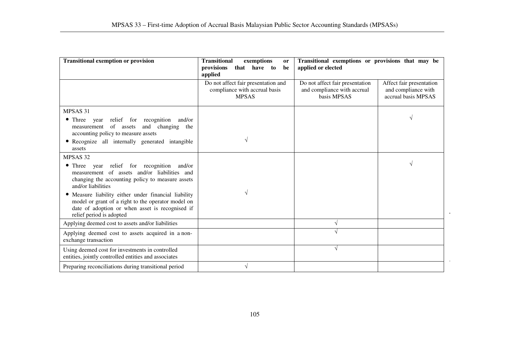| <b>Transitional exemption or provision</b>                                                                                                                                                | <b>Transitional</b><br>exemptions<br>or<br>provisions<br>that have to<br>be<br>applied | Transitional exemptions or provisions that may be<br>applied or elected       |                                                                        |  |
|-------------------------------------------------------------------------------------------------------------------------------------------------------------------------------------------|----------------------------------------------------------------------------------------|-------------------------------------------------------------------------------|------------------------------------------------------------------------|--|
|                                                                                                                                                                                           | Do not affect fair presentation and<br>compliance with accrual basis<br><b>MPSAS</b>   | Do not affect fair presentation<br>and compliance with accrual<br>basis MPSAS | Affect fair presentation<br>and compliance with<br>accrual basis MPSAS |  |
| MPSAS 31                                                                                                                                                                                  |                                                                                        |                                                                               |                                                                        |  |
| • Three<br>relief for recognition and/or<br>year<br>of assets<br>and<br>changing<br>measurement<br>the<br>accounting policy to measure assets                                             |                                                                                        |                                                                               |                                                                        |  |
| • Recognize all internally generated intangible<br>assets                                                                                                                                 | V                                                                                      |                                                                               |                                                                        |  |
| MPSAS <sub>32</sub>                                                                                                                                                                       |                                                                                        |                                                                               |                                                                        |  |
| • Three year relief for recognition and/or<br>measurement of assets and/or liabilities and<br>changing the accounting policy to measure assets<br>and/or liabilities                      |                                                                                        |                                                                               |                                                                        |  |
| • Measure liability either under financial liability<br>model or grant of a right to the operator model on<br>date of adoption or when asset is recognised if<br>relief period is adopted | V                                                                                      |                                                                               |                                                                        |  |
| Applying deemed cost to assets and/or liabilities                                                                                                                                         |                                                                                        | $\sqrt{ }$                                                                    |                                                                        |  |
| Applying deemed cost to assets acquired in a non-<br>exchange transaction                                                                                                                 |                                                                                        |                                                                               |                                                                        |  |
| Using deemed cost for investments in controlled<br>entities, jointly controlled entities and associates                                                                                   |                                                                                        | $\sqrt{ }$                                                                    |                                                                        |  |
| Preparing reconciliations during transitional period                                                                                                                                      | $\sqrt{}$                                                                              |                                                                               |                                                                        |  |

 $\bar{z}$ 

J.